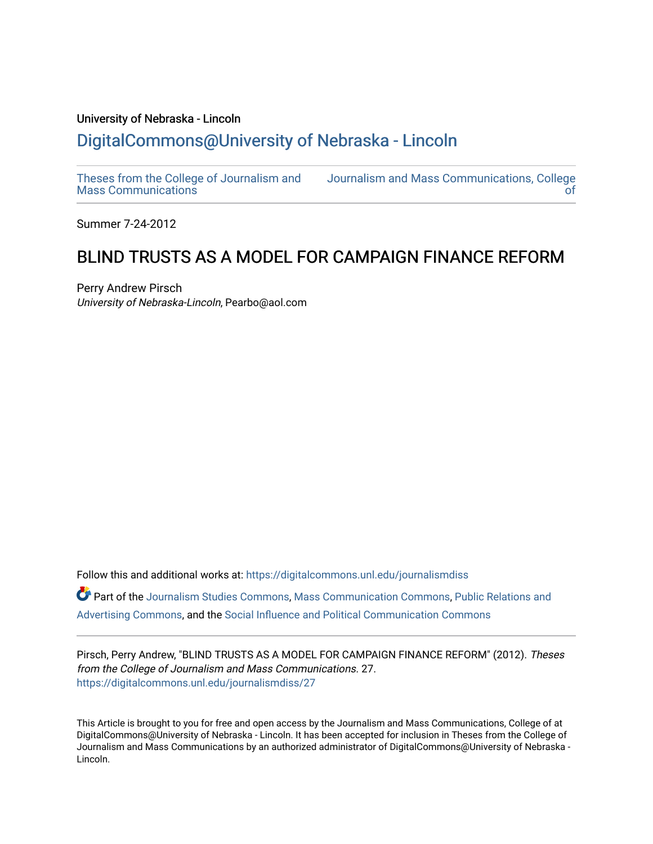# University of Nebraska - Lincoln [DigitalCommons@University of Nebraska - Lincoln](https://digitalcommons.unl.edu/)

[Theses from the College of Journalism and](https://digitalcommons.unl.edu/journalismdiss)  [Mass Communications](https://digitalcommons.unl.edu/journalismdiss)

[Journalism and Mass Communications, College](https://digitalcommons.unl.edu/journalism)  [of](https://digitalcommons.unl.edu/journalism) 

Summer 7-24-2012

# BLIND TRUSTS AS A MODEL FOR CAMPAIGN FINANCE REFORM

Perry Andrew Pirsch University of Nebraska-Lincoln, Pearbo@aol.com

Follow this and additional works at: [https://digitalcommons.unl.edu/journalismdiss](https://digitalcommons.unl.edu/journalismdiss?utm_source=digitalcommons.unl.edu%2Fjournalismdiss%2F27&utm_medium=PDF&utm_campaign=PDFCoverPages)  Part of the [Journalism Studies Commons](http://network.bepress.com/hgg/discipline/333?utm_source=digitalcommons.unl.edu%2Fjournalismdiss%2F27&utm_medium=PDF&utm_campaign=PDFCoverPages), [Mass Communication Commons](http://network.bepress.com/hgg/discipline/334?utm_source=digitalcommons.unl.edu%2Fjournalismdiss%2F27&utm_medium=PDF&utm_campaign=PDFCoverPages), [Public Relations and](http://network.bepress.com/hgg/discipline/336?utm_source=digitalcommons.unl.edu%2Fjournalismdiss%2F27&utm_medium=PDF&utm_campaign=PDFCoverPages) [Advertising Commons,](http://network.bepress.com/hgg/discipline/336?utm_source=digitalcommons.unl.edu%2Fjournalismdiss%2F27&utm_medium=PDF&utm_campaign=PDFCoverPages) and the [Social Influence and Political Communication Commons](http://network.bepress.com/hgg/discipline/337?utm_source=digitalcommons.unl.edu%2Fjournalismdiss%2F27&utm_medium=PDF&utm_campaign=PDFCoverPages)

Pirsch, Perry Andrew, "BLIND TRUSTS AS A MODEL FOR CAMPAIGN FINANCE REFORM" (2012). Theses from the College of Journalism and Mass Communications. 27. [https://digitalcommons.unl.edu/journalismdiss/27](https://digitalcommons.unl.edu/journalismdiss/27?utm_source=digitalcommons.unl.edu%2Fjournalismdiss%2F27&utm_medium=PDF&utm_campaign=PDFCoverPages) 

This Article is brought to you for free and open access by the Journalism and Mass Communications, College of at DigitalCommons@University of Nebraska - Lincoln. It has been accepted for inclusion in Theses from the College of Journalism and Mass Communications by an authorized administrator of DigitalCommons@University of Nebraska - Lincoln.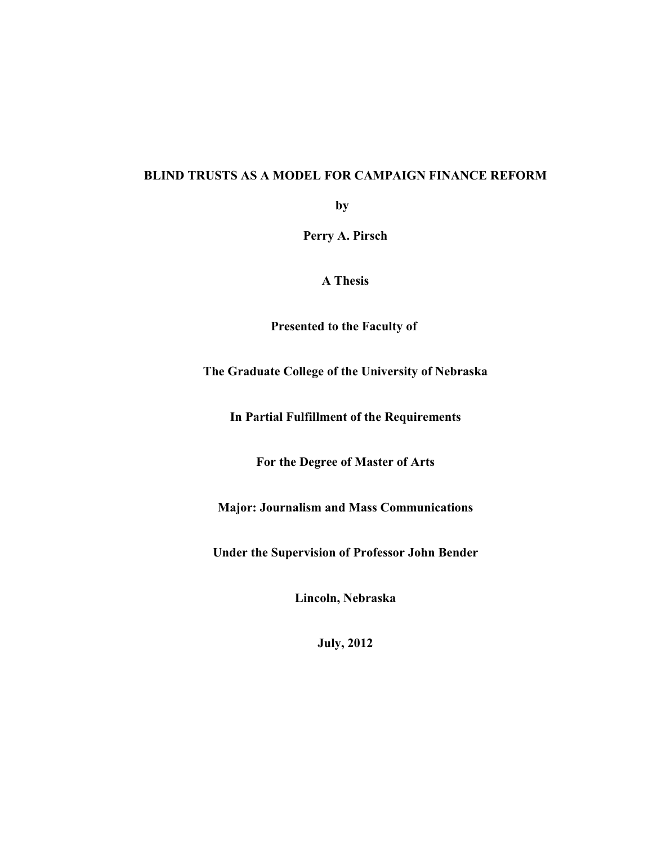## **BLIND TRUSTS AS A MODEL FOR CAMPAIGN FINANCE REFORM**

**by** 

**Perry A. Pirsch**

**A Thesis**

**Presented to the Faculty of** 

# **The Graduate College of the University of Nebraska**

**In Partial Fulfillment of the Requirements**

**For the Degree of Master of Arts**

**Major: Journalism and Mass Communications**

**Under the Supervision of Professor John Bender**

**Lincoln, Nebraska**

**July, 2012**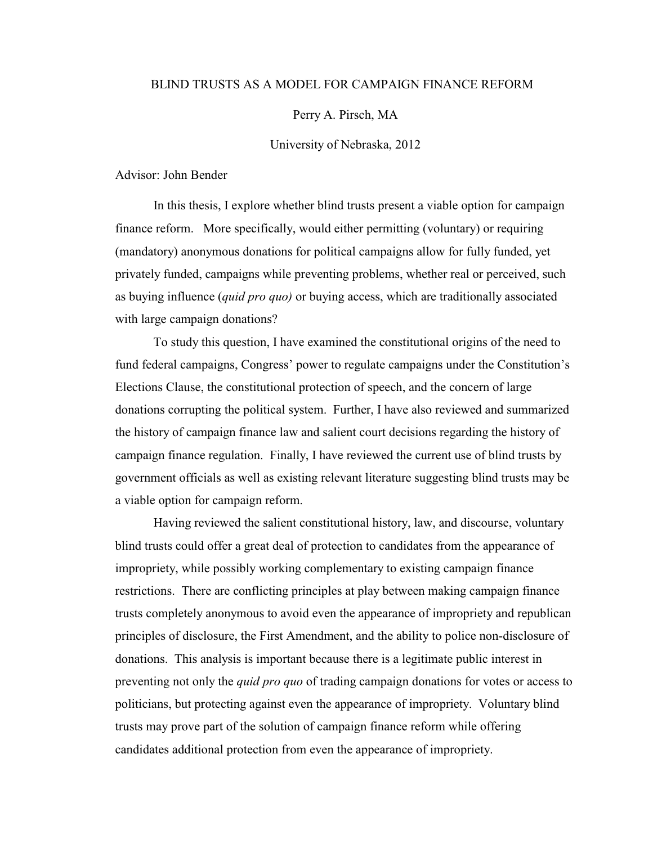#### BLIND TRUSTS AS A MODEL FOR CAMPAIGN FINANCE REFORM

#### Perry A. Pirsch, MA

#### University of Nebraska, 2012

Advisor: John Bender

In this thesis, I explore whether blind trusts present a viable option for campaign finance reform. More specifically, would either permitting (voluntary) or requiring (mandatory) anonymous donations for political campaigns allow for fully funded, yet privately funded, campaigns while preventing problems, whether real or perceived, such as buying influence (*quid pro quo)* or buying access, which are traditionally associated with large campaign donations?

To study this question, I have examined the constitutional origins of the need to fund federal campaigns, Congress' power to regulate campaigns under the Constitution's Elections Clause, the constitutional protection of speech, and the concern of large donations corrupting the political system. Further, I have also reviewed and summarized the history of campaign finance law and salient court decisions regarding the history of campaign finance regulation. Finally, I have reviewed the current use of blind trusts by government officials as well as existing relevant literature suggesting blind trusts may be a viable option for campaign reform.

Having reviewed the salient constitutional history, law, and discourse, voluntary blind trusts could offer a great deal of protection to candidates from the appearance of impropriety, while possibly working complementary to existing campaign finance restrictions. There are conflicting principles at play between making campaign finance trusts completely anonymous to avoid even the appearance of impropriety and republican principles of disclosure, the First Amendment, and the ability to police non-disclosure of donations. This analysis is important because there is a legitimate public interest in preventing not only the *quid pro quo* of trading campaign donations for votes or access to politicians, but protecting against even the appearance of impropriety. Voluntary blind trusts may prove part of the solution of campaign finance reform while offering candidates additional protection from even the appearance of impropriety.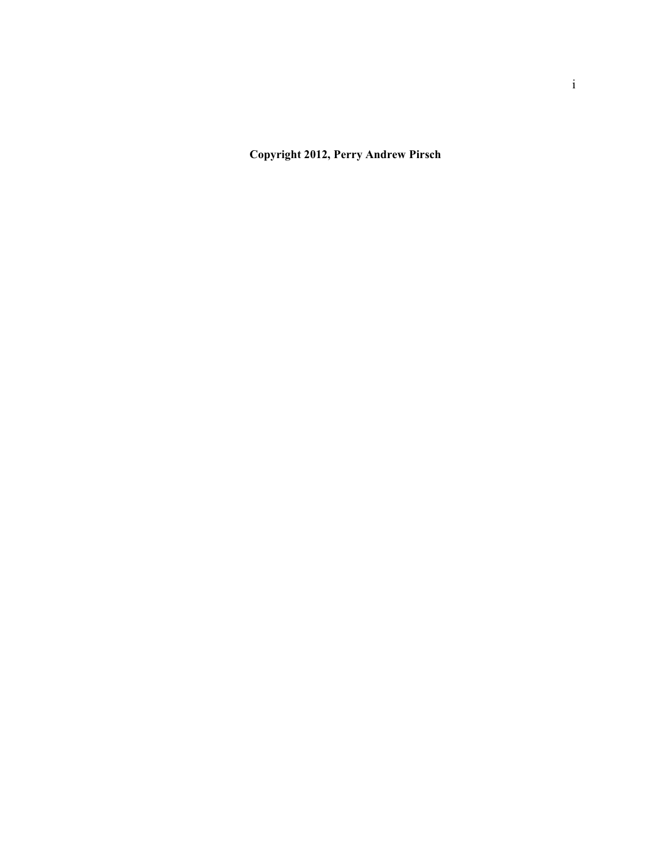**Copyright 2012, Perry Andrew Pirsch**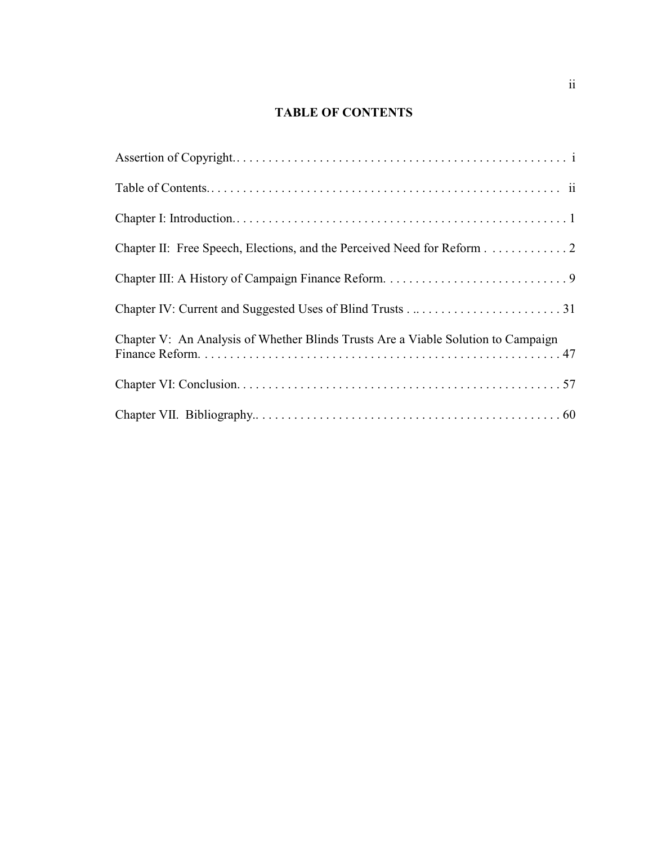# **TABLE OF CONTENTS**

| Chapter II: Free Speech, Elections, and the Perceived Need for Reform 2           |
|-----------------------------------------------------------------------------------|
|                                                                                   |
|                                                                                   |
| Chapter V: An Analysis of Whether Blinds Trusts Are a Viable Solution to Campaign |
|                                                                                   |
|                                                                                   |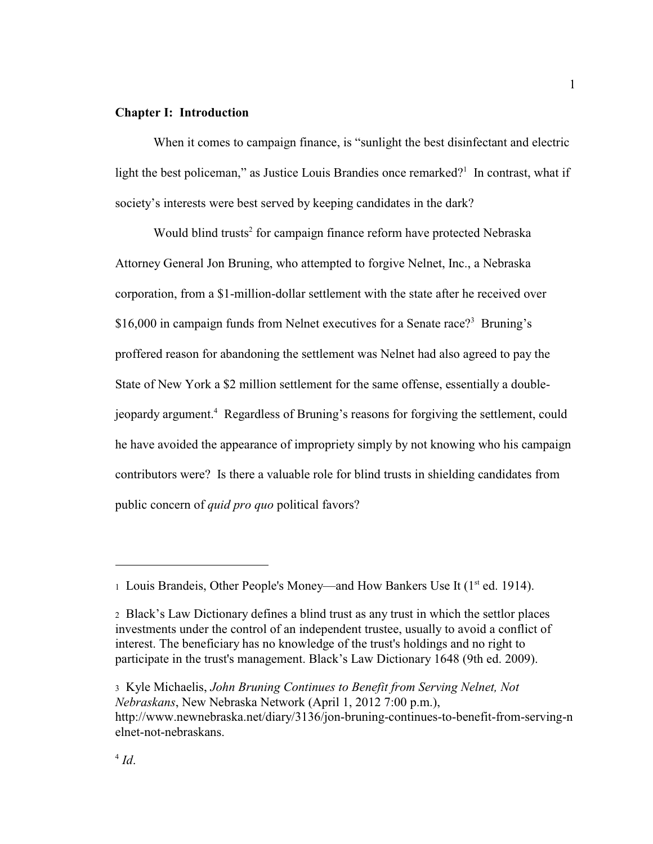#### **Chapter I: Introduction**

When it comes to campaign finance, is "sunlight the best disinfectant and electric light the best policeman," as Justice Louis Brandies once remarked?<sup>1</sup> In contrast, what if society's interests were best served by keeping candidates in the dark?

Would blind trusts<sup>2</sup> for campaign finance reform have protected Nebraska Attorney General Jon Bruning, who attempted to forgive Nelnet, Inc., a Nebraska corporation, from a \$1-million-dollar settlement with the state after he received over \$16,000 in campaign funds from Nelnet executives for a Senate race?<sup>3</sup> Bruning's proffered reason for abandoning the settlement was Nelnet had also agreed to pay the State of New York a \$2 million settlement for the same offense, essentially a doublejeopardy argument.<sup>4</sup> Regardless of Bruning's reasons for forgiving the settlement, could he have avoided the appearance of impropriety simply by not knowing who his campaign contributors were? Is there a valuable role for blind trusts in shielding candidates from public concern of *quid pro quo* political favors?

<sup>1</sup> Louis Brandeis, Other People's Money—and How Bankers Use It ( $1<sup>st</sup>$  ed. 1914).

<sup>2</sup> Black's Law Dictionary defines a blind trust as any trust in which the settlor places investments under the control of an independent trustee, usually to avoid a conflict of interest. The beneficiary has no knowledge of the trust's holdings and no right to participate in the trust's management. Black's Law Dictionary 1648 (9th ed. 2009).

<sup>3</sup> Kyle Michaelis, *John Bruning Continues to Benefit from Serving Nelnet, Not Nebraskans*, New Nebraska Network (April 1, 2012 7:00 p.m.), http://www.newnebraska.net/diary/3136/jon-bruning-continues-to-benefit-from-serving-n elnet-not-nebraskans.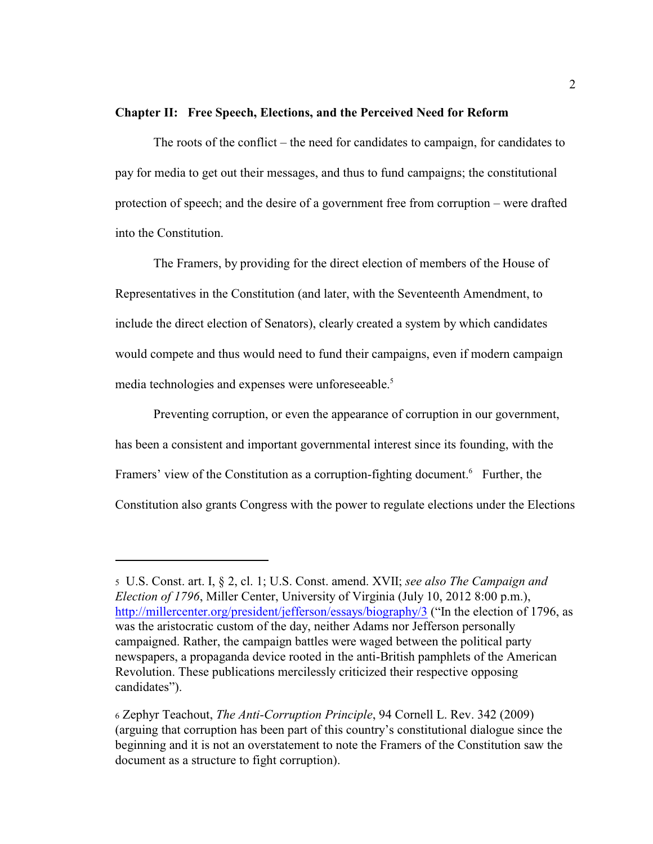#### **Chapter II: Free Speech, Elections, and the Perceived Need for Reform**

The roots of the conflict – the need for candidates to campaign, for candidates to pay for media to get out their messages, and thus to fund campaigns; the constitutional protection of speech; and the desire of a government free from corruption – were drafted into the Constitution.

The Framers, by providing for the direct election of members of the House of Representatives in the Constitution (and later, with the Seventeenth Amendment, to include the direct election of Senators), clearly created a system by which candidates would compete and thus would need to fund their campaigns, even if modern campaign media technologies and expenses were unforeseeable. 5

Preventing corruption, or even the appearance of corruption in our government, has been a consistent and important governmental interest since its founding, with the Framers' view of the Constitution as a corruption-fighting document.<sup>6</sup> Further, the Constitution also grants Congress with the power to regulate elections under the Elections

<sup>5</sup> U.S. Const. art. I, § 2, cl. 1; U.S. Const. amend. XVII; *see also The Campaign and Election of 1796*, Miller Center, University of Virginia (July 10, 2012 8:00 p.m.), <http://millercenter.org/president/jefferson/essays/biography/3> ("In the election of 1796, as was the aristocratic custom of the day, neither Adams nor Jefferson personally campaigned. Rather, the campaign battles were waged between the political party newspapers, a propaganda device rooted in the anti-British pamphlets of the American Revolution. These publications mercilessly criticized their respective opposing candidates").

<sup>6</sup> Zephyr Teachout, *The Anti-Corruption Principle*, 94 Cornell L. Rev. 342 (2009) (arguing that corruption has been part of this country's constitutional dialogue since the beginning and it is not an overstatement to note the Framers of the Constitution saw the document as a structure to fight corruption).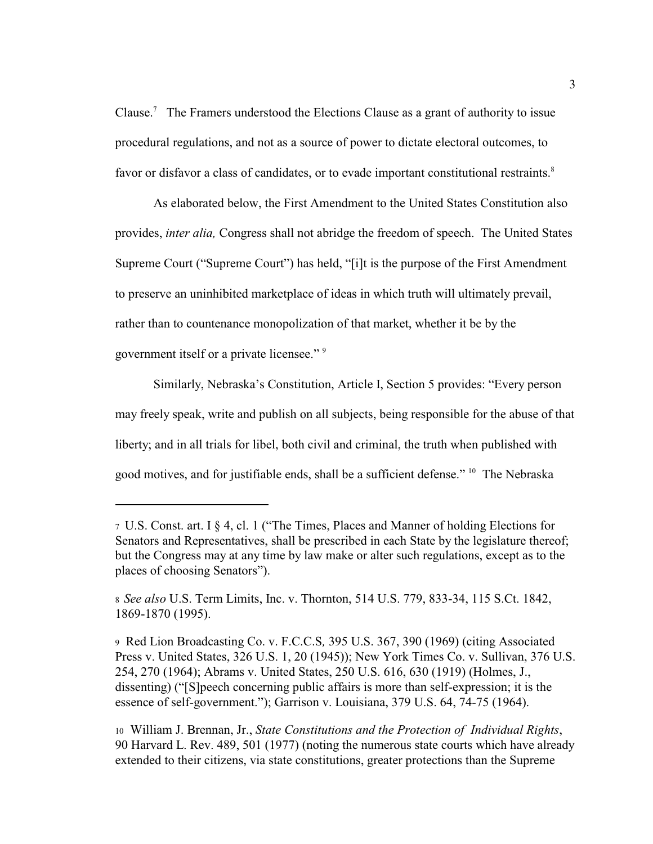Clause.<sup>7</sup> The Framers understood the Elections Clause as a grant of authority to issue procedural regulations, and not as a source of power to dictate electoral outcomes, to favor or disfavor a class of candidates, or to evade important constitutional restraints.<sup>8</sup>

As elaborated below, the First Amendment to the United States Constitution also provides, *inter alia,* Congress shall not abridge the freedom of speech. The United States Supreme Court ("Supreme Court") has held, "[i]t is the purpose of the First Amendment to preserve an uninhibited marketplace of ideas in which truth will ultimately prevail, rather than to countenance monopolization of that market, whether it be by the government itself or a private licensee." 9

Similarly, Nebraska's Constitution, Article I, Section 5 provides: "Every person may freely speak, write and publish on all subjects, being responsible for the abuse of that liberty; and in all trials for libel, both civil and criminal, the truth when published with good motives, and for justifiable ends, shall be a sufficient defense." <sup>10</sup> The Nebraska

<sup>7</sup>U.S. Const. art. I § 4, cl. 1 ("The Times, Places and Manner of holding Elections for Senators and Representatives, shall be prescribed in each State by the legislature thereof; but the Congress may at any time by law make or alter such regulations, except as to the places of choosing Senators").

<sup>8</sup>*See also* U.S. Term Limits, Inc. v. Thornton, 514 U.S. 779, 833-34, 115 S.Ct. 1842, 1869-1870 (1995).

<sup>9</sup> Red Lion Broadcasting Co. v. F.C.C.S*,* 395 U.S. 367, 390 (1969) (citing Associated Press v. United States, 326 U.S. 1, 20 (1945)); New York Times Co. v. Sullivan, 376 U.S. 254, 270 (1964); Abrams v. United States, 250 U.S. 616, 630 (1919) (Holmes, J., dissenting) ("[S]peech concerning public affairs is more than self-expression; it is the essence of self-government."); Garrison v. Louisiana, 379 U.S. 64, 74-75 (1964).

<sup>10</sup> William J. Brennan, Jr., *State Constitutions and the Protection of Individual Rights*, 90 Harvard L. Rev. 489, 501 (1977) (noting the numerous state courts which have already extended to their citizens, via state constitutions, greater protections than the Supreme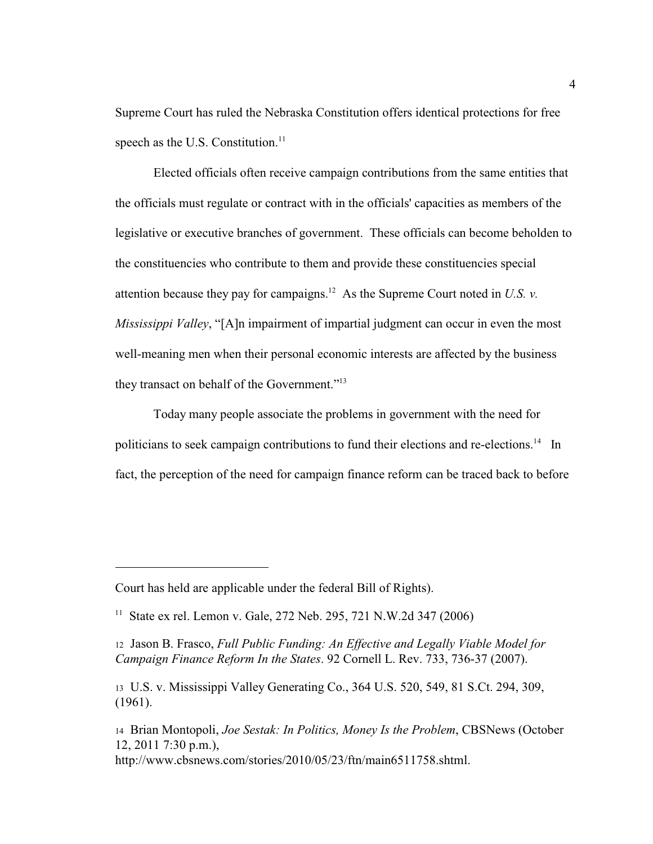Supreme Court has ruled the Nebraska Constitution offers identical protections for free speech as the U.S. Constitution.<sup>11</sup>

Elected officials often receive campaign contributions from the same entities that the officials must regulate or contract with in the officials' capacities as members of the legislative or executive branches of government. These officials can become beholden to the constituencies who contribute to them and provide these constituencies special attention because they pay for campaigns.<sup>12</sup> As the Supreme Court noted in U.S. v. *Mississippi Valley*, "[A]n impairment of impartial judgment can occur in even the most well-meaning men when their personal economic interests are affected by the business they transact on behalf of the Government."<sup>13</sup>

Today many people associate the problems in government with the need for politicians to seek campaign contributions to fund their elections and re-elections.<sup>14</sup> In fact, the perception of the need for campaign finance reform can be traced back to before

Court has held are applicable under the federal Bill of Rights).

<sup>&</sup>lt;sup>11</sup> State ex rel. Lemon v. Gale, 272 Neb. 295, 721 N.W.2d 347 (2006)

<sup>12</sup> Jason B. Frasco, *Full Public Funding: An Effective and Legally Viable Model for Campaign Finance Reform In the States*. 92 Cornell L. Rev. 733, 736-37 (2007).

<sup>13</sup> U.S. v. Mississippi Valley Generating Co., 364 U.S. 520, 549, 81 S.Ct. 294, 309, (1961).

<sup>14</sup> Brian Montopoli, *Joe Sestak: In Politics, Money Is the Problem*, CBSNews (October 12, 2011 7:30 p.m.),

http://www.cbsnews.com/stories/2010/05/23/ftn/main6511758.shtml.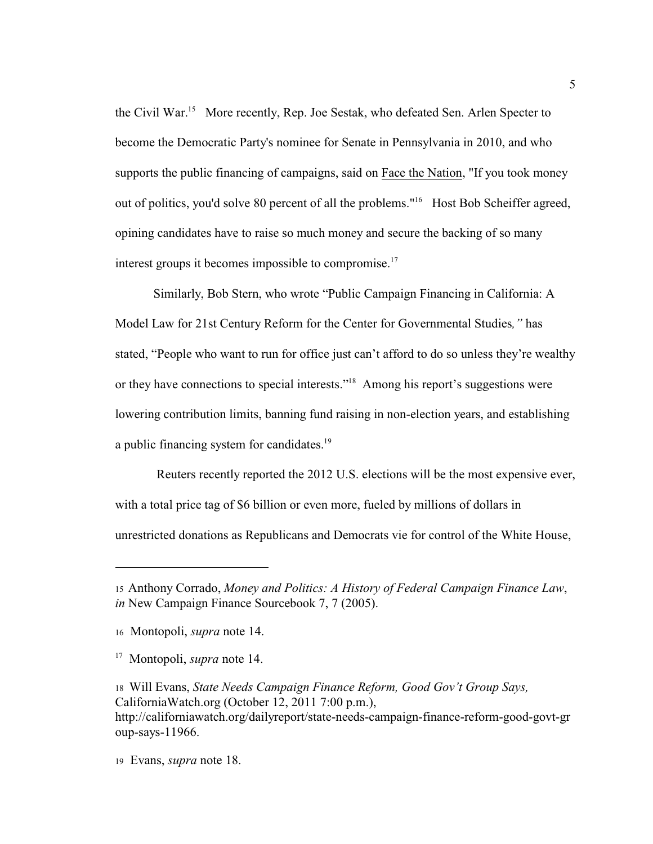the Civil War.<sup>15</sup> More recently, Rep. Joe Sestak, who defeated Sen. Arlen Specter to become the Democratic Party's nominee for Senate in Pennsylvania in 2010, and who supports the public financing of campaigns, said on Face the Nation, "If you took money out of politics, you'd solve 80 percent of all the problems."<sup>16</sup> Host Bob Scheiffer agreed, opining candidates have to raise so much money and secure the backing of so many interest groups it becomes impossible to compromise.<sup>17</sup>

Similarly, Bob Stern, who wrote "Public Campaign Financing in California: A Model Law for 21st Century Reform for the Center for Governmental Studies*,"* has stated, "People who want to run for office just can't afford to do so unless they're wealthy or they have connections to special interests."<sup>18</sup> Among his report's suggestions were lowering contribution limits, banning fund raising in non-election years, and establishing a public financing system for candidates.<sup>19</sup>

 Reuters recently reported the 2012 U.S. elections will be the most expensive ever, with a total price tag of \$6 billion or even more, fueled by millions of dollars in unrestricted donations as Republicans and Democrats vie for control of the White House,

<sup>15</sup>Anthony Corrado, *Money and Politics: A History of Federal Campaign Finance Law*, *in* New Campaign Finance Sourcebook 7, 7 (2005).

<sup>16</sup> Montopoli, *supra* note 14.

<sup>&</sup>lt;sup>17</sup> Montopoli, *supra* note 14.

<sup>18</sup> Will Evans, *State Needs Campaign Finance Reform, Good Gov't Group Says,* CaliforniaWatch.org (October 12, 2011 7:00 p.m.), http://californiawatch.org/dailyreport/state-needs-campaign-finance-reform-good-govt-gr oup-says-11966.

<sup>19</sup> Evans, *supra* note 18.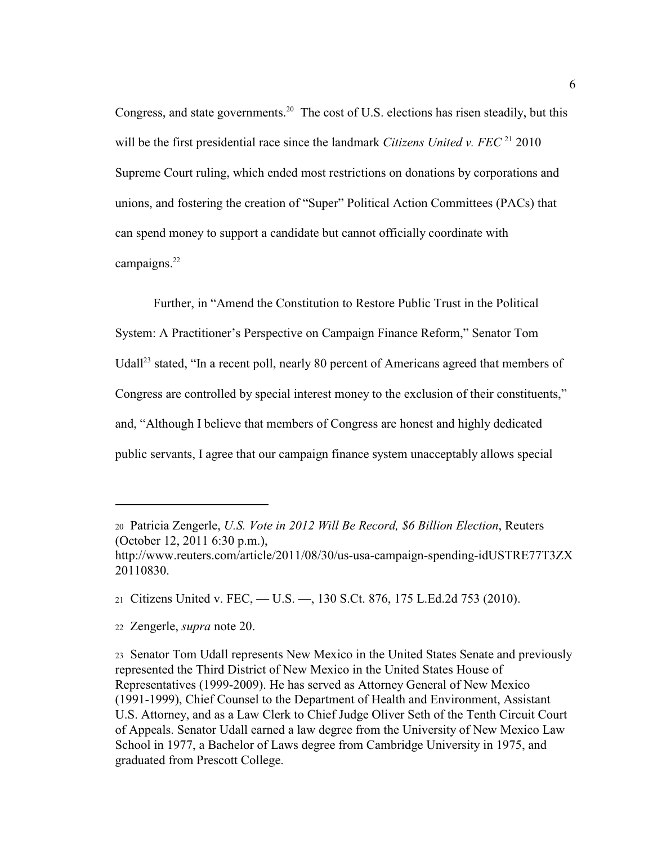Congress, and state governments.<sup>20</sup> The cost of U.S. elections has risen steadily, but this will be the first presidential race since the landmark *Citizens United v. FEC*<sup>21</sup> 2010 Supreme Court ruling, which ended most restrictions on donations by corporations and unions, and fostering the creation of "Super" Political Action Committees (PACs) that can spend money to support a candidate but cannot officially coordinate with campaigns.<sup>22</sup>

Further, in "Amend the Constitution to Restore Public Trust in the Political System: A Practitioner's Perspective on Campaign Finance Reform," Senator Tom Udall<sup>23</sup> stated, "In a recent poll, nearly 80 percent of Americans agreed that members of Congress are controlled by special interest money to the exclusion of their constituents," and, "Although I believe that members of Congress are honest and highly dedicated public servants, I agree that our campaign finance system unacceptably allows special

<sup>20</sup> Patricia Zengerle, *U.S. Vote in 2012 Will Be Record, \$6 Billion Election*, Reuters (October 12, 2011 6:30 p.m.),

http://www.reuters.com/article/2011/08/30/us-usa-campaign-spending-idUSTRE77T3ZX 20110830.

<sup>21</sup>Citizens United v. FEC, — U.S. —, 130 S.Ct. 876, 175 L.Ed.2d 753 (2010).

<sup>22</sup> Zengerle, *supra* note 20.

<sup>23</sup> Senator Tom Udall represents New Mexico in the United States Senate and previously represented the Third District of New Mexico in the United States House of Representatives (1999-2009). He has served as Attorney General of New Mexico (1991-1999), Chief Counsel to the Department of Health and Environment, Assistant U.S. Attorney, and as a Law Clerk to Chief Judge Oliver Seth of the Tenth Circuit Court of Appeals. Senator Udall earned a law degree from the University of New Mexico Law School in 1977, a Bachelor of Laws degree from Cambridge University in 1975, and graduated from Prescott College.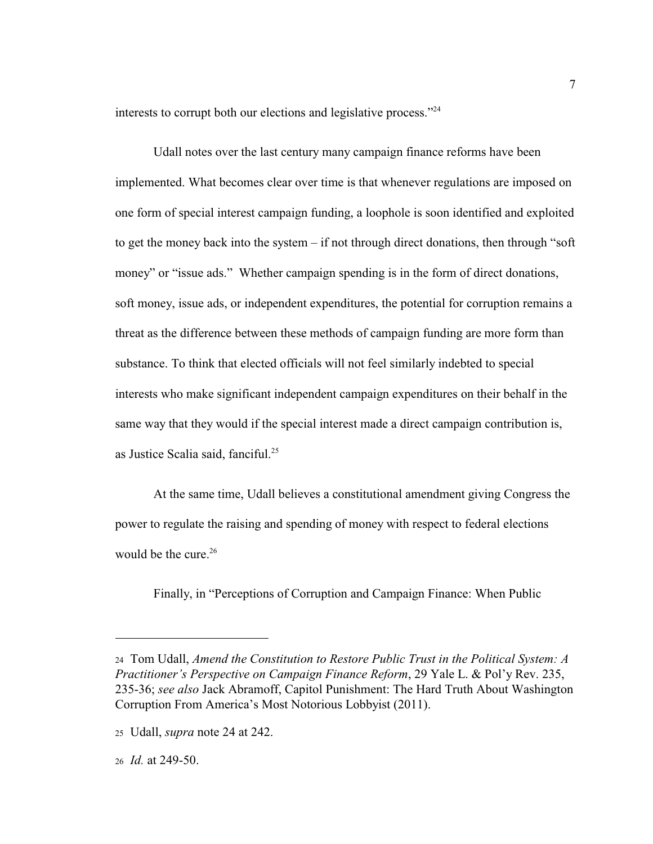interests to corrupt both our elections and legislative process."<sup>24</sup>

Udall notes over the last century many campaign finance reforms have been implemented. What becomes clear over time is that whenever regulations are imposed on one form of special interest campaign funding, a loophole is soon identified and exploited to get the money back into the system – if not through direct donations, then through "soft money" or "issue ads." Whether campaign spending is in the form of direct donations, soft money, issue ads, or independent expenditures, the potential for corruption remains a threat as the difference between these methods of campaign funding are more form than substance. To think that elected officials will not feel similarly indebted to special interests who make significant independent campaign expenditures on their behalf in the same way that they would if the special interest made a direct campaign contribution is, as Justice Scalia said, fanciful.<sup>25</sup>

At the same time, Udall believes a constitutional amendment giving Congress the power to regulate the raising and spending of money with respect to federal elections would be the cure. $26$ 

Finally, in "Perceptions of Corruption and Campaign Finance: When Public

<sup>24</sup> Tom Udall, *Amend the Constitution to Restore Public Trust in the Political System: A Practitioner's Perspective on Campaign Finance Reform*, 29 Yale L. & Pol'y Rev. 235, 235-36; *see also* Jack Abramoff, Capitol Punishment: The Hard Truth About Washington Corruption From America's Most Notorious Lobbyist (2011).

<sup>25</sup> Udall, *supra* note 24 at 242.

<sup>26</sup> *Id.* at 249-50.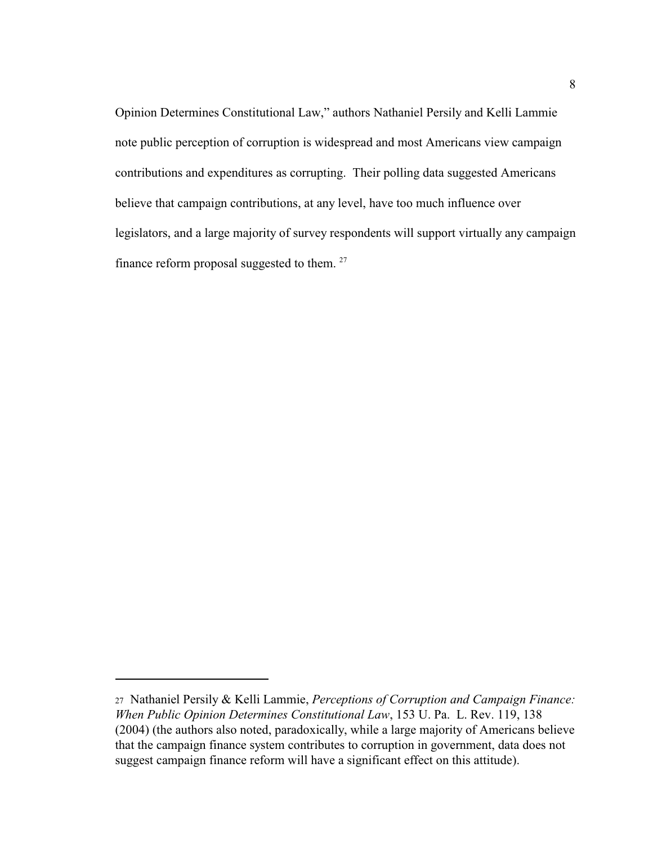Opinion Determines Constitutional Law," authors Nathaniel Persily and Kelli Lammie note public perception of corruption is widespread and most Americans view campaign contributions and expenditures as corrupting. Their polling data suggested Americans believe that campaign contributions, at any level, have too much influence over legislators, and a large majority of survey respondents will support virtually any campaign finance reform proposal suggested to them.<sup>27</sup>

<sup>27</sup> Nathaniel Persily & Kelli Lammie, *Perceptions of Corruption and Campaign Finance: When Public Opinion Determines Constitutional Law*, 153 U. Pa. L. Rev. 119, 138 (2004) (the authors also noted, paradoxically, while a large majority of Americans believe that the campaign finance system contributes to corruption in government, data does not suggest campaign finance reform will have a significant effect on this attitude).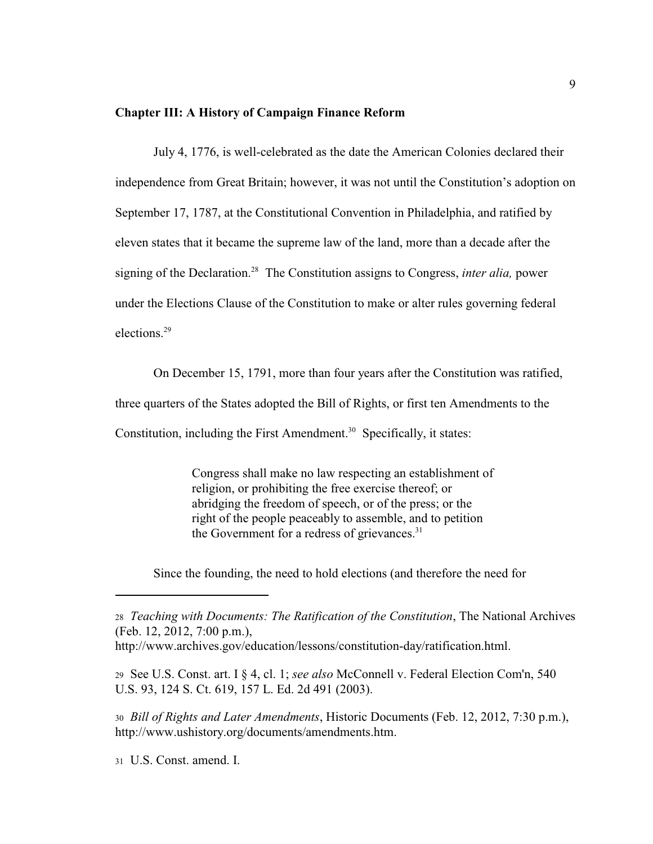#### **Chapter III: A History of Campaign Finance Reform**

 July 4, 1776, is well-celebrated as the date the American Colonies declared their independence from Great Britain; however, it was not until the Constitution's adoption on September 17, 1787, at the Constitutional Convention in Philadelphia, and ratified by eleven states that it became the supreme law of the land, more than a decade after the signing of the Declaration.<sup>28</sup> The Constitution assigns to Congress, *inter alia*, power under the Elections Clause of the Constitution to make or alter rules governing federal elections.<sup>29</sup>

On December 15, 1791, more than four years after the Constitution was ratified,

three quarters of the States adopted the Bill of Rights, or first ten Amendments to the

Constitution, including the First Amendment.<sup>30</sup> Specifically, it states:

Congress shall make no law respecting an establishment of religion, or prohibiting the free exercise thereof; or abridging the freedom of speech, or of the press; or the right of the people peaceably to assemble, and to petition the Government for a redress of grievances.<sup>31</sup>

Since the founding, the need to hold elections (and therefore the need for

<sup>28</sup> *Teaching with Documents: The Ratification of the Constitution*, The National Archives (Feb. 12, 2012, 7:00 p.m.),

<sup>29</sup> See U.S. Const. art. I § 4, cl. 1; *see also* McConnell v. Federal Election Com'n, 540 U.S. 93, 124 S. Ct. 619, 157 L. Ed. 2d 491 (2003).

<sup>30</sup> *Bill of Rights and Later Amendments*, Historic Documents (Feb. 12, 2012, 7:30 p.m.), http://www.ushistory.org/documents/amendments.htm.

31 U.S. Const. amend. I.

http://www.archives.gov/education/lessons/constitution-day/ratification.html.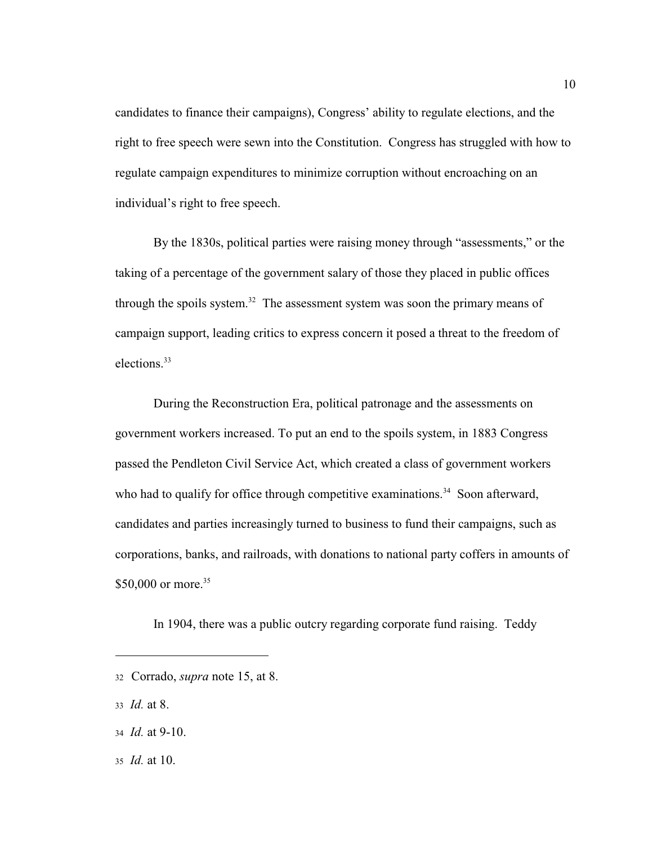candidates to finance their campaigns), Congress' ability to regulate elections, and the right to free speech were sewn into the Constitution. Congress has struggled with how to regulate campaign expenditures to minimize corruption without encroaching on an individual's right to free speech.

By the 1830s, political parties were raising money through "assessments," or the taking of a percentage of the government salary of those they placed in public offices through the spoils system.<sup>32</sup> The assessment system was soon the primary means of campaign support, leading critics to express concern it posed a threat to the freedom of elections. 33

During the Reconstruction Era, political patronage and the assessments on government workers increased. To put an end to the spoils system, in 1883 Congress passed the Pendleton Civil Service Act, which created a class of government workers who had to qualify for office through competitive examinations.<sup>34</sup> Soon afterward, candidates and parties increasingly turned to business to fund their campaigns, such as corporations, banks, and railroads, with donations to national party coffers in amounts of \$50,000 or more.<sup>35</sup>

In 1904, there was a public outcry regarding corporate fund raising. Teddy

35 *Id.* at 10.

<sup>32</sup>Corrado, *supra* note 15, at 8.

<sup>33</sup> *Id.* at 8.

<sup>34</sup> *Id.* at 9-10.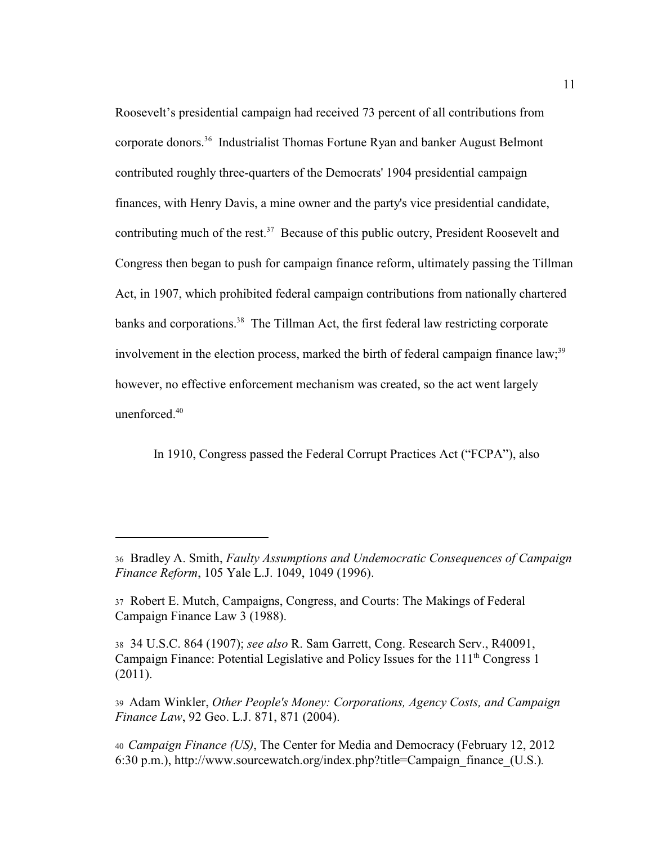Roosevelt's presidential campaign had received 73 percent of all contributions from corporate donors.<sup>36</sup> Industrialist Thomas Fortune Ryan and banker August Belmont contributed roughly three-quarters of the Democrats' 1904 presidential campaign finances, with Henry Davis, a mine owner and the party's vice presidential candidate, contributing much of the rest.<sup>37</sup> Because of this public outcry, President Roosevelt and Congress then began to push for campaign finance reform, ultimately passing the Tillman Act, in 1907, which prohibited federal campaign contributions from nationally chartered banks and corporations.<sup>38</sup> The Tillman Act, the first federal law restricting corporate involvement in the election process, marked the birth of federal campaign finance  $law$ ;<sup>39</sup> however, no effective enforcement mechanism was created, so the act went largely unenforced.<sup>40</sup>

In 1910, Congress passed the Federal Corrupt Practices Act ("FCPA"), also

<sup>36</sup> Bradley A. Smith, *Faulty Assumptions and Undemocratic Consequences of Campaign Finance Reform*, 105 Yale L.J. 1049, 1049 (1996).

<sup>37</sup> Robert E. Mutch, Campaigns, Congress, and Courts: The Makings of Federal Campaign Finance Law 3 (1988).

<sup>38</sup> 34 U.S.C. 864 (1907); *see also* R. Sam Garrett, Cong. Research Serv., R40091, Campaign Finance: Potential Legislative and Policy Issues for the  $111<sup>th</sup> Congress 1$ (2011).

<sup>39</sup> Adam Winkler, *Other People's Money: Corporations, Agency Costs, and Campaign Finance Law*, 92 Geo. L.J. 871, 871 (2004).

<sup>40</sup>*Campaign Finance (US)*, The Center for Media and Democracy (February 12, 2012 6:30 p.m.), http://www.sourcewatch.org/index.php?title=Campaign\_finance\_(U.S.)*.*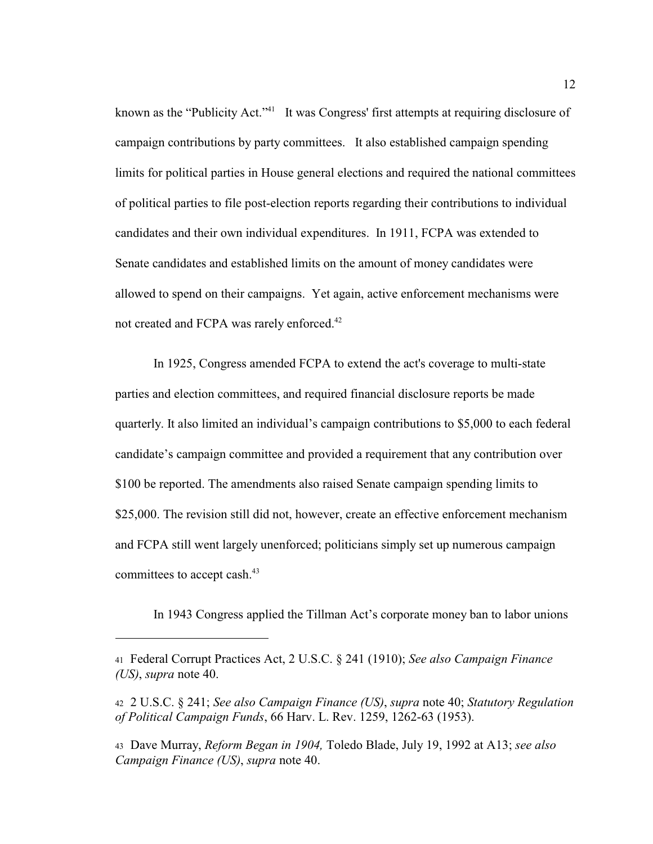known as the "Publicity Act."<sup>41</sup> It was Congress' first attempts at requiring disclosure of campaign contributions by party committees. It also established campaign spending limits for political parties in House general elections and required the national committees of political parties to file post-election reports regarding their contributions to individual candidates and their own individual expenditures. In 1911, FCPA was extended to Senate candidates and established limits on the amount of money candidates were allowed to spend on their campaigns. Yet again, active enforcement mechanisms were not created and FCPA was rarely enforced.<sup>42</sup>

In 1925, Congress amended FCPA to extend the act's coverage to multi-state parties and election committees, and required financial disclosure reports be made quarterly. It also limited an individual's campaign contributions to \$5,000 to each federal candidate's campaign committee and provided a requirement that any contribution over \$100 be reported. The amendments also raised Senate campaign spending limits to \$25,000. The revision still did not, however, create an effective enforcement mechanism and FCPA still went largely unenforced; politicians simply set up numerous campaign committees to accept cash.<sup>43</sup>

In 1943 Congress applied the Tillman Act's corporate money ban to labor unions

<sup>41</sup> Federal Corrupt Practices Act, 2 U.S.C. § 241 (1910); *See also Campaign Finance (US)*, *supra* note 40.

<sup>42</sup>2 U.S.C. § 241; *See also Campaign Finance (US)*, *supra* note 40; *Statutory Regulation of Political Campaign Funds*, 66 Harv. L. Rev. 1259, 1262-63 (1953).

<sup>43</sup>Dave Murray, *Reform Began in 1904,* Toledo Blade, July 19, 1992 at A13; *see also Campaign Finance (US)*, *supra* note 40.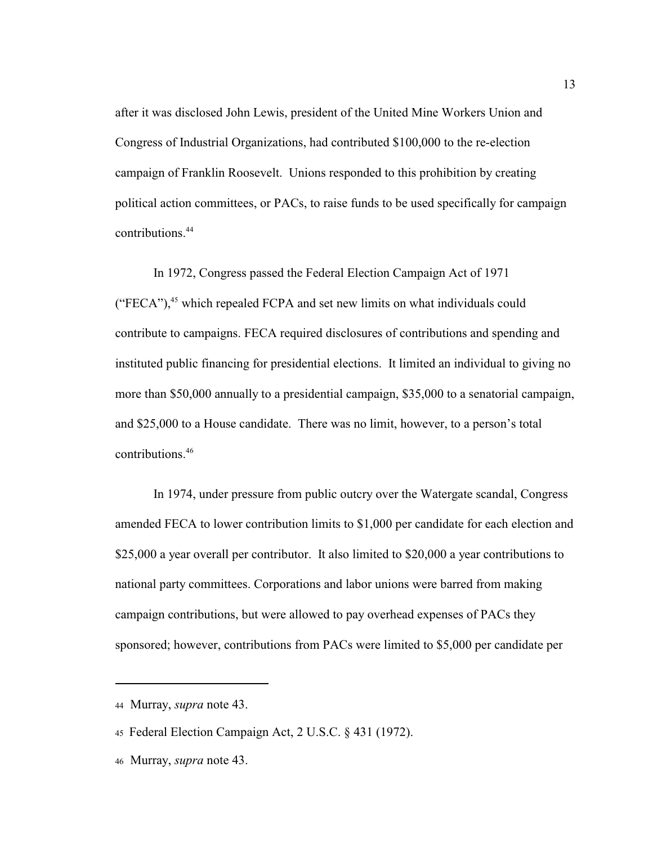after it was disclosed John Lewis, president of the United Mine Workers Union and Congress of Industrial Organizations, had contributed \$100,000 to the re-election campaign of Franklin Roosevelt. Unions responded to this prohibition by creating political action committees, or PACs, to raise funds to be used specifically for campaign contributions.<sup>44</sup>

In 1972, Congress passed the Federal Election Campaign Act of 1971 ("FECA"), $45$  which repealed FCPA and set new limits on what individuals could contribute to campaigns. FECA required disclosures of contributions and spending and instituted public financing for presidential elections. It limited an individual to giving no more than \$50,000 annually to a presidential campaign, \$35,000 to a senatorial campaign, and \$25,000 to a House candidate. There was no limit, however, to a person's total contributions.<sup>46</sup>

In 1974, under pressure from public outcry over the Watergate scandal, Congress amended FECA to lower contribution limits to \$1,000 per candidate for each election and \$25,000 a year overall per contributor. It also limited to \$20,000 a year contributions to national party committees. Corporations and labor unions were barred from making campaign contributions, but were allowed to pay overhead expenses of PACs they sponsored; however, contributions from PACs were limited to \$5,000 per candidate per

<sup>44</sup> Murray, *supra* note 43.

<sup>45</sup> Federal Election Campaign Act, 2 U.S.C. § 431 (1972).

<sup>46</sup> Murray, *supra* note 43.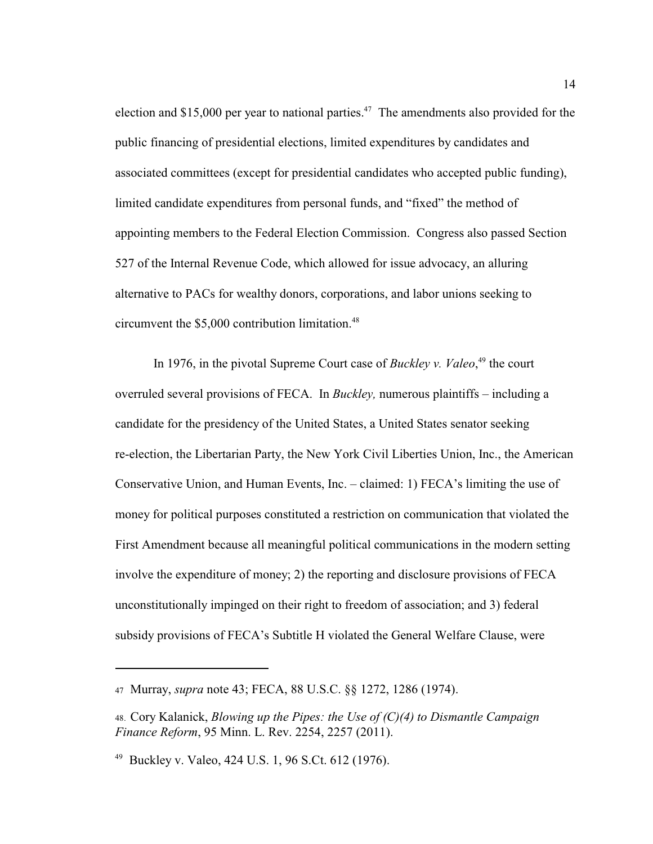election and \$15,000 per year to national parties.<sup>47</sup> The amendments also provided for the public financing of presidential elections, limited expenditures by candidates and associated committees (except for presidential candidates who accepted public funding), limited candidate expenditures from personal funds, and "fixed" the method of appointing members to the Federal Election Commission. Congress also passed Section 527 of the Internal Revenue Code, which allowed for issue advocacy, an alluring alternative to PACs for wealthy donors, corporations, and labor unions seeking to circumvent the  $$5,000$  contribution limitation.<sup>48</sup>

In 1976, in the pivotal Supreme Court case of *Buckley v. Valeo*,<sup>49</sup> the court overruled several provisions of FECA. In *Buckley,* numerous plaintiffs – including a candidate for the presidency of the United States, a United States senator seeking re-election, the Libertarian Party, the New York Civil Liberties Union, Inc., the American Conservative Union, and Human Events, Inc. – claimed: 1) FECA's limiting the use of money for political purposes constituted a restriction on communication that violated the First Amendment because all meaningful political communications in the modern setting involve the expenditure of money; 2) the reporting and disclosure provisions of FECA unconstitutionally impinged on their right to freedom of association; and 3) federal subsidy provisions of FECA's Subtitle H violated the General Welfare Clause, were

<sup>47</sup> Murray, *supra* note 43; FECA, 88 U.S.C. §§ 1272, 1286 (1974).

<sup>48.</sup> Cory Kalanick, *Blowing up the Pipes: the Use of (C)(4) to Dismantle Campaign Finance Reform*, 95 Minn. L. Rev. 2254, 2257 (2011).

<sup>&</sup>lt;sup>49</sup> Buckley v. Valeo, 424 U.S. 1, 96 S.Ct. 612 (1976).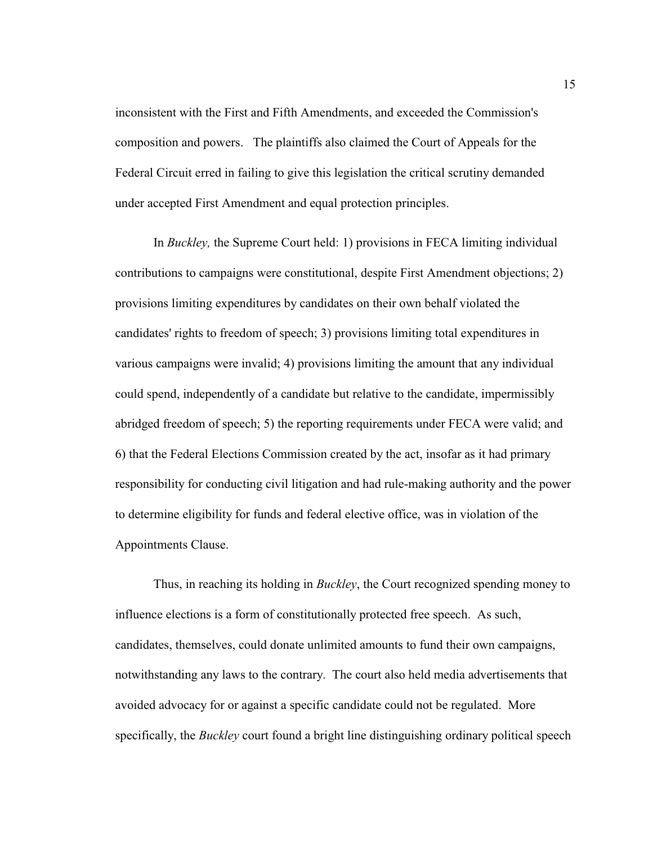inconsistent with the First and Fifth Amendments, and exceeded the Commission's composition and powers. The plaintiffs also claimed the Court of Appeals for the Federal Circuit erred in failing to give this legislation the critical scrutiny demanded under accepted First Amendment and equal protection principles.

In *Buckley,* the Supreme Court held: 1) provisions in FECA limiting individual contributions to campaigns were constitutional, despite First Amendment objections; 2) provisions limiting expenditures by candidates on their own behalf violated the candidates' rights to freedom of speech; 3) provisions limiting total expenditures in various campaigns were invalid; 4) provisions limiting the amount that any individual could spend, independently of a candidate but relative to the candidate, impermissibly abridged freedom of speech; 5) the reporting requirements under FECA were valid; and 6) that the Federal Elections Commission created by the act, insofar as it had primary responsibility for conducting civil litigation and had rule-making authority and the power to determine eligibility for funds and federal elective office, was in violation of the Appointments Clause.

Thus, in reaching its holding in *Buckley*, the Court recognized spending money to influence elections is a form of constitutionally protected free speech. As such, candidates, themselves, could donate unlimited amounts to fund their own campaigns, notwithstanding any laws to the contrary. The court also held media advertisements that avoided advocacy for or against a specific candidate could not be regulated. More specifically, the *Buckley* court found a bright line distinguishing ordinary political speech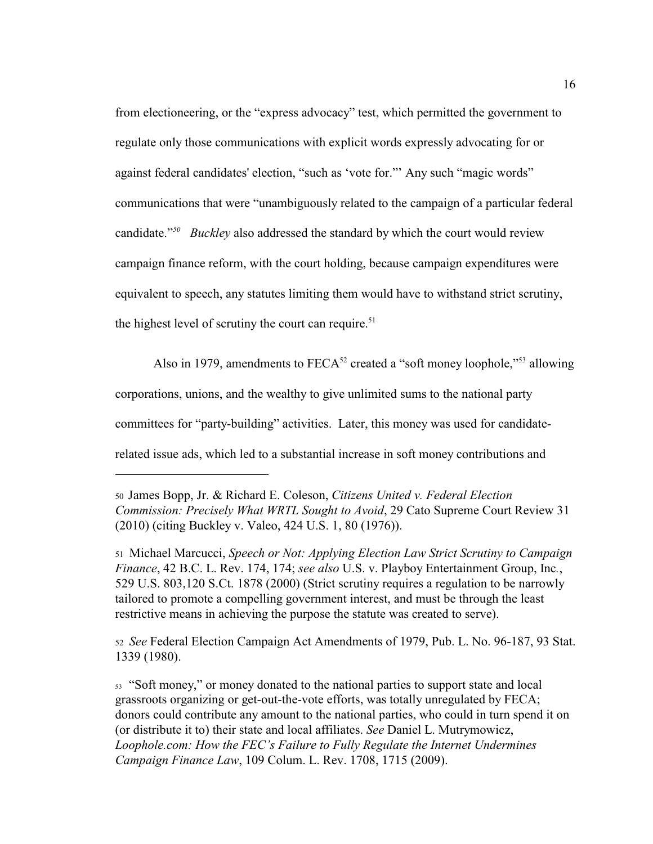from electioneering, or the "express advocacy" test, which permitted the government to regulate only those communications with explicit words expressly advocating for or against federal candidates' election, "such as 'vote for."' Any such "magic words" communications that were "unambiguously related to the campaign of a particular federal candidate."<sup>50</sup> Buckley also addressed the standard by which the court would review campaign finance reform, with the court holding, because campaign expenditures were equivalent to speech, any statutes limiting them would have to withstand strict scrutiny, the highest level of scrutiny the court can require.<sup>51</sup>

Also in 1979, amendments to  $FECA<sup>52</sup>$  created a "soft money loophole,"<sup>53</sup> allowing corporations, unions, and the wealthy to give unlimited sums to the national party committees for "party-building" activities. Later, this money was used for candidaterelated issue ads, which led to a substantial increase in soft money contributions and

<sup>51</sup> Michael Marcucci, *Speech or Not: Applying Election Law Strict Scrutiny to Campaign Finance*, 42 B.C. L. Rev. 174, 174; *see also* U.S. v. Playboy Entertainment Group, Inc*.*, 529 U.S. 803,120 S.Ct. 1878 (2000) (Strict scrutiny requires a regulation to be narrowly tailored to promote a compelling government interest, and must be through the least restrictive means in achieving the purpose the statute was created to serve).

<sup>52</sup> *See* Federal Election Campaign Act Amendments of 1979, Pub. L. No. 96-187, 93 Stat. 1339 (1980).

<sup>53</sup> "Soft money," or money donated to the national parties to support state and local grassroots organizing or get-out-the-vote efforts, was totally unregulated by FECA; donors could contribute any amount to the national parties, who could in turn spend it on (or distribute it to) their state and local affiliates. *See* Daniel L. Mutrymowicz, *Loophole.com: How the FEC's Failure to Fully Regulate the Internet Undermines Campaign Finance Law*, 109 Colum. L. Rev. 1708, 1715 (2009).

<sup>50</sup>James Bopp, Jr. & Richard E. Coleson, *Citizens United v. Federal Election Commission: Precisely What WRTL Sought to Avoid*, 29 Cato Supreme Court Review 31 (2010) (citing Buckley v. Valeo, 424 U.S. 1, 80 (1976)).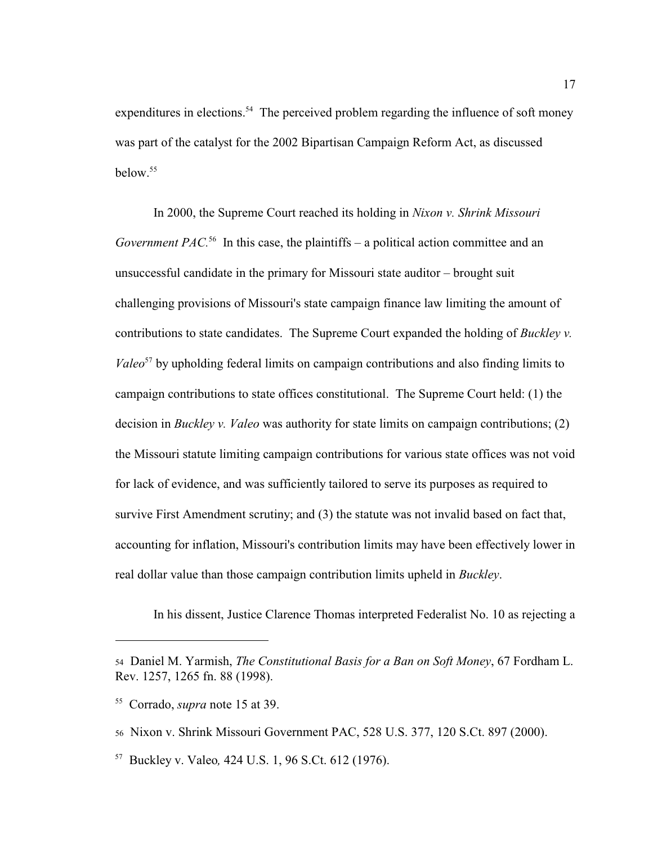expenditures in elections.<sup>54</sup> The perceived problem regarding the influence of soft money was part of the catalyst for the 2002 Bipartisan Campaign Reform Act, as discussed  $helow<sup>55</sup>$ 

In 2000, the Supreme Court reached its holding in *Nixon v. Shrink Missouri Government PAC*<sup>56</sup> In this case, the plaintiffs – a political action committee and an unsuccessful candidate in the primary for Missouri state auditor – brought suit challenging provisions of Missouri's state campaign finance law limiting the amount of contributions to state candidates. The Supreme Court expanded the holding of *Buckley v. Valeo*<sup>57</sup> by upholding federal limits on campaign contributions and also finding limits to campaign contributions to state offices constitutional. The Supreme Court held: (1) the decision in *Buckley v. Valeo* was authority for state limits on campaign contributions; (2) the Missouri statute limiting campaign contributions for various state offices was not void for lack of evidence, and was sufficiently tailored to serve its purposes as required to survive First Amendment scrutiny; and (3) the statute was not invalid based on fact that, accounting for inflation, Missouri's contribution limits may have been effectively lower in real dollar value than those campaign contribution limits upheld in *Buckley*.

In his dissent, Justice Clarence Thomas interpreted Federalist No. 10 as rejecting a

<sup>54</sup> Daniel M. Yarmish, *The Constitutional Basis for a Ban on Soft Money*, 67 Fordham L. Rev. 1257, 1265 fn. 88 (1998).

<sup>&</sup>lt;sup>55</sup> Corrado, *supra* note 15 at 39.

<sup>56</sup> Nixon v. Shrink Missouri Government PAC, 528 U.S. 377, 120 S.Ct. 897 (2000).

<sup>&</sup>lt;sup>57</sup> Buckley v. Valeo, 424 U.S. 1, 96 S.Ct. 612 (1976).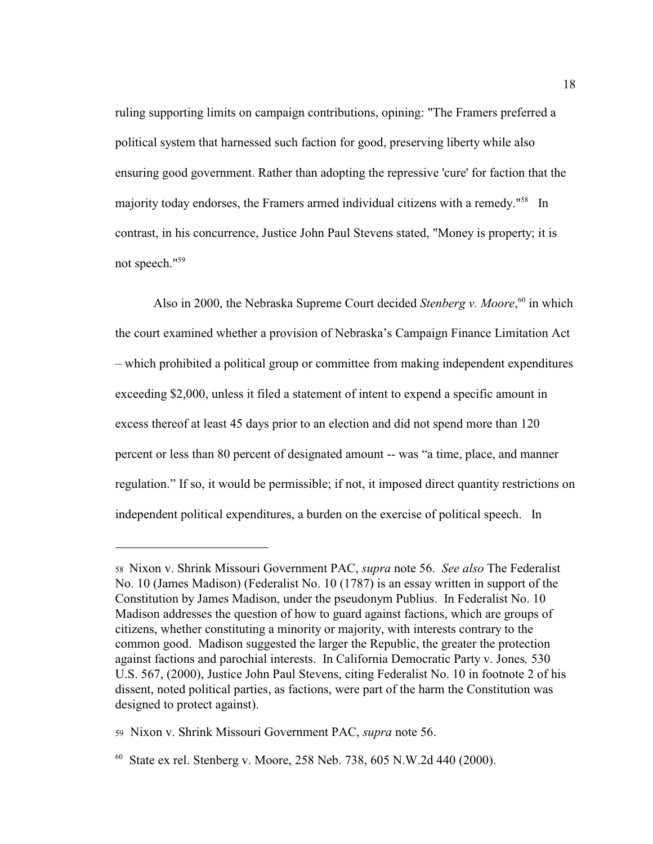ruling supporting limits on campaign contributions, opining: "The Framers preferred a political system that harnessed such faction for good, preserving liberty while also ensuring good government. Rather than adopting the repressive 'cure' for faction that the majority today endorses, the Framers armed individual citizens with a remedy."<sup>58</sup> In contrast, in his concurrence, Justice John Paul Stevens stated, "Money is property; it is not speech."<sup>59</sup>

Also in 2000, the Nebraska Supreme Court decided *Stenberg v. Moore*, <sup>60</sup> in which the court examined whether a provision of Nebraska's Campaign Finance Limitation Act – which prohibited a political group or committee from making independent expenditures exceeding \$2,000, unless it filed a statement of intent to expend a specific amount in excess thereof at least 45 days prior to an election and did not spend more than 120 percent or less than 80 percent of designated amount -- was "a time, place, and manner regulation." If so, it would be permissible; if not, it imposed direct quantity restrictions on independent political expenditures, a burden on the exercise of political speech. In

<sup>58</sup> Nixon v. Shrink Missouri Government PAC, *supra* note 56. *See also* The Federalist No. 10 (James Madison) (Federalist No. 10 (1787) is an essay written in support of the Constitution by James Madison, under the pseudonym Publius. In Federalist No. 10 Madison addresses the question of how to guard against factions, which are groups of citizens, whether constituting a minority or majority, with interests contrary to the common good. Madison suggested the larger the Republic, the greater the protection against factions and parochial interests. In California Democratic Party v. Jones*,* 530 U.S. 567, (2000), Justice John Paul Stevens, citing Federalist No. 10 in footnote 2 of his dissent, noted political parties, as factions, were part of the harm the Constitution was designed to protect against).

<sup>59</sup> Nixon v. Shrink Missouri Government PAC, *supra* note 56.

 $60$  State ex rel. Stenberg v. Moore, 258 Neb. 738, 605 N.W.2d 440 (2000).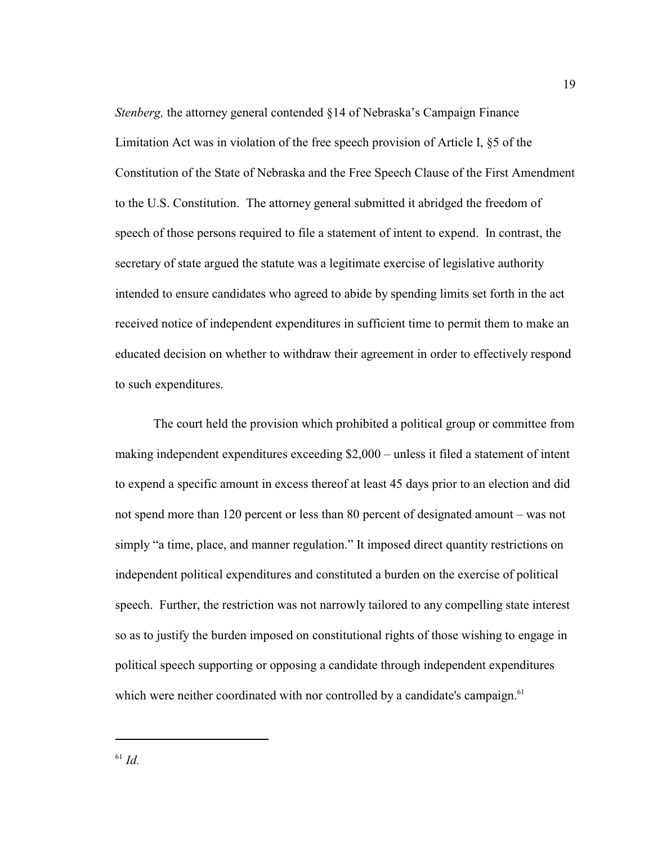*Stenberg*, the attorney general contended §14 of Nebraska's Campaign Finance Limitation Act was in violation of the free speech provision of Article I, §5 of the Constitution of the State of Nebraska and the Free Speech Clause of the First Amendment to the U.S. Constitution. The attorney general submitted it abridged the freedom of speech of those persons required to file a statement of intent to expend. In contrast, the secretary of state argued the statute was a legitimate exercise of legislative authority intended to ensure candidates who agreed to abide by spending limits set forth in the act received notice of independent expenditures in sufficient time to permit them to make an educated decision on whether to withdraw their agreement in order to effectively respond to such expenditures.

The court held the provision which prohibited a political group or committee from making independent expenditures exceeding \$2,000 – unless it filed a statement of intent to expend a specific amount in excess thereof at least 45 days prior to an election and did not spend more than 120 percent or less than 80 percent of designated amount – was not simply "a time, place, and manner regulation." It imposed direct quantity restrictions on independent political expenditures and constituted a burden on the exercise of political speech. Further, the restriction was not narrowly tailored to any compelling state interest so as to justify the burden imposed on constitutional rights of those wishing to engage in political speech supporting or opposing a candidate through independent expenditures which were neither coordinated with nor controlled by a candidate's campaign.<sup>61</sup>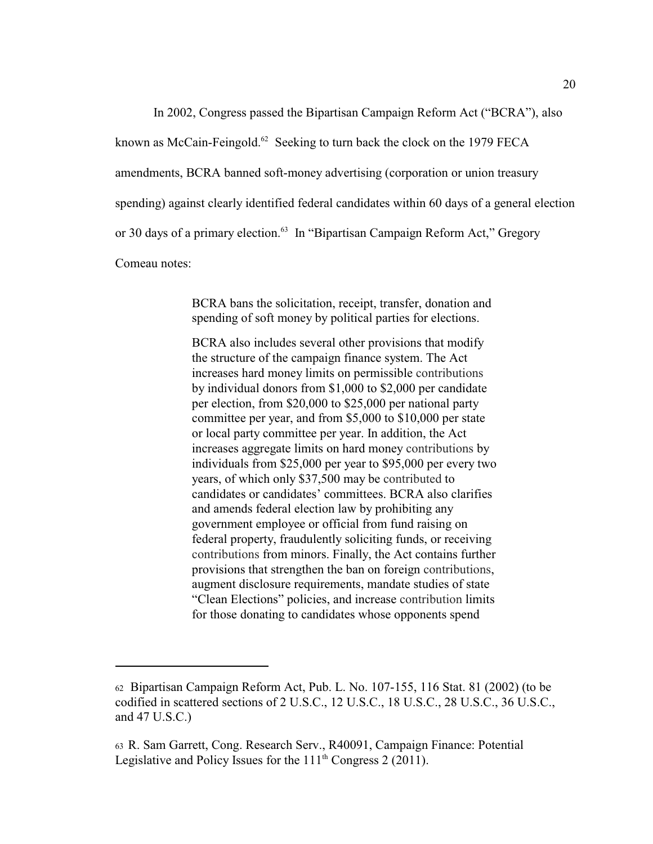In 2002, Congress passed the Bipartisan Campaign Reform Act ("BCRA"), also

known as McCain-Feingold. $62$  Seeking to turn back the clock on the 1979 FECA

amendments, BCRA banned soft-money advertising (corporation or union treasury

spending) against clearly identified federal candidates within 60 days of a general election

or 30 days of a primary election.<sup>63</sup> In "Bipartisan Campaign Reform Act," Gregory

Comeau notes:

BCRA bans the solicitation, receipt, transfer, donation and spending of soft money by political parties for elections.

BCRA also includes several other provisions that modify the structure of the campaign finance system. The Act increases hard money limits on permissible contributions by individual donors from \$1,000 to \$2,000 per candidate per election, from \$20,000 to \$25,000 per national party committee per year, and from \$5,000 to \$10,000 per state or local party committee per year. In addition, the Act increases aggregate limits on hard money contributions by individuals from \$25,000 per year to \$95,000 per every two years, of which only \$37,500 may be contributed to candidates or candidates' committees. BCRA also clarifies and amends federal election law by prohibiting any government employee or official from fund raising on federal property, fraudulently soliciting funds, or receiving contributions from minors. Finally, the Act contains further provisions that strengthen the ban on foreign contributions, augment disclosure requirements, mandate studies of state "Clean Elections" policies, and increase contribution limits for those donating to candidates whose opponents spend

 $62$  Bipartisan Campaign Reform Act, Pub. L. No. 107-155, 116 Stat. 81 (2002) (to be codified in scattered sections of 2 U.S.C., 12 U.S.C., 18 U.S.C., 28 U.S.C., 36 U.S.C., and 47 U.S.C.)

<sup>63</sup>R. Sam Garrett, Cong. Research Serv., R40091, Campaign Finance: Potential Legislative and Policy Issues for the  $111<sup>th</sup>$  Congress 2 (2011).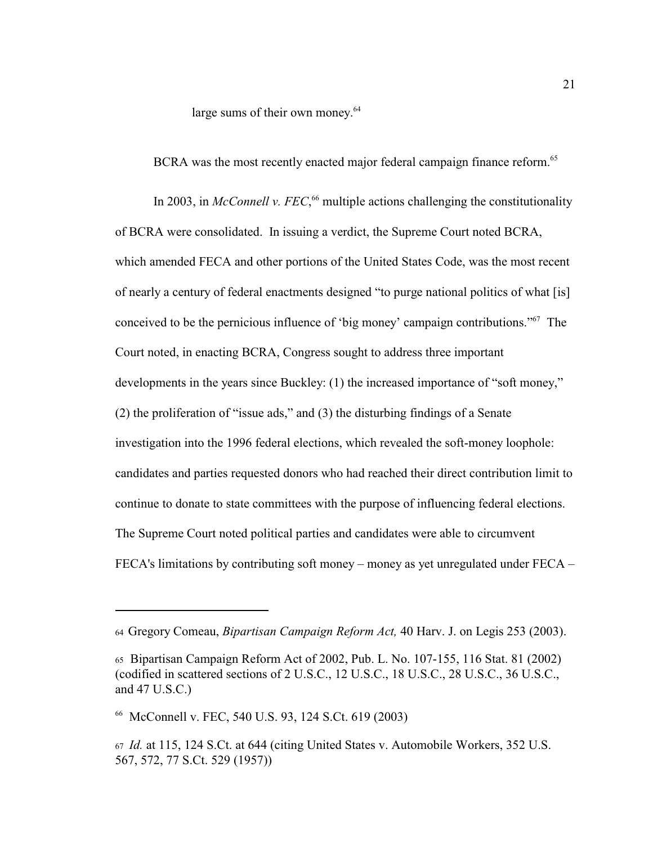large sums of their own money.<sup>64</sup>

BCRA was the most recently enacted major federal campaign finance reform.<sup>65</sup>

In 2003, in *McConnell v. FEC*,<sup>66</sup> multiple actions challenging the constitutionality of BCRA were consolidated. In issuing a verdict, the Supreme Court noted BCRA, which amended FECA and other portions of the United States Code, was the most recent of nearly a century of federal enactments designed "to purge national politics of what [is] conceived to be the pernicious influence of 'big money' campaign contributions." $\delta$ <sup>7</sup> The Court noted, in enacting BCRA, Congress sought to address three important developments in the years since Buckley: (1) the increased importance of "soft money," (2) the proliferation of "issue ads," and (3) the disturbing findings of a Senate investigation into the 1996 federal elections, which revealed the soft-money loophole: candidates and parties requested donors who had reached their direct contribution limit to continue to donate to state committees with the purpose of influencing federal elections. The Supreme Court noted political parties and candidates were able to circumvent FECA's limitations by contributing soft money – money as yet unregulated under FECA –

<sup>64</sup>Gregory Comeau, *Bipartisan Campaign Reform Act,* 40 Harv. J. on Legis 253 (2003).

<sup>65</sup> Bipartisan Campaign Reform Act of 2002, Pub. L. No. 107-155, 116 Stat. 81 (2002) (codified in scattered sections of 2 U.S.C., 12 U.S.C., 18 U.S.C., 28 U.S.C., 36 U.S.C., and 47 U.S.C.)

<sup>&</sup>lt;sup>66</sup> McConnell v. FEC, 540 U.S. 93, 124 S.Ct. 619 (2003)

<sup>67</sup> *Id.* at 115, 124 S.Ct. at 644 (citing United States v. Automobile Workers, 352 U.S. 567, 572, 77 S.Ct. 529 (1957))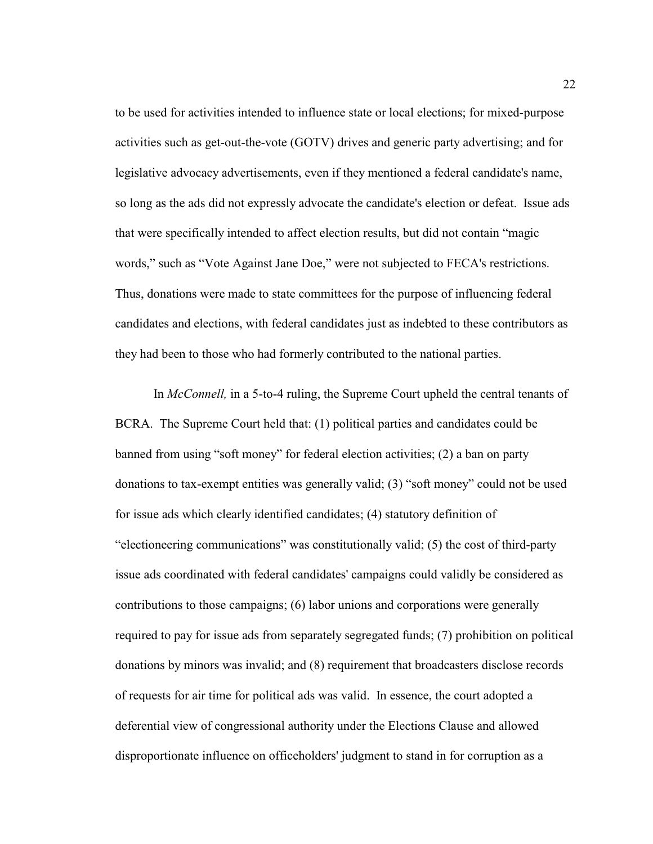to be used for activities intended to influence state or local elections; for mixed-purpose activities such as get-out-the-vote (GOTV) drives and generic party advertising; and for legislative advocacy advertisements, even if they mentioned a federal candidate's name, so long as the ads did not expressly advocate the candidate's election or defeat. Issue ads that were specifically intended to affect election results, but did not contain "magic words," such as "Vote Against Jane Doe," were not subjected to FECA's restrictions. Thus, donations were made to state committees for the purpose of influencing federal candidates and elections, with federal candidates just as indebted to these contributors as they had been to those who had formerly contributed to the national parties.

In *McConnell,* in a 5-to-4 ruling, the Supreme Court upheld the central tenants of BCRA. The Supreme Court held that: (1) political parties and candidates could be banned from using "soft money" for federal election activities; (2) a ban on party donations to tax-exempt entities was generally valid; (3) "soft money" could not be used for issue ads which clearly identified candidates; (4) statutory definition of "electioneering communications" was constitutionally valid; (5) the cost of third-party issue ads coordinated with federal candidates' campaigns could validly be considered as contributions to those campaigns; (6) labor unions and corporations were generally required to pay for issue ads from separately segregated funds; (7) prohibition on political donations by minors was invalid; and (8) requirement that broadcasters disclose records of requests for air time for political ads was valid. In essence, the court adopted a deferential view of congressional authority under the Elections Clause and allowed disproportionate influence on officeholders' judgment to stand in for corruption as a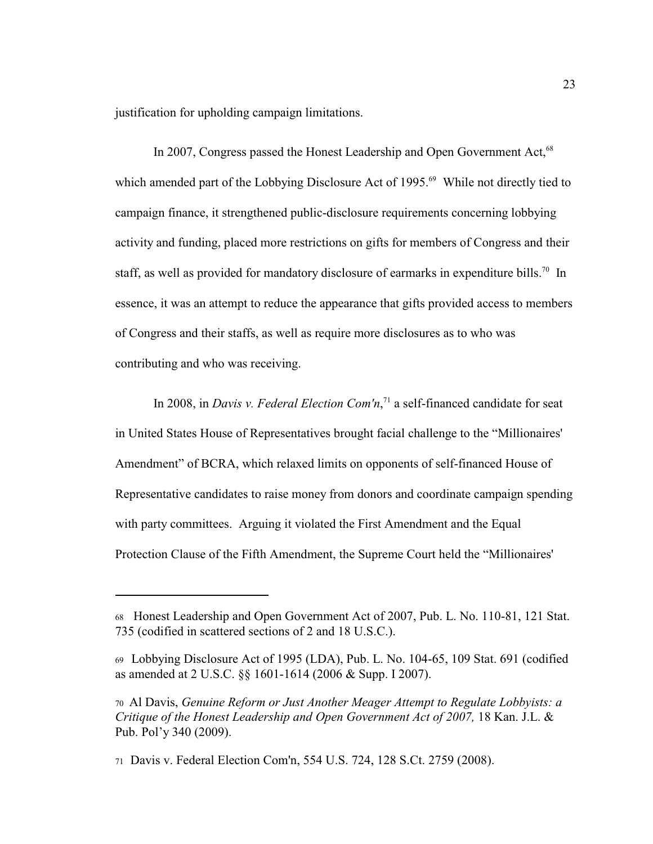justification for upholding campaign limitations.

In 2007, Congress passed the Honest Leadership and Open Government Act,<sup>68</sup> which amended part of the Lobbying Disclosure Act of 1995.<sup>69</sup> While not directly tied to campaign finance, it strengthened public-disclosure requirements concerning lobbying activity and funding, placed more restrictions on gifts for members of Congress and their staff, as well as provided for mandatory disclosure of earmarks in expenditure bills.<sup>70</sup> In essence, it was an attempt to reduce the appearance that gifts provided access to members of Congress and their staffs, as well as require more disclosures as to who was contributing and who was receiving.

In 2008, in *Davis v. Federal Election Com'n*,<sup> $71$ </sup> a self-financed candidate for seat in United States House of Representatives brought facial challenge to the "Millionaires' Amendment" of BCRA, which relaxed limits on opponents of self-financed House of Representative candidates to raise money from donors and coordinate campaign spending with party committees. Arguing it violated the First Amendment and the Equal Protection Clause of the Fifth Amendment, the Supreme Court held the "Millionaires'

<sup>68</sup> Honest Leadership and Open Government Act of 2007, Pub. L. No. 110-81, 121 Stat. 735 (codified in scattered sections of 2 and 18 U.S.C.).

<sup>69</sup>Lobbying Disclosure Act of 1995 (LDA), Pub. L. No. 104-65, 109 Stat. 691 (codified as amended at 2 U.S.C. §§ 1601-1614 (2006 & Supp. I 2007).

<sup>70</sup> Al Davis, *Genuine Reform or Just Another Meager Attempt to Regulate Lobbyists: a Critique of the Honest Leadership and Open Government Act of 2007,* 18 Kan. J.L. & Pub. Pol'y 340 (2009).

<sup>71</sup> Davis v. Federal Election Com'n, 554 U.S. 724, 128 S.Ct. 2759 (2008).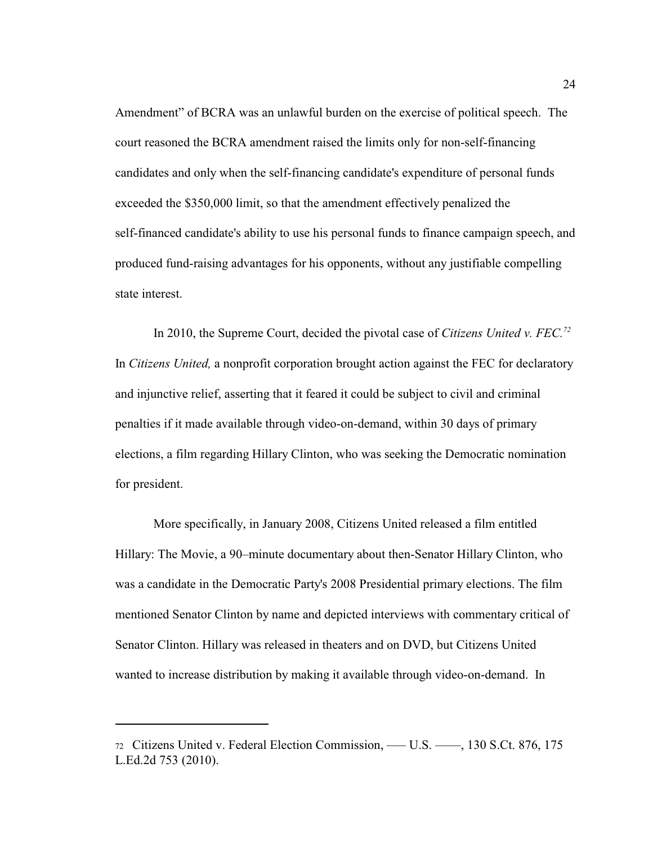Amendment" of BCRA was an unlawful burden on the exercise of political speech. The court reasoned the BCRA amendment raised the limits only for non-self-financing candidates and only when the self-financing candidate's expenditure of personal funds exceeded the \$350,000 limit, so that the amendment effectively penalized the self-financed candidate's ability to use his personal funds to finance campaign speech, and produced fund-raising advantages for his opponents, without any justifiable compelling state interest.

In 2010, the Supreme Court, decided the pivotal case of *Citizens United v. FEC.<sup>72</sup>* In *Citizens United,* a nonprofit corporation brought action against the FEC for declaratory and injunctive relief, asserting that it feared it could be subject to civil and criminal penalties if it made available through video-on-demand, within 30 days of primary elections, a film regarding Hillary Clinton, who was seeking the Democratic nomination for president.

More specifically, in January 2008, Citizens United released a film entitled Hillary: The Movie, a 90–minute documentary about then-Senator Hillary Clinton, who was a candidate in the Democratic Party's 2008 Presidential primary elections. The film mentioned Senator Clinton by name and depicted interviews with commentary critical of Senator Clinton. Hillary was released in theaters and on DVD, but Citizens United wanted to increase distribution by making it available through video-on-demand. In

<sup>72</sup> Citizens United v. Federal Election Commission, ––– U.S. ––––, 130 S.Ct. 876, 175 L.Ed.2d 753 (2010).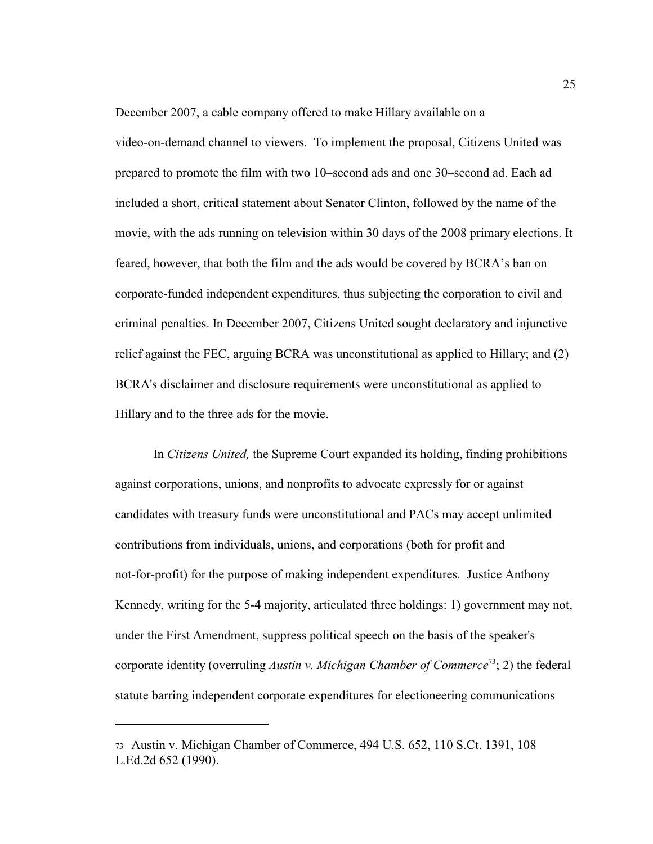December 2007, a cable company offered to make Hillary available on a

video-on-demand channel to viewers. To implement the proposal, Citizens United was prepared to promote the film with two 10–second ads and one 30–second ad. Each ad included a short, critical statement about Senator Clinton, followed by the name of the movie, with the ads running on television within 30 days of the 2008 primary elections. It feared, however, that both the film and the ads would be covered by BCRA's ban on corporate-funded independent expenditures, thus subjecting the corporation to civil and criminal penalties. In December 2007, Citizens United sought declaratory and injunctive relief against the FEC, arguing BCRA was unconstitutional as applied to Hillary; and (2) BCRA's disclaimer and disclosure requirements were unconstitutional as applied to Hillary and to the three ads for the movie.

In *Citizens United,* the Supreme Court expanded its holding, finding prohibitions against corporations, unions, and nonprofits to advocate expressly for or against candidates with treasury funds were unconstitutional and PACs may accept unlimited contributions from individuals, unions, and corporations (both for profit and not-for-profit) for the purpose of making independent expenditures. Justice Anthony Kennedy, writing for the 5-4 majority, articulated three holdings: 1) government may not, under the First Amendment, suppress political speech on the basis of the speaker's corporate identity (overruling Austin v. Michigan Chamber of Commerce<sup>73</sup>; 2) the federal statute barring independent corporate expenditures for electioneering communications

<sup>73</sup>Austin v. Michigan Chamber of Commerce, 494 U.S. 652, 110 S.Ct. 1391, 108 L.Ed.2d 652 (1990).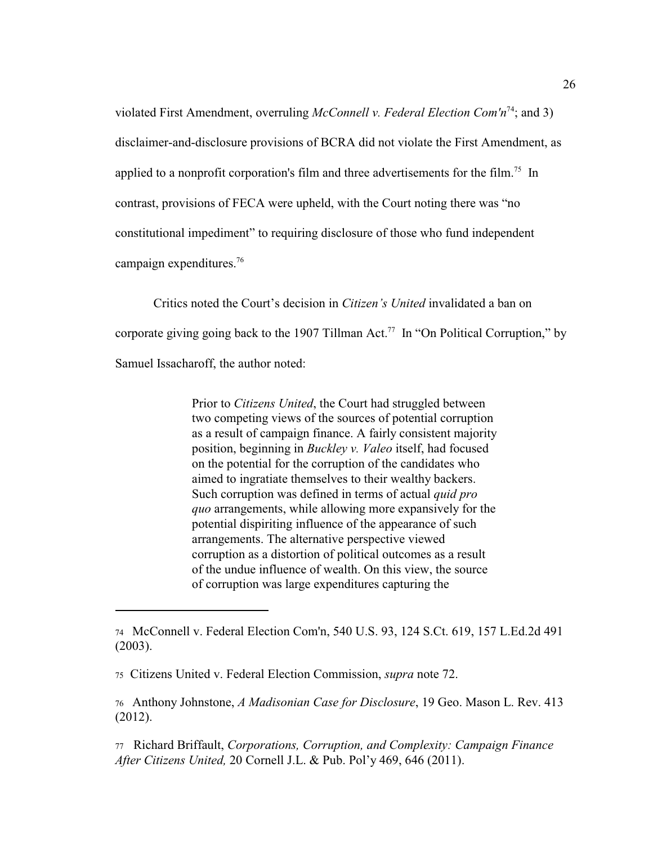violated First Amendment, overruling *McConnell v. Federal Election Com'n*<sup>74</sup>; and 3) disclaimer-and-disclosure provisions of BCRA did not violate the First Amendment, as applied to a nonprofit corporation's film and three advertisements for the film.<sup>75</sup> In contrast, provisions of FECA were upheld, with the Court noting there was "no constitutional impediment" to requiring disclosure of those who fund independent campaign expenditures.<sup>76</sup>

Critics noted the Court's decision in *Citizen's United* invalidated a ban on corporate giving going back to the 1907 Tillman Act.<sup>77</sup> In "On Political Corruption," by Samuel Issacharoff, the author noted:

> Prior to *Citizens United*, the Court had struggled between two competing views of the sources of potential corruption as a result of campaign finance. A fairly consistent majority position, beginning in *Buckley v. Valeo* itself, had focused on the potential for the corruption of the candidates who aimed to ingratiate themselves to their wealthy backers. Such corruption was defined in terms of actual *quid pro quo* arrangements, while allowing more expansively for the potential dispiriting influence of the appearance of such arrangements. The alternative perspective viewed corruption as a distortion of political outcomes as a result of the undue influence of wealth. On this view, the source of corruption was large expenditures capturing the

<sup>74</sup> McConnell v. Federal Election Com'n, 540 U.S. 93, 124 S.Ct. 619, 157 L.Ed.2d 491 (2003).

<sup>75</sup> Citizens United v. Federal Election Commission, *supra* note 72.

<sup>76</sup> Anthony Johnstone, *A Madisonian Case for Disclosure*, 19 Geo. Mason L. Rev. 413 (2012).

<sup>77</sup> Richard Briffault, *Corporations, Corruption, and Complexity: Campaign Finance After Citizens United,* 20 Cornell J.L. & Pub. Pol'y 469, 646 (2011).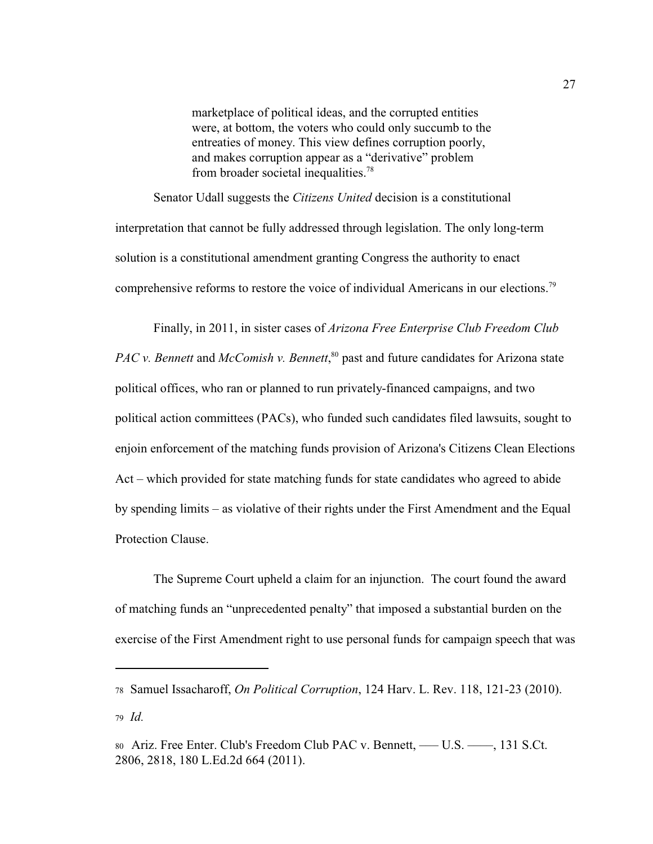marketplace of political ideas, and the corrupted entities were, at bottom, the voters who could only succumb to the entreaties of money. This view defines corruption poorly, and makes corruption appear as a "derivative" problem from broader societal inequalities.<sup>78</sup>

Senator Udall suggests the *Citizens United* decision is a constitutional interpretation that cannot be fully addressed through legislation. The only long-term solution is a constitutional amendment granting Congress the authority to enact comprehensive reforms to restore the voice of individual Americans in our elections.<sup>79</sup>

Finally, in 2011, in sister cases of *Arizona Free Enterprise Club Freedom Club PAC v. Bennett and McComish v. Bennett*,<sup>80</sup> past and future candidates for Arizona state political offices, who ran or planned to run privately-financed campaigns, and two political action committees (PACs), who funded such candidates filed lawsuits, sought to enjoin enforcement of the matching funds provision of Arizona's Citizens Clean Elections Act – which provided for state matching funds for state candidates who agreed to abide by spending limits – as violative of their rights under the First Amendment and the Equal Protection Clause.

The Supreme Court upheld a claim for an injunction. The court found the award of matching funds an "unprecedented penalty" that imposed a substantial burden on the exercise of the First Amendment right to use personal funds for campaign speech that was

<sup>78</sup> Samuel Issacharoff, *On Political Corruption*, 124 Harv. L. Rev. 118, 121-23 (2010).

<sup>79</sup> *Id.*

<sup>80</sup> Ariz. Free Enter. Club's Freedom Club PAC v. Bennett, — U.S. — , 131 S.Ct. 2806, 2818, 180 L.Ed.2d 664 (2011).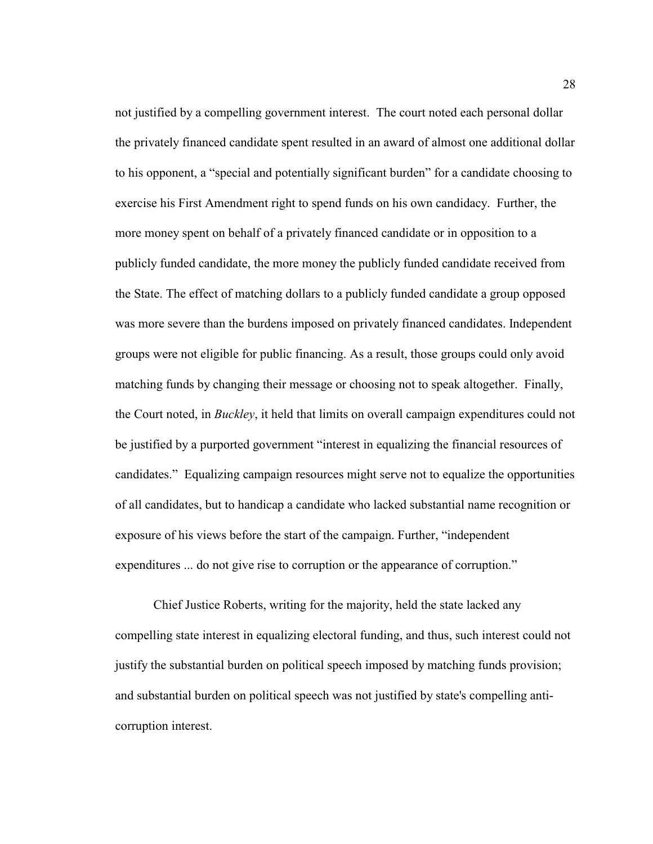not justified by a compelling government interest. The court noted each personal dollar the privately financed candidate spent resulted in an award of almost one additional dollar to his opponent, a "special and potentially significant burden" for a candidate choosing to exercise his First Amendment right to spend funds on his own candidacy. Further, the more money spent on behalf of a privately financed candidate or in opposition to a publicly funded candidate, the more money the publicly funded candidate received from the State. The effect of matching dollars to a publicly funded candidate a group opposed was more severe than the burdens imposed on privately financed candidates. Independent groups were not eligible for public financing. As a result, those groups could only avoid matching funds by changing their message or choosing not to speak altogether. Finally, the Court noted, in *Buckley*, it held that limits on overall campaign expenditures could not be justified by a purported government "interest in equalizing the financial resources of candidates." Equalizing campaign resources might serve not to equalize the opportunities of all candidates, but to handicap a candidate who lacked substantial name recognition or exposure of his views before the start of the campaign. Further, "independent expenditures ... do not give rise to corruption or the appearance of corruption."

Chief Justice Roberts, writing for the majority, held the state lacked any compelling state interest in equalizing electoral funding, and thus, such interest could not justify the substantial burden on political speech imposed by matching funds provision; and substantial burden on political speech was not justified by state's compelling anticorruption interest.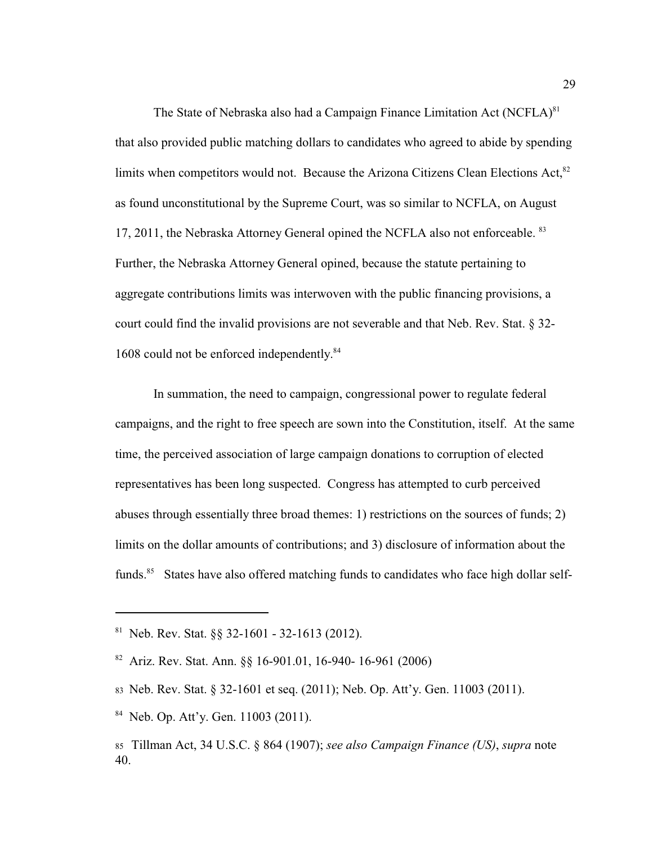The State of Nebraska also had a Campaign Finance Limitation Act  $(NCFLA)^{81}$ that also provided public matching dollars to candidates who agreed to abide by spending limits when competitors would not. Because the Arizona Citizens Clean Elections Act,<sup>82</sup> as found unconstitutional by the Supreme Court, was so similar to NCFLA, on August 17, 2011, the Nebraska Attorney General opined the NCFLA also not enforceable. <sup>83</sup> Further, the Nebraska Attorney General opined, because the statute pertaining to aggregate contributions limits was interwoven with the public financing provisions, a court could find the invalid provisions are not severable and that Neb. Rev. Stat. § 32- 1608 could not be enforced independently.<sup>84</sup>

In summation, the need to campaign, congressional power to regulate federal campaigns, and the right to free speech are sown into the Constitution, itself. At the same time, the perceived association of large campaign donations to corruption of elected representatives has been long suspected. Congress has attempted to curb perceived abuses through essentially three broad themes: 1) restrictions on the sources of funds; 2) limits on the dollar amounts of contributions; and 3) disclosure of information about the funds.<sup>85</sup> States have also offered matching funds to candidates who face high dollar self-

<sup>&</sup>lt;sup>81</sup> Neb. Rev. Stat.  $\S$ § 32-1601 - 32-1613 (2012).

 $82$  Ariz. Rev. Stat. Ann. §§ 16-901.01, 16-940- 16-961 (2006)

<sup>83</sup> Neb. Rev. Stat. § 32-1601 et seq. (2011); Neb. Op. Att'y. Gen. 11003 (2011).

 $84$  Neb. Op. Att'y. Gen. 11003 (2011).

<sup>85</sup>Tillman Act, 34 U.S.C. § 864 (1907); *see also Campaign Finance (US)*, *supra* note 40.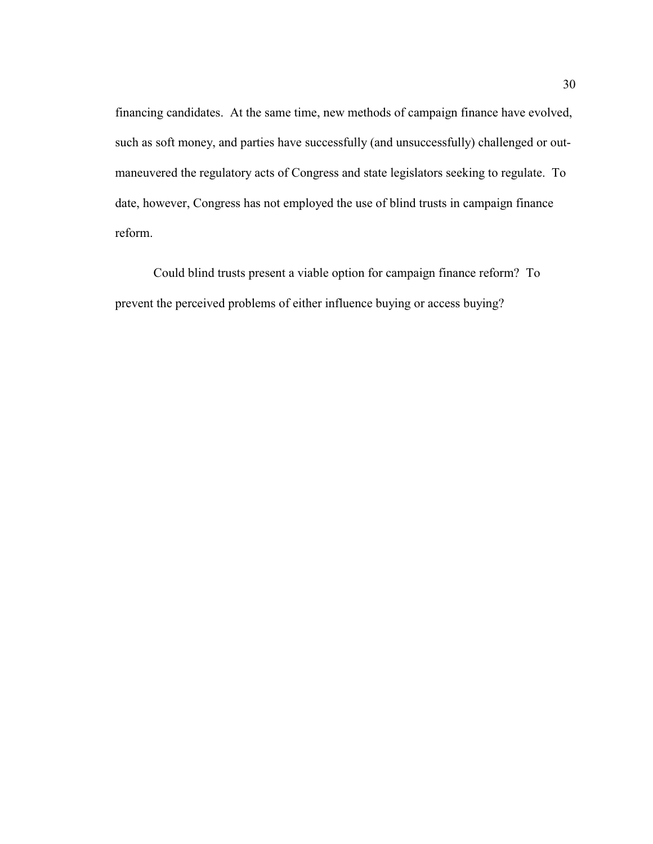financing candidates. At the same time, new methods of campaign finance have evolved, such as soft money, and parties have successfully (and unsuccessfully) challenged or outmaneuvered the regulatory acts of Congress and state legislators seeking to regulate. To date, however, Congress has not employed the use of blind trusts in campaign finance reform.

Could blind trusts present a viable option for campaign finance reform? To prevent the perceived problems of either influence buying or access buying?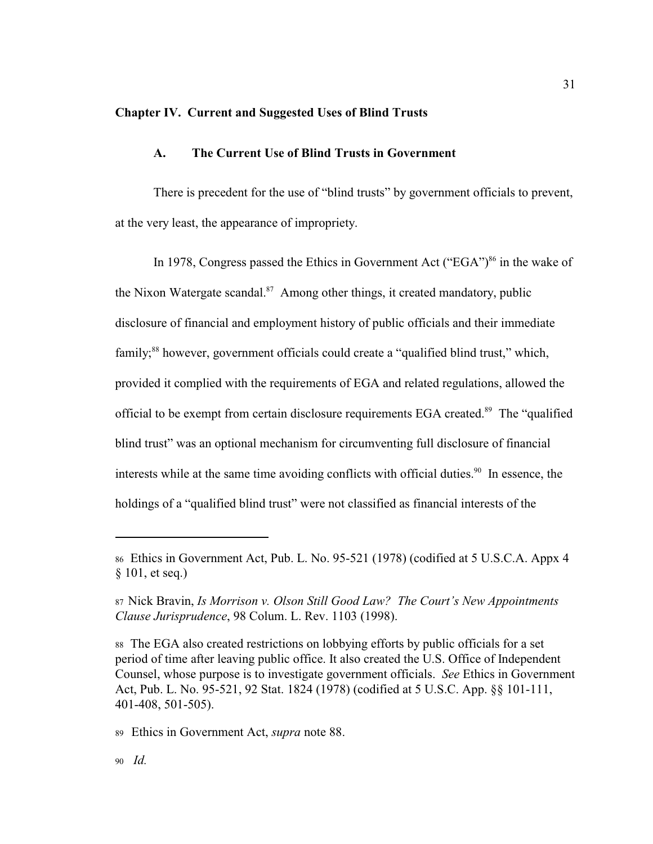#### **Chapter IV. Current and Suggested Uses of Blind Trusts**

### **A. The Current Use of Blind Trusts in Government**

There is precedent for the use of "blind trusts" by government officials to prevent, at the very least, the appearance of impropriety.

In 1978, Congress passed the Ethics in Government Act ("EGA") $^{86}$  in the wake of the Nixon Watergate scandal. $87$  Among other things, it created mandatory, public disclosure of financial and employment history of public officials and their immediate family;  $88$  however, government officials could create a "qualified blind trust," which, provided it complied with the requirements of EGA and related regulations, allowed the official to be exempt from certain disclosure requirements EGA created.<sup>89</sup> The "qualified blind trust" was an optional mechanism for circumventing full disclosure of financial interests while at the same time avoiding conflicts with official duties.<sup>90</sup> In essence, the holdings of a "qualified blind trust" were not classified as financial interests of the

31

<sup>86</sup>Ethics in Government Act, Pub. L. No. 95-521 (1978) (codified at 5 U.S.C.A. Appx 4 § 101, et seq.)

<sup>87</sup>Nick Bravin, *Is Morrison v. Olson Still Good Law? The Court's New Appointments Clause Jurisprudence*, 98 Colum. L. Rev. 1103 (1998).

<sup>88</sup>The EGA also created restrictions on lobbying efforts by public officials for a set period of time after leaving public office. It also created the U.S. Office of Independent Counsel, whose purpose is to investigate government officials. *See* Ethics in Government Act, Pub. L. No. 95-521, 92 Stat. 1824 (1978) (codified at 5 U.S.C. App. §§ 101-111, 401-408, 501-505).

<sup>89</sup>Ethics in Government Act, *supra* note 88.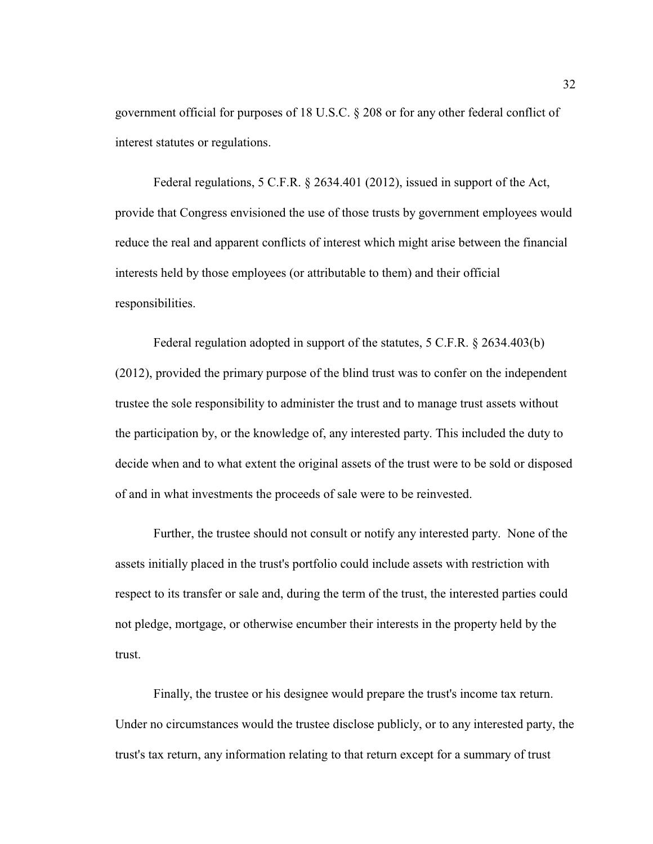government official for purposes of 18 U.S.C. § 208 or for any other federal conflict of interest statutes or regulations.

Federal regulations, 5 C.F.R. § 2634.401 (2012), issued in support of the Act, provide that Congress envisioned the use of those trusts by government employees would reduce the real and apparent conflicts of interest which might arise between the financial interests held by those employees (or attributable to them) and their official responsibilities.

Federal regulation adopted in support of the statutes, 5 C.F.R. § 2634.403(b) (2012), provided the primary purpose of the blind trust was to confer on the independent trustee the sole responsibility to administer the trust and to manage trust assets without the participation by, or the knowledge of, any interested party. This included the duty to decide when and to what extent the original assets of the trust were to be sold or disposed of and in what investments the proceeds of sale were to be reinvested.

Further, the trustee should not consult or notify any interested party. None of the assets initially placed in the trust's portfolio could include assets with restriction with respect to its transfer or sale and, during the term of the trust, the interested parties could not pledge, mortgage, or otherwise encumber their interests in the property held by the trust.

Finally, the trustee or his designee would prepare the trust's income tax return. Under no circumstances would the trustee disclose publicly, or to any interested party, the trust's tax return, any information relating to that return except for a summary of trust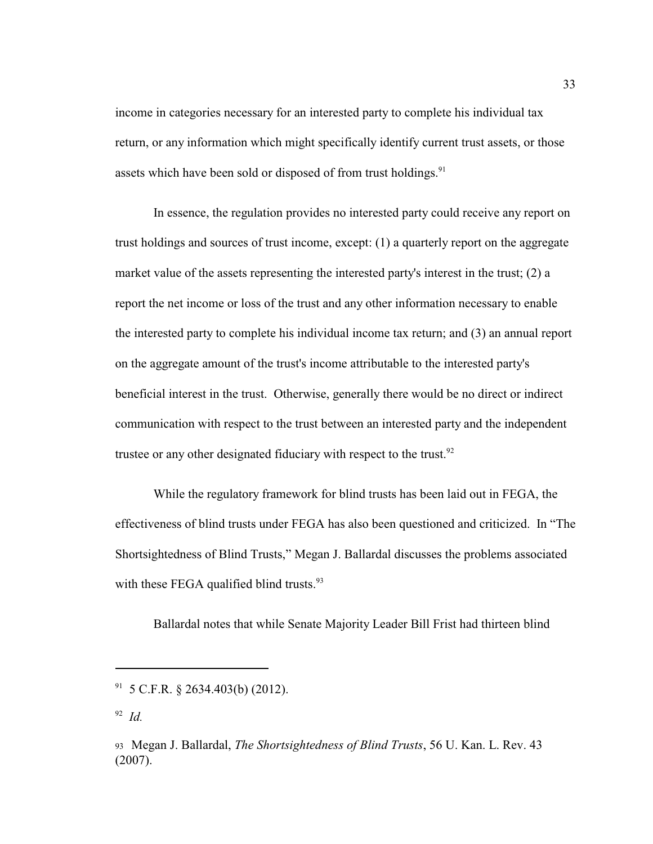income in categories necessary for an interested party to complete his individual tax return, or any information which might specifically identify current trust assets, or those assets which have been sold or disposed of from trust holdings.<sup>91</sup>

In essence, the regulation provides no interested party could receive any report on trust holdings and sources of trust income, except: (1) a quarterly report on the aggregate market value of the assets representing the interested party's interest in the trust; (2) a report the net income or loss of the trust and any other information necessary to enable the interested party to complete his individual income tax return; and (3) an annual report on the aggregate amount of the trust's income attributable to the interested party's beneficial interest in the trust. Otherwise, generally there would be no direct or indirect communication with respect to the trust between an interested party and the independent trustee or any other designated fiduciary with respect to the trust. $92$ 

While the regulatory framework for blind trusts has been laid out in FEGA, the effectiveness of blind trusts under FEGA has also been questioned and criticized. In "The Shortsightedness of Blind Trusts," Megan J. Ballardal discusses the problems associated with these FEGA qualified blind trusts. $93$ 

Ballardal notes that while Senate Majority Leader Bill Frist had thirteen blind

 $91$  5 C.F.R. § 2634.403(b) (2012).

 $^{92}$  *Id.* 

<sup>93</sup>Megan J. Ballardal, *The Shortsightedness of Blind Trusts*, 56 U. Kan. L. Rev. 43 (2007).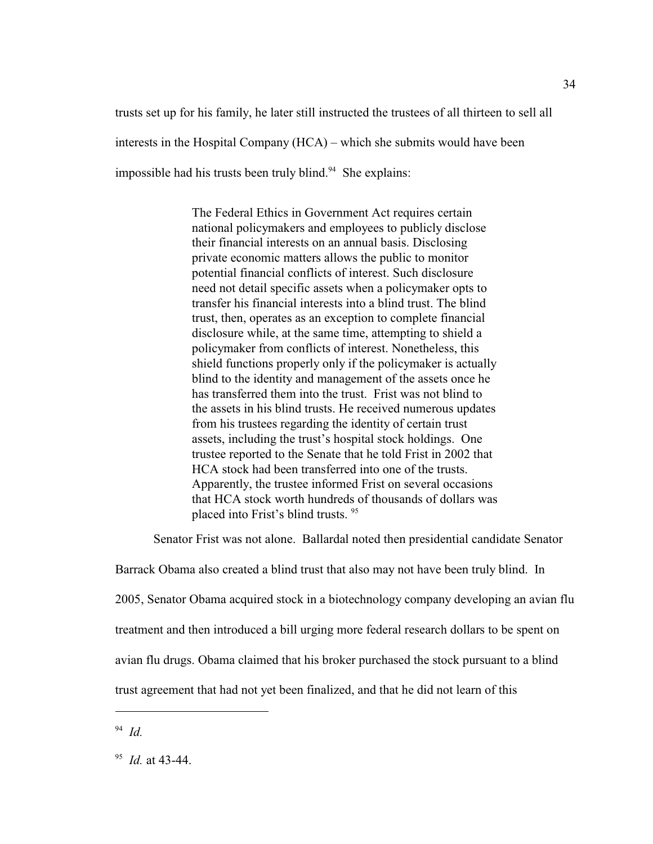trusts set up for his family, he later still instructed the trustees of all thirteen to sell all interests in the Hospital Company (HCA) – which she submits would have been impossible had his trusts been truly blind. $94$  She explains:

> The Federal Ethics in Government Act requires certain national policymakers and employees to publicly disclose their financial interests on an annual basis. Disclosing private economic matters allows the public to monitor potential financial conflicts of interest. Such disclosure need not detail specific assets when a policymaker opts to transfer his financial interests into a blind trust. The blind trust, then, operates as an exception to complete financial disclosure while, at the same time, attempting to shield a policymaker from conflicts of interest. Nonetheless, this shield functions properly only if the policymaker is actually blind to the identity and management of the assets once he has transferred them into the trust. Frist was not blind to the assets in his blind trusts. He received numerous updates from his trustees regarding the identity of certain trust assets, including the trust's hospital stock holdings[.](file:///|//#co_footnote_F6335566777_1) One trustee reported to the Senate that he told Frist in 2002 that HCA stock had been transferred into one of the trusts. Apparently, the trustee informed Frist on several occasions that HCA stock worth hundreds of thousands of dollars was placed into Frist's blind trusts. <sup>95</sup>

Senator Frist was not alone. Ballardal noted then presidential candidate Senator

Barrack Obama also created a blind trust that also may not have been truly blind. In 2005, Senator Obama acquired stock in a biotechnology company developing an avian flu treatment and then introduced a bill urging more federal research dollars to be spent on avian flu drugs. Obama claimed that his broker purchased the stock pursuant to a blind trust agreement that had not yet been finalized, and that he did not learn of this

*Id.* <sup>94</sup>

<sup>&</sup>lt;sup>95</sup> *Id.* at 43-44.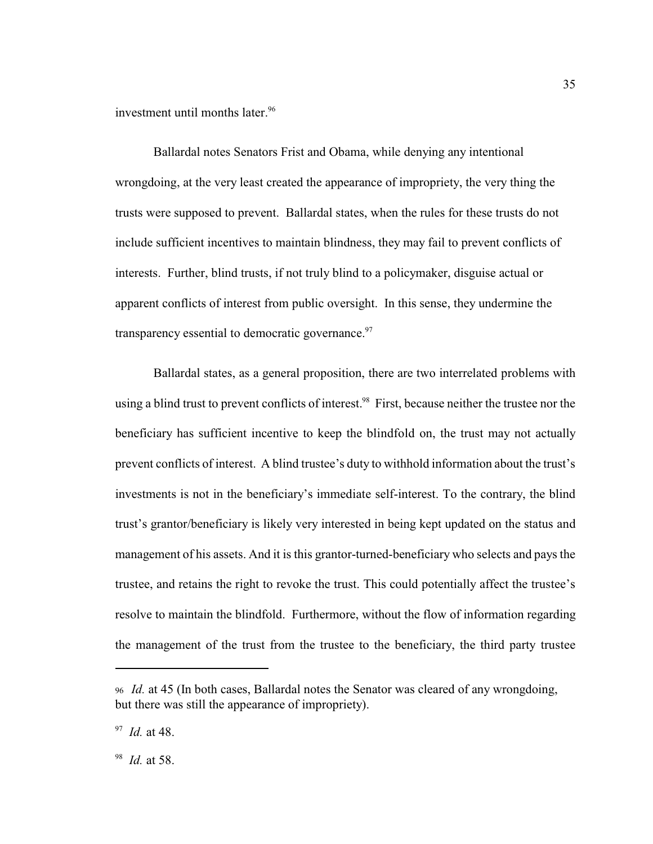investment until months later.<sup>96</sup>

Ballardal notes Senators Frist and Obama, while denying any intentional wrongdoing, at the very least created the appearance of impropriety, the very thing the trusts were supposed to prevent. Ballardal states, when the rules for these trusts do not include sufficient incentives to maintain blindness, they may fail to prevent conflicts of interests. Further, blind trusts, if not truly blind to a policymaker, disguise actual or apparent conflicts of interest from public oversight. In this sense, they undermine the transparency essential to democratic governance.<sup>97</sup>

Ballardal states, as a general proposition, there are two interrelated problems with using a blind trust to prevent conflicts of interest.<sup>98</sup> First, because neither the trustee nor the beneficiary has sufficient incentive to keep the blindfold on, the trust may not actually prevent conflicts of interest. A blind trustee's duty to withhold information about the trust's investments is not in the beneficiary's immediate self-interest. To the contrary, the blind trust's grantor/beneficiary is likely very interested in being kept updated on the status and management of his assets. And it is this grantor-turned-beneficiary who selects and pays the trustee, and retains the right to revoke the trust. This could potentially affect the trustee's resolve to maintain the blindfold. Furthermore, without the flow of information regarding the management of the trust from the trustee to the beneficiary, the third party trustee

<sup>98</sup> *Id.* at 58.

<sup>96</sup>*Id.* at 45 (In both cases, Ballardal notes the Senator was cleared of any wrongdoing, but there was still the appearance of impropriety).

<sup>&</sup>lt;sup>97</sup> *Id.* at 48.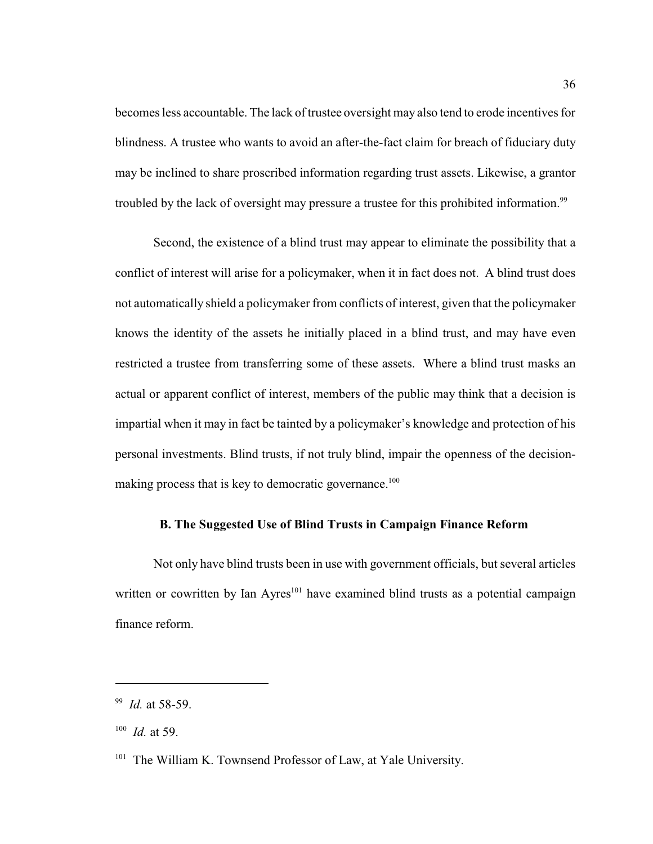becomes less accountable. The lack of trustee oversight may also tend to erode incentives for blindness. A trustee who wants to avoid an after-the-fact claim for breach of fiduciary duty may be inclined to share proscribed information regarding trust assets. Likewise, a grantor troubled by the lack of oversight may pressure a trustee for this prohibited information.<sup>99</sup>

Second, the existence of a blind trust may appear to eliminate the possibility that a conflict of interest will arise for a policymaker, when it in fact does not. A blind trust does not automatically shield a policymaker from conflicts of interest, given that the policymaker knows the identity of the assets he initially placed in a blind trust, and may have even restricted a trustee from transferring some of these assets. Where a blind trust masks an actual or apparent conflict of interest, members of the public may think that a decision is impartial when it may in fact be tainted by a policymaker's knowledge and protection of his personal investments. Blind trusts, if not truly blind, impair the openness of the decisionmaking process that is key to democratic governance.<sup>100</sup>

#### **B. The Suggested Use of Blind Trusts in Campaign Finance Reform**

Not only have blind trusts been in use with government officials, but several articles written or cowritten by Ian Ayres<sup> $101$ </sup> have examined blind trusts as a potential campaign finance reform.

<sup>&</sup>lt;sup>99</sup> *Id.* at 58-59.

 $100$  *Id.* at 59.

<sup>&</sup>lt;sup>101</sup> The William K. Townsend Professor of Law, at Yale University.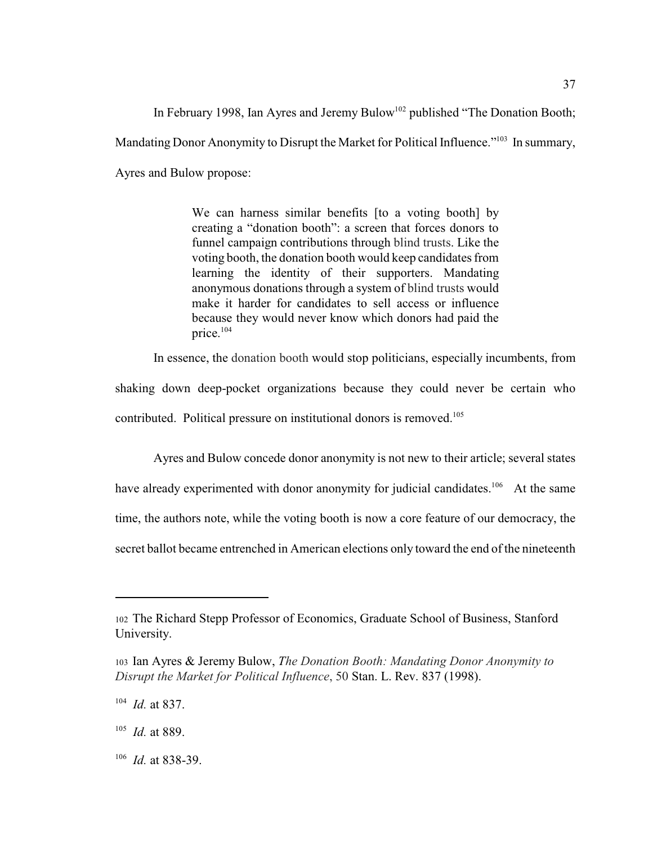In February 1998, Ian Ayres and Jeremy Bulow<sup>102</sup> published "The Donation Booth; Mandating Donor Anonymity to Disrupt the Market for Political Influence."<sup>103</sup> In summary, Ayres and Bulow propose:

> We can harness similar benefits [to a voting booth] by creating a "donation booth": a screen that forces donors to funnel campaign contributions through blind trusts. Like the voting booth, the donation booth would keep candidates from learning the identity of their supporters. Mandating anonymous donations through a system of blind trusts would make it harder for candidates to sell access or influence because they would never know which donors had paid the price. 104

In essence, the donation booth would stop politicians, especially incumbents, from

shaking down deep-pocket organizations because they could never be certain who contributed. Political pressure on institutional donors is removed.<sup>105</sup>

Ayres and Bulow concede donor anonymity is not new to their article; several states have already experimented with donor anonymity for judicial candidates.<sup>106</sup> At the same time, the authors note, while the voting booth is now a core feature of our democracy, the secret ballot became entrenched in American elections only toward the end of the nineteenth

<sup>106</sup> *Id.* at 838-39.

<sup>102</sup>The Richard Stepp Professor of Economics, Graduate School of Business, Stanford University.

<sup>103</sup>Ian Ayres & Jeremy Bulow, *The Donation Booth: Mandating Donor Anonymity to Disrupt the Market for Political Influence*, 50 Stan. L. Rev. 837 (1998).

 $^{104}$  *Id.* at 837.

 $^{105}$  *Id.* at 889.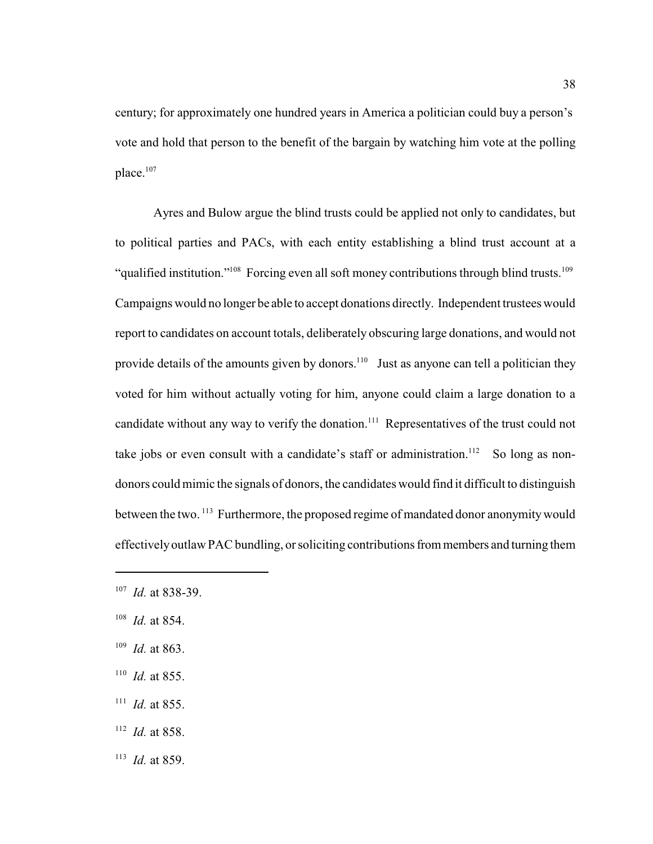century; for approximately one hundred years in America a politician could buy a person's vote and hold that person to the benefit of the bargain by watching him vote at the polling place.<sup>107</sup>

Ayres and Bulow argue the blind trusts could be applied not only to candidates, but to political parties and PACs, with each entity establishing a blind trust account at a "qualified institution."<sup>108</sup> Forcing even all soft money contributions through blind trusts.<sup>109</sup> Campaigns would no longer be able to accept donations directly. Independent trustees would report to candidates on account totals, deliberately obscuring large donations, and would not provide details of the amounts given by donors.<sup>110</sup> Just as anyone can tell a politician they voted for him without actually voting for him, anyone could claim a large donation to a candidate without any way to verify the donation.<sup> $111$ </sup> Representatives of the trust could not take jobs or even consult with a candidate's staff or administration.<sup>112</sup> So long as nondonors could mimic the signals of donors, the candidates would find it difficult to distinguish between the two.<sup>113</sup> Furthermore, the proposed regime of mandated donor anonymity would effectivelyoutlaw PAC bundling, or soliciting contributions from members and turning them

- $108$  *Id.* at 854.
- <sup>109</sup> *Id.* at 863.
- $110$  *Id.* at 855.
- $111$  *Id.* at 855.
- $112$  *Id.* at 858.
- $113$  *Id.* at 859.

<sup>&</sup>lt;sup>107</sup> *Id.* at 838-39.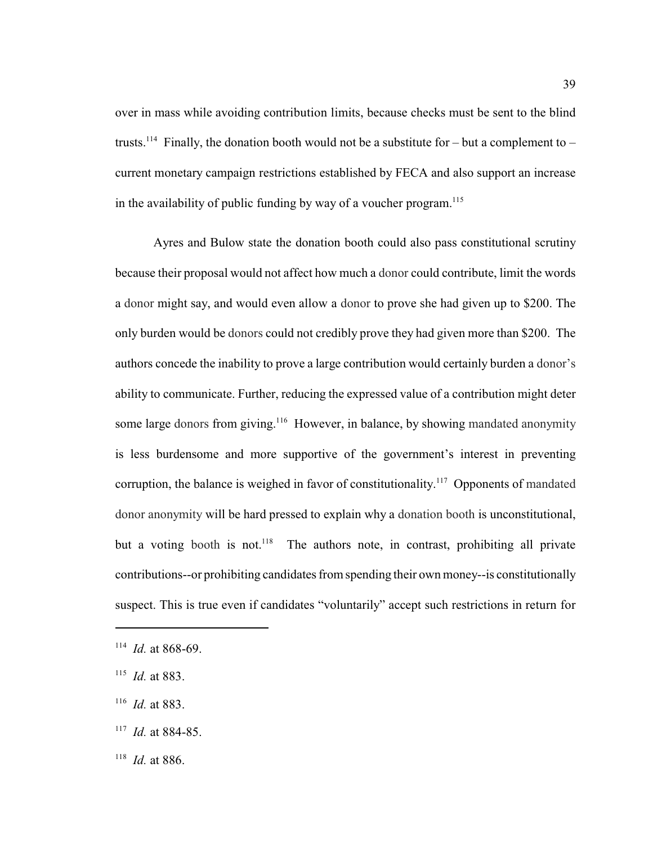over in mass while avoiding contribution limits, because checks must be sent to the blind trusts.<sup>114</sup> Finally, the donation booth would not be a substitute for – but a complement to – current monetary campaign restrictions established by FECA and also support an increase in the availability of public funding by way of a voucher program.<sup>115</sup>

Ayres and Bulow state the donation booth could also pass constitutional scrutiny because their proposal would not affect how much a donor could contribute, limit the words a donor might say, and would even allow a donor to prove she had given up to \$200. The only burden would be donors could not credibly prove they had given more than \$200. The authors concede the inability to prove a large contribution would certainly burden a donor's ability to communicate. Further, reducing the expressed value of a contribution might deter some large donors from giving.<sup>116</sup> However, in balance, by showing mandated anonymity is less burdensome and more supportive of the government's interest in preventing corruption, the balance is weighed in favor of constitutionality.<sup>117</sup> Opponents of mandated donor anonymity will be hard pressed to explain why a donation booth is unconstitutional, but a voting booth is not.<sup>118</sup> The authors note, in contrast, prohibiting all private contributions--or prohibiting candidates from spending their own money--is constitutionally suspect. This is true even if candidates "voluntarily" accept such restrictions in return for

 $117$  *Id.* at 884-85.

 $114$  *Id.* at 868-69.

 $115$  *Id.* at 883.

 $116$  *Id.* at 883.

 $118$  *Id.* at 886.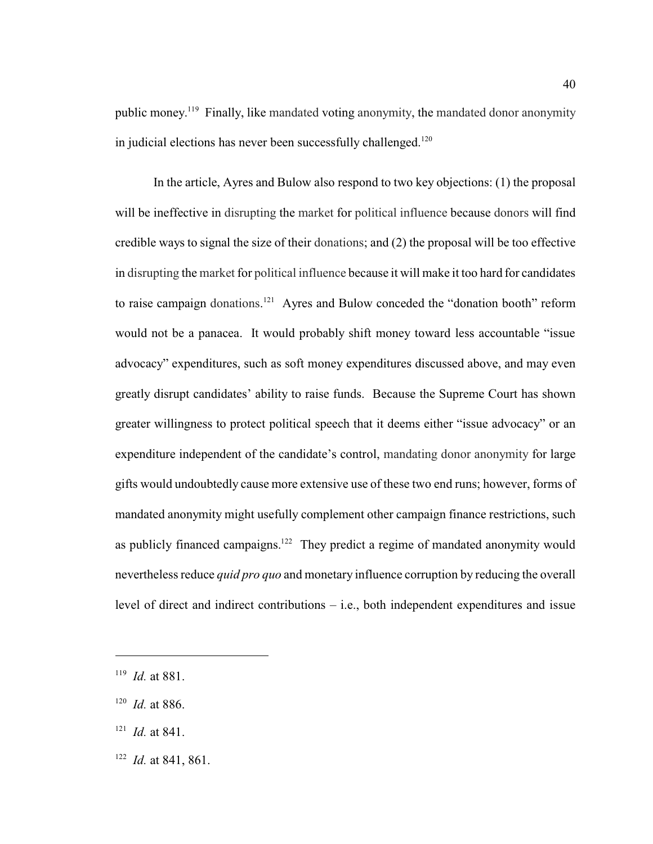public money.<sup>119</sup> Finally, like mandated voting anonymity, the mandated donor anonymity in judicial elections has never been successfully challenged.<sup>120</sup>

In the article, Ayres and Bulow also respond to two key objections: (1) the proposal will be ineffective in disrupting the market for political influence because donors will find credible ways to signal the size of their donations; and (2) the proposal will be too effective in disrupting the market for political influence because it will make it too hard for candidates to raise campaign donations.<sup>121</sup> Ayres and Bulow conceded the "donation booth" reform would not be a panacea. It would probably shift money toward less accountable "issue advocacy" expenditures, such as soft money expenditures discussed above, and may even greatly disrupt candidates' ability to raise funds. Because the Supreme Court has shown greater willingness to protect political speech that it deems either "issue advocacy" or an expenditure independent of the candidate's control, mandating donor anonymity for large gifts would undoubtedly cause more extensive use of these two end runs; however, forms of mandated anonymity might usefully complement other campaign finance restrictions, such as publicly financed campaigns.<sup>122</sup> They predict a regime of mandated anonymity would nevertheless reduce *quid pro quo* and monetary influence corruption by reducing the overall level of direct and indirect contributions – i.e., both independent expenditures and issue

 $I^{122}$  *Id.* at 841, 861.

 $119$  *Id.* at 881.

 $120$  *Id.* at 886.

 $121$  *Id.* at 841.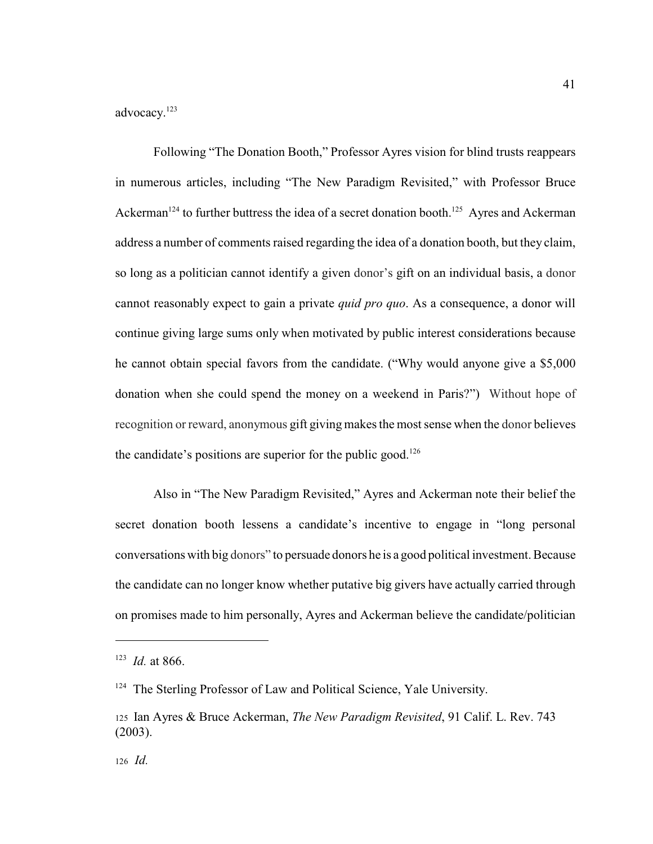advocacy. 123

Following "The Donation Booth," Professor Ayres vision for blind trusts reappears in numerous articles, including "The New Paradigm Revisited," with Professor Bruce Ackerman<sup>124</sup> to further buttress the idea of a secret donation booth.<sup>125</sup> Ayres and Ackerman address a number of comments raised regarding the idea of a donation booth, but they claim, so long as a politician cannot identify a given donor's gift on an individual basis, a donor cannot reasonably expect to gain a private *quid pro quo*. As a consequence, a donor will continue giving large sums only when motivated by public interest considerations because he cannot obtain special favors from the candidate. ("Why would anyone give a \$5,000 donation when she could spend the money on a weekend in Paris?") Without hope of recognition or reward, anonymous gift giving makes the most sense when the donor believes the candidate's positions are superior for the public good.<sup>126</sup>

Also in "The New Paradigm Revisited," Ayres and Ackerman note their belief the secret donation booth lessens a candidate's incentive to engage in "long personal conversations with big donors" to persuade donors he is a good political investment. Because the candidate can no longer know whether putative big givers have actually carried through on promises made to him personally, Ayres and Ackerman believe the candidate/politician

 $123$  *Id.* at 866.

<sup>&</sup>lt;sup>124</sup> The Sterling Professor of Law and Political Science, Yale University.

<sup>125</sup>Ian Ayres & Bruce Ackerman, *The New Paradigm Revisited*, 91 Calif. L. Rev. 743 (2003).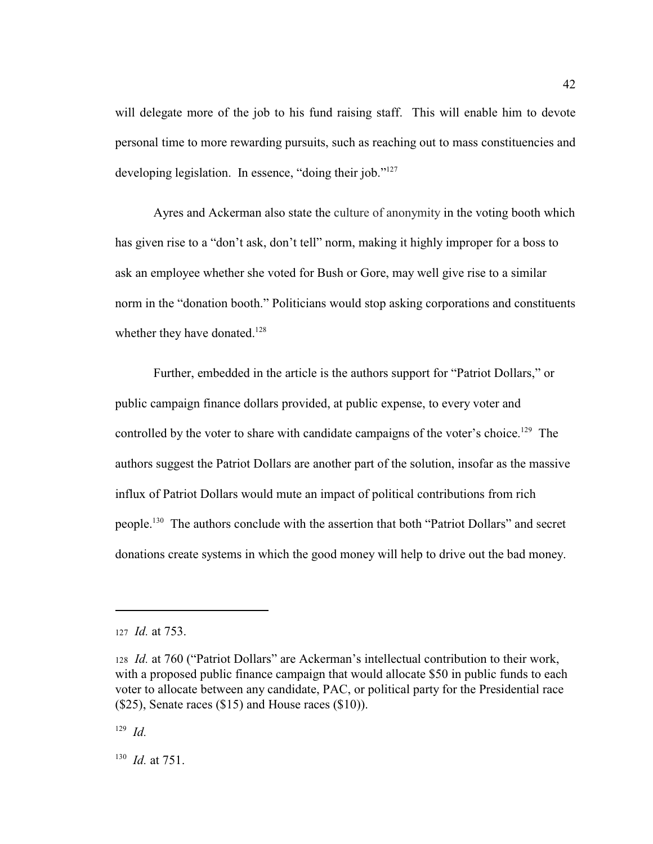will delegate more of the job to his fund raising staff. This will enable him to devote personal time to more rewarding pursuits, such as reaching out to mass constituencies and developing legislation. In essence, "doing their job."<sup>127</sup>

Ayres and Ackerman also state the culture of anonymity in the voting booth which has given rise to a "don't ask, don't tell" norm, making it highly improper for a boss to ask an employee whether she voted for Bush or Gore, may well give rise to a similar norm in the "donation booth." Politicians would stop asking corporations and constituents whether they have donated.<sup>128</sup>

Further, embedded in the article is the authors support for "Patriot Dollars," or public campaign finance dollars provided, at public expense, to every voter and controlled by the voter to share with candidate campaigns of the voter's choice.<sup>129</sup> The authors suggest the Patriot Dollars are another part of the solution, insofar as the massive influx of Patriot Dollars would mute an impact of political contributions from rich people.<sup>130</sup> The authors conclude with the assertion that both "Patriot Dollars" and secret donations create systems in which the good money will help to drive out the bad money.

<sup>127</sup>*Id.* at 753.

<sup>128</sup>*Id.* at 760 ("Patriot Dollars" are Ackerman's intellectual contribution to their work, with a proposed public finance campaign that would allocate \$50 in public funds to each voter to allocate between any candidate, PAC, or political party for the Presidential race (\$25), Senate races (\$15) and House races (\$10)).

 $129 \, Id.$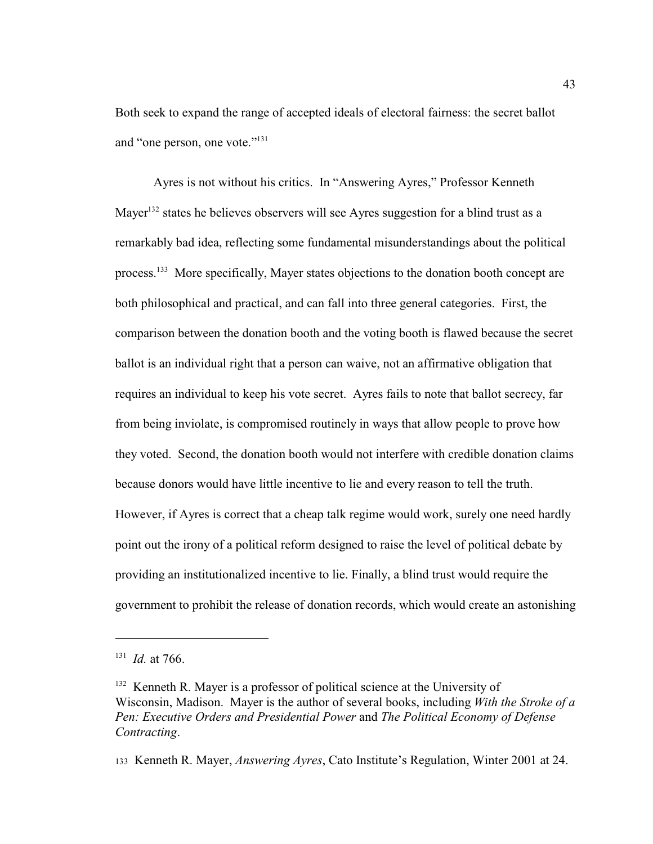Both seek to expand the range of accepted ideals of electoral fairness: the secret ballot and "one person, one vote."<sup>131</sup>

Ayres is not without his critics. In "Answering Ayres," Professor Kenneth Mayer<sup>132</sup> states he believes observers will see Ayres suggestion for a blind trust as a remarkably bad idea, reflecting some fundamental misunderstandings about the political process.<sup>133</sup> More specifically, Mayer states objections to the donation booth concept are both philosophical and practical, and can fall into three general categories. First, the comparison between the donation booth and the voting booth is flawed because the secret ballot is an individual right that a person can waive, not an affirmative obligation that requires an individual to keep his vote secret. Ayres fails to note that ballot secrecy, far from being inviolate, is compromised routinely in ways that allow people to prove how they voted. Second, the donation booth would not interfere with credible donation claims because donors would have little incentive to lie and every reason to tell the truth. However, if Ayres is correct that a cheap talk regime would work, surely one need hardly point out the irony of a political reform designed to raise the level of political debate by providing an institutionalized incentive to lie. Finally, a blind trust would require the government to prohibit the release of donation records, which would create an astonishing

 $131$  *Id.* at 766.

 $132$  Kenneth R. Mayer is a professor of political science at the University of Wisconsin, Madison. Mayer is the author of several books, including *With the Stroke of a Pen: Executive Orders and Presidential Power* and *The Political Economy of Defense Contracting*.

<sup>133</sup> Kenneth R. Mayer, *Answering Ayres*, Cato Institute's Regulation, Winter 2001 at 24.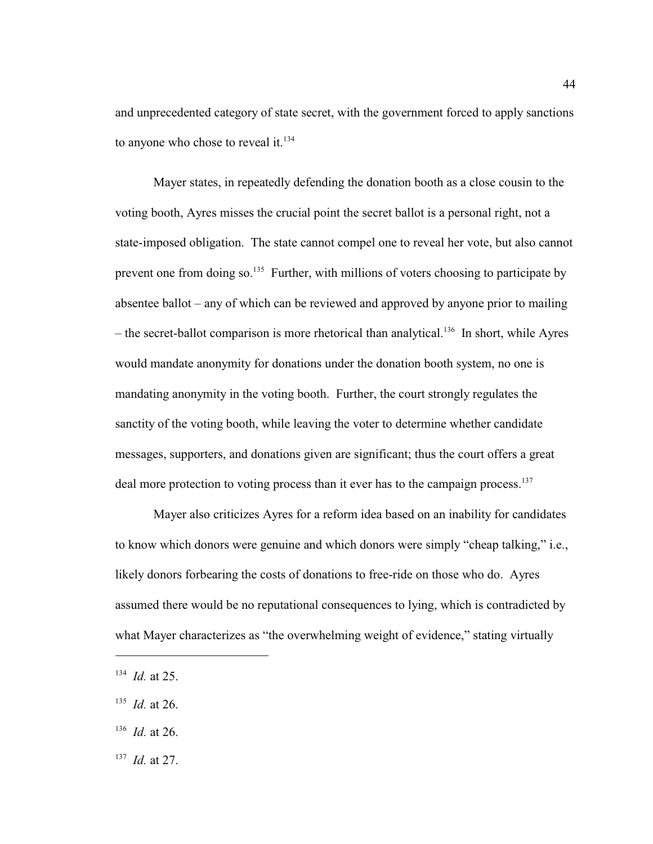and unprecedented category of state secret, with the government forced to apply sanctions to anyone who chose to reveal it.<sup>134</sup>

Mayer states, in repeatedly defending the donation booth as a close cousin to the voting booth, Ayres misses the crucial point the secret ballot is a personal right, not a state-imposed obligation. The state cannot compel one to reveal her vote, but also cannot prevent one from doing so.<sup>135</sup> Further, with millions of voters choosing to participate by absentee ballot – any of which can be reviewed and approved by anyone prior to mailing – the secret-ballot comparison is more rhetorical than analytical.<sup>136</sup> In short, while Ayres would mandate anonymity for donations under the donation booth system, no one is mandating anonymity in the voting booth. Further, the court strongly regulates the sanctity of the voting booth, while leaving the voter to determine whether candidate messages, supporters, and donations given are significant; thus the court offers a great deal more protection to voting process than it ever has to the campaign process.<sup>137</sup>

Mayer also criticizes Ayres for a reform idea based on an inability for candidates to know which donors were genuine and which donors were simply "cheap talking," i.e., likely donors forbearing the costs of donations to free-ride on those who do. Ayres assumed there would be no reputational consequences to lying, which is contradicted by what Mayer characterizes as "the overwhelming weight of evidence," stating virtually

 $137$  *Id.* at 27.

 $134$  *Id.* at 25.

 $135$  *Id.* at 26.

 $136$  *Id.* at 26.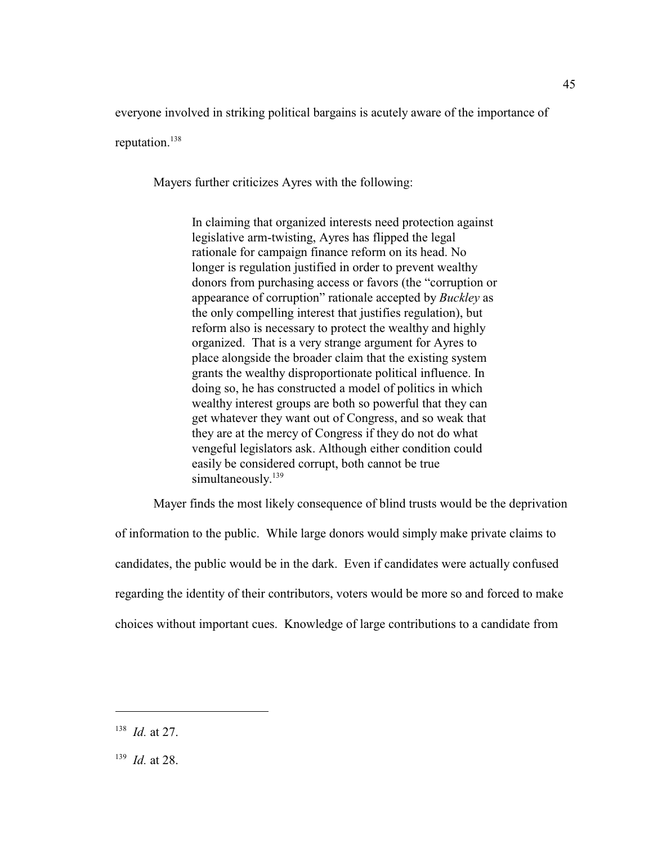everyone involved in striking political bargains is acutely aware of the importance of

reputation.<sup>138</sup>

Mayers further criticizes Ayres with the following:

In claiming that organized interests need protection against legislative arm-twisting, Ayres has flipped the legal rationale for campaign finance reform on its head. No longer is regulation justified in order to prevent wealthy donors from purchasing access or favors (the "corruption or appearance of corruption" rationale accepted by *Buckley* as the only compelling interest that justifies regulation), but reform also is necessary to protect the wealthy and highly organized. That is a very strange argument for Ayres to place alongside the broader claim that the existing system grants the wealthy disproportionate political influence. In doing so, he has constructed a model of politics in which wealthy interest groups are both so powerful that they can get whatever they want out of Congress, and so weak that they are at the mercy of Congress if they do not do what vengeful legislators ask. Although either condition could easily be considered corrupt, both cannot be true simultaneously.<sup>139</sup>

Mayer finds the most likely consequence of blind trusts would be the deprivation

of information to the public. While large donors would simply make private claims to candidates, the public would be in the dark. Even if candidates were actually confused regarding the identity of their contributors, voters would be more so and forced to make choices without important cues. Knowledge of large contributions to a candidate from

45

 $138$  *Id.* at 27.

 $139$  *Id.* at 28.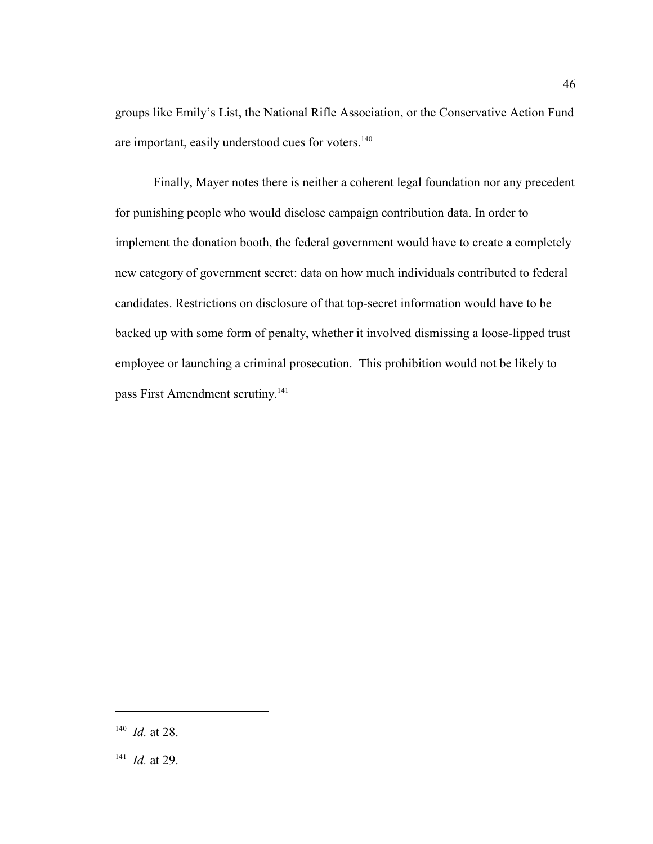groups like Emily's List, the National Rifle Association, or the Conservative Action Fund are important, easily understood cues for voters.<sup>140</sup>

Finally, Mayer notes there is neither a coherent legal foundation nor any precedent for punishing people who would disclose campaign contribution data. In order to implement the donation booth, the federal government would have to create a completely new category of government secret: data on how much individuals contributed to federal candidates. Restrictions on disclosure of that top-secret information would have to be backed up with some form of penalty, whether it involved dismissing a loose-lipped trust employee or launching a criminal prosecution. This prohibition would not be likely to pass First Amendment scrutiny.<sup>141</sup>

 $140$  *Id.* at 28.

 $I^{41}$  *Id.* at 29.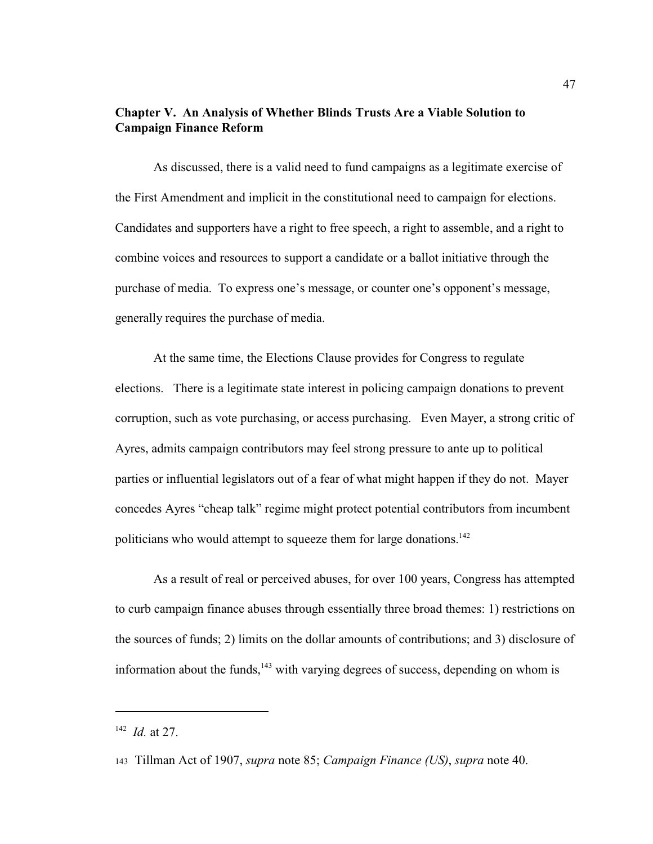# **Chapter V. An Analysis of Whether Blinds Trusts Are a Viable Solution to Campaign Finance Reform**

As discussed, there is a valid need to fund campaigns as a legitimate exercise of the First Amendment and implicit in the constitutional need to campaign for elections. Candidates and supporters have a right to free speech, a right to assemble, and a right to combine voices and resources to support a candidate or a ballot initiative through the purchase of media. To express one's message, or counter one's opponent's message, generally requires the purchase of media.

At the same time, the Elections Clause provides for Congress to regulate elections. There is a legitimate state interest in policing campaign donations to prevent corruption, such as vote purchasing, or access purchasing. Even Mayer, a strong critic of Ayres, admits campaign contributors may feel strong pressure to ante up to political parties or influential legislators out of a fear of what might happen if they do not. Mayer concedes Ayres "cheap talk" regime might protect potential contributors from incumbent politicians who would attempt to squeeze them for large donations.<sup>142</sup>

As a result of real or perceived abuses, for over 100 years, Congress has attempted to curb campaign finance abuses through essentially three broad themes: 1) restrictions on the sources of funds; 2) limits on the dollar amounts of contributions; and 3) disclosure of information about the funds,  $143$  with varying degrees of success, depending on whom is

 $142$  *Id.* at 27.

<sup>143</sup> Tillman Act of 1907, *supra* note 85; *Campaign Finance (US)*, *supra* note 40.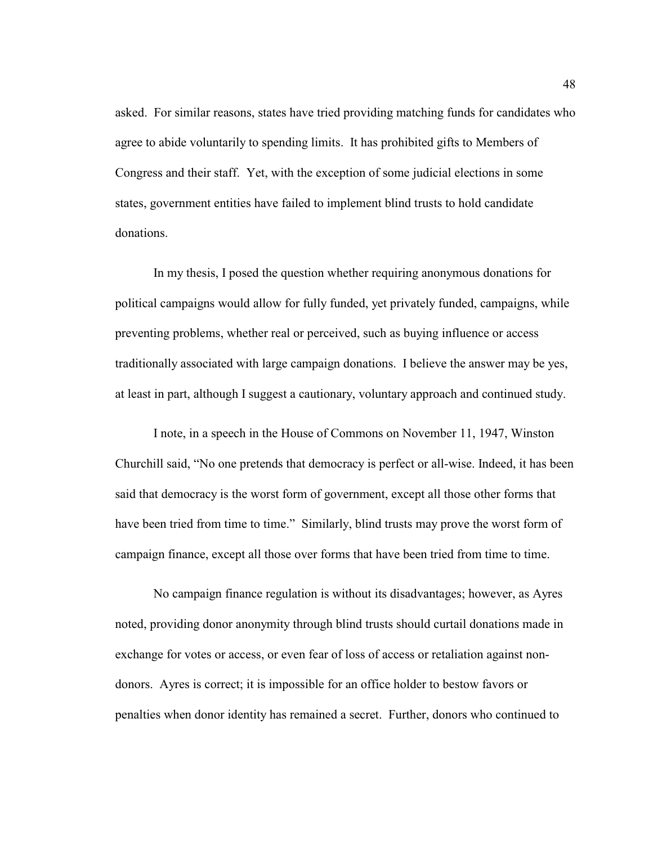asked. For similar reasons, states have tried providing matching funds for candidates who agree to abide voluntarily to spending limits. It has prohibited gifts to Members of Congress and their staff. Yet, with the exception of some judicial elections in some states, government entities have failed to implement blind trusts to hold candidate donations.

In my thesis, I posed the question whether requiring anonymous donations for political campaigns would allow for fully funded, yet privately funded, campaigns, while preventing problems, whether real or perceived, such as buying influence or access traditionally associated with large campaign donations. I believe the answer may be yes, at least in part, although I suggest a cautionary, voluntary approach and continued study.

I note, in a speech in the House of Commons on November 11, 1947, Winston Churchill said, "No one pretends that democracy is perfect or all-wise. Indeed, it has been said that democracy is the worst form of government, except all those other forms that have been tried from time to time." Similarly, blind trusts may prove the worst form of campaign finance, except all those over forms that have been tried from time to time.

No campaign finance regulation is without its disadvantages; however, as Ayres noted, providing donor anonymity through blind trusts should curtail donations made in exchange for votes or access, or even fear of loss of access or retaliation against nondonors. Ayres is correct; it is impossible for an office holder to bestow favors or penalties when donor identity has remained a secret. Further, donors who continued to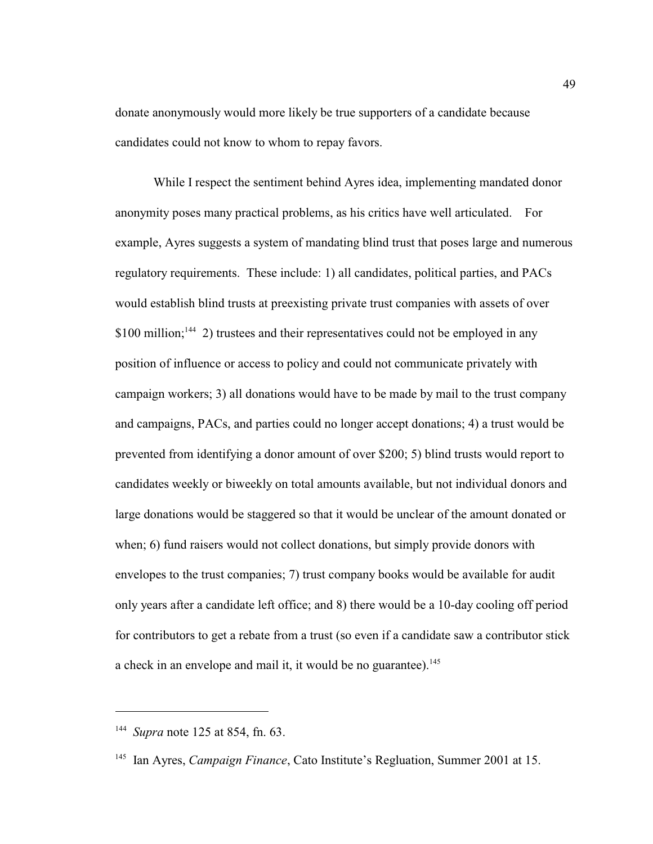donate anonymously would more likely be true supporters of a candidate because candidates could not know to whom to repay favors.

While I respect the sentiment behind Ayres idea, implementing mandated donor anonymity poses many practical problems, as his critics have well articulated. For example, Ayres suggests a system of mandating blind trust that poses large and numerous regulatory requirements. These include: 1) all candidates, political parties, and PACs would establish blind trusts at preexisting private trust companies with assets of over  $$100$  million;<sup>144</sup> 2) trustees and their representatives could not be employed in any position of influence or access to policy and could not communicate privately with campaign workers; 3) all donations would have to be made by mail to the trust company and campaigns, PACs, and parties could no longer accept donations; 4) a trust would be prevented from identifying a donor amount of over \$200; 5) blind trusts would report to candidates weekly or biweekly on total amounts available, but not individual donors and large donations would be staggered so that it would be unclear of the amount donated or when; 6) fund raisers would not collect donations, but simply provide donors with envelopes to the trust companies; 7) trust company books would be available for audit only years after a candidate left office; and 8) there would be a 10-day cooling off period for contributors to get a rebate from a trust (so even if a candidate saw a contributor stick a check in an envelope and mail it, it would be no guarantee).<sup>145</sup>

<sup>&</sup>lt;sup>144</sup> *Supra* note 125 at 854, fn. 63.

<sup>&</sup>lt;sup>145</sup> Ian Ayres, *Campaign Finance*, Cato Institute's Regluation, Summer 2001 at 15.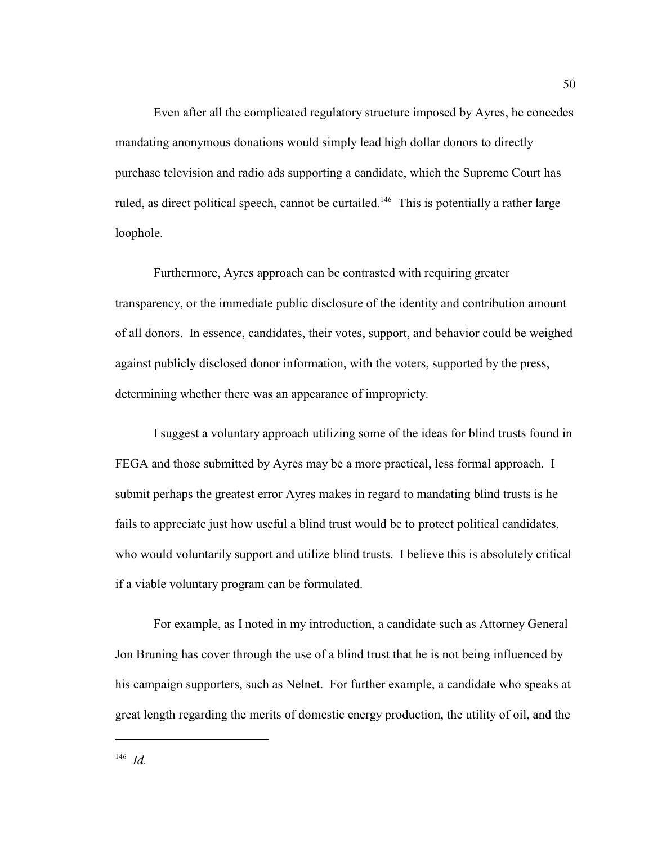Even after all the complicated regulatory structure imposed by Ayres, he concedes mandating anonymous donations would simply lead high dollar donors to directly purchase television and radio ads supporting a candidate, which the Supreme Court has ruled, as direct political speech, cannot be curtailed.<sup>146</sup> This is potentially a rather large loophole.

Furthermore, Ayres approach can be contrasted with requiring greater transparency, or the immediate public disclosure of the identity and contribution amount of all donors. In essence, candidates, their votes, support, and behavior could be weighed against publicly disclosed donor information, with the voters, supported by the press, determining whether there was an appearance of impropriety.

I suggest a voluntary approach utilizing some of the ideas for blind trusts found in FEGA and those submitted by Ayres may be a more practical, less formal approach. I submit perhaps the greatest error Ayres makes in regard to mandating blind trusts is he fails to appreciate just how useful a blind trust would be to protect political candidates, who would voluntarily support and utilize blind trusts. I believe this is absolutely critical if a viable voluntary program can be formulated.

For example, as I noted in my introduction, a candidate such as Attorney General Jon Bruning has cover through the use of a blind trust that he is not being influenced by his campaign supporters, such as Nelnet. For further example, a candidate who speaks at great length regarding the merits of domestic energy production, the utility of oil, and the

 $^{146}$  *Id.*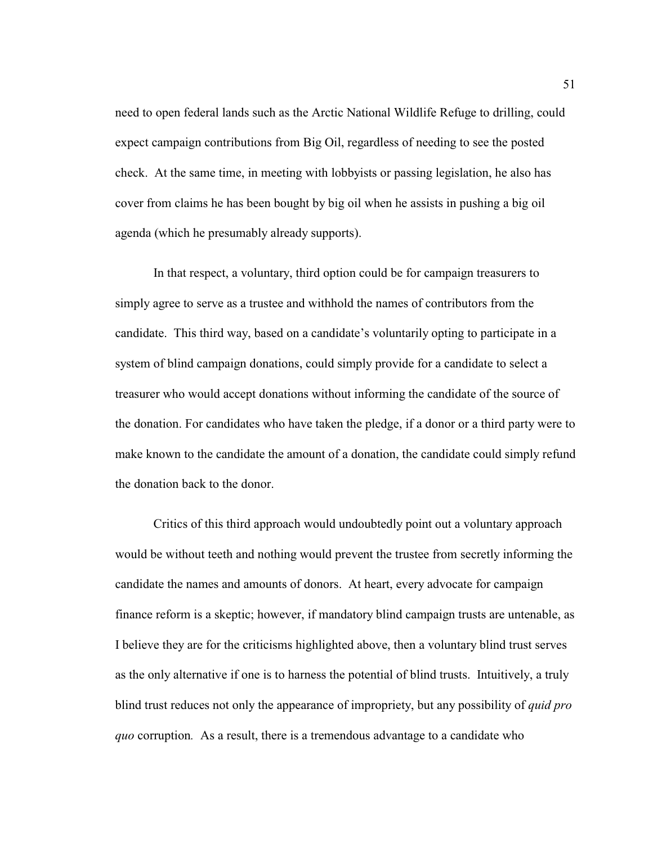need to open federal lands such as the Arctic National Wildlife Refuge to drilling, could expect campaign contributions from Big Oil, regardless of needing to see the posted check. At the same time, in meeting with lobbyists or passing legislation, he also has cover from claims he has been bought by big oil when he assists in pushing a big oil agenda (which he presumably already supports).

In that respect, a voluntary, third option could be for campaign treasurers to simply agree to serve as a trustee and withhold the names of contributors from the candidate. This third way, based on a candidate's voluntarily opting to participate in a system of blind campaign donations, could simply provide for a candidate to select a treasurer who would accept donations without informing the candidate of the source of the donation. For candidates who have taken the pledge, if a donor or a third party were to make known to the candidate the amount of a donation, the candidate could simply refund the donation back to the donor.

Critics of this third approach would undoubtedly point out a voluntary approach would be without teeth and nothing would prevent the trustee from secretly informing the candidate the names and amounts of donors. At heart, every advocate for campaign finance reform is a skeptic; however, if mandatory blind campaign trusts are untenable, as I believe they are for the criticisms highlighted above, then a voluntary blind trust serves as the only alternative if one is to harness the potential of blind trusts. Intuitively, a truly blind trust reduces not only the appearance of impropriety, but any possibility of *quid pro quo* corruption*.* As a result, there is a tremendous advantage to a candidate who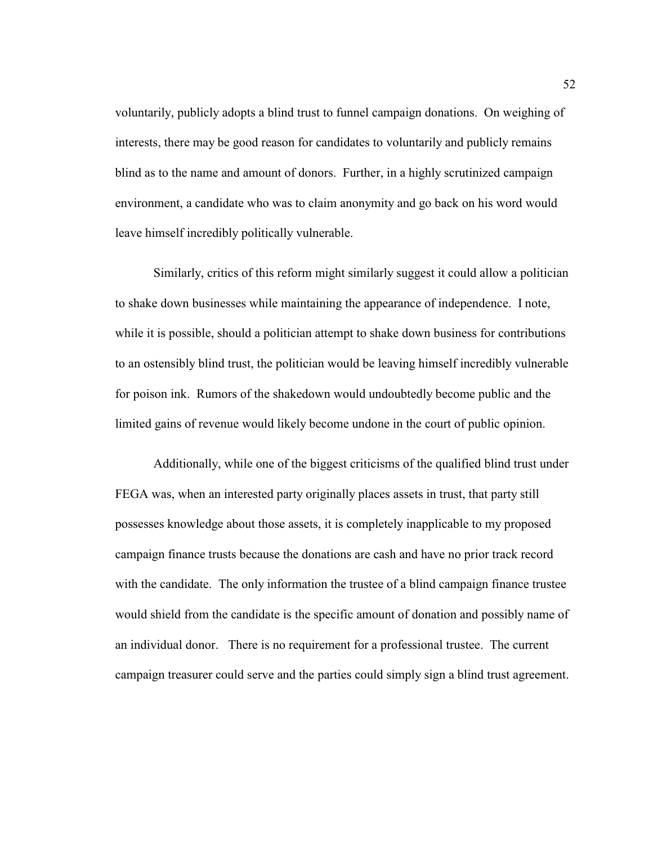voluntarily, publicly adopts a blind trust to funnel campaign donations. On weighing of interests, there may be good reason for candidates to voluntarily and publicly remains blind as to the name and amount of donors. Further, in a highly scrutinized campaign environment, a candidate who was to claim anonymity and go back on his word would leave himself incredibly politically vulnerable.

Similarly, critics of this reform might similarly suggest it could allow a politician to shake down businesses while maintaining the appearance of independence. I note, while it is possible, should a politician attempt to shake down business for contributions to an ostensibly blind trust, the politician would be leaving himself incredibly vulnerable for poison ink. Rumors of the shakedown would undoubtedly become public and the limited gains of revenue would likely become undone in the court of public opinion.

Additionally, while one of the biggest criticisms of the qualified blind trust under FEGA was, when an interested party originally places assets in trust, that party still possesses knowledge about those assets, it is completely inapplicable to my proposed campaign finance trusts because the donations are cash and have no prior track record with the candidate. The only information the trustee of a blind campaign finance trustee would shield from the candidate is the specific amount of donation and possibly name of an individual donor. There is no requirement for a professional trustee. The current campaign treasurer could serve and the parties could simply sign a blind trust agreement.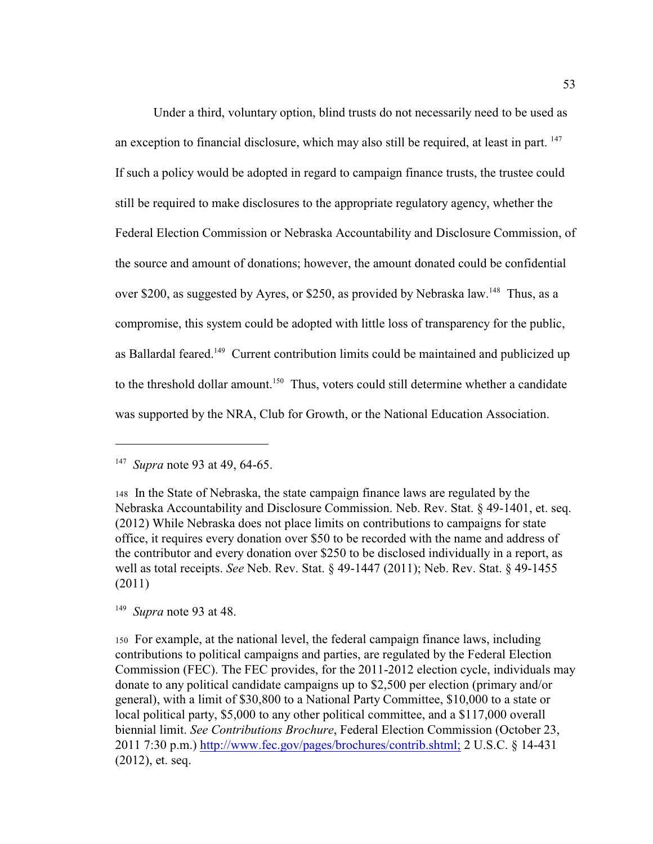Under a third, voluntary option, blind trusts do not necessarily need to be used as an exception to financial disclosure, which may also still be required, at least in part. <sup>147</sup> If such a policy would be adopted in regard to campaign finance trusts, the trustee could still be required to make disclosures to the appropriate regulatory agency, whether the Federal Election Commission or Nebraska Accountability and Disclosure Commission, of the source and amount of donations; however, the amount donated could be confidential over \$200, as suggested by Ayres, or \$250, as provided by Nebraska law.<sup>148</sup> Thus, as a compromise, this system could be adopted with little loss of transparency for the public, as Ballardal feared.<sup>149</sup> Current contribution limits could be maintained and publicized up to the threshold dollar amount.<sup>150</sup> Thus, voters could still determine whether a candidate was supported by the NRA, Club for Growth, or the National Education Association.

<sup>&</sup>lt;sup>147</sup> *Supra* note 93 at 49, 64-65.

<sup>148</sup>In the State of Nebraska, the state campaign finance laws are regulated by the Nebraska Accountability and Disclosure Commission. Neb. Rev. Stat. § 49-1401, et. seq. (2012) While Nebraska does not place limits on contributions to campaigns for state office, it requires every donation over \$50 to be recorded with the name and address of the contributor and every donation over \$250 to be disclosed individually in a report, as well as total receipts. *See* Neb. Rev. Stat. § 49-1447 (2011); Neb. Rev. Stat. § 49-1455 (2011)

<sup>&</sup>lt;sup>149</sup> *Supra* note 93 at 48.

<sup>150</sup>For example, at the national level, the federal campaign finance laws, including contributions to political campaigns and parties, are regulated by the Federal Election Commission (FEC). The FEC provides, for the 2011-2012 election cycle, individuals may donate to any political candidate campaigns up to \$2,500 per election (primary and/or general), with a limit of \$30,800 to a National Party Committee, \$10,000 to a state or local political party, \$5,000 to any other political committee, and a \$117,000 overall biennial limit. *See Contributions Brochure*, Federal Election Commission (October 23, 2011 7:30 p.m.) [http://www.fec.gov/pages/brochures/contrib.shtml;](http://www.fec.gov/pages/brochures/contrib.shtml.) 2 U.S.C. § 14-431 (2012), et. seq.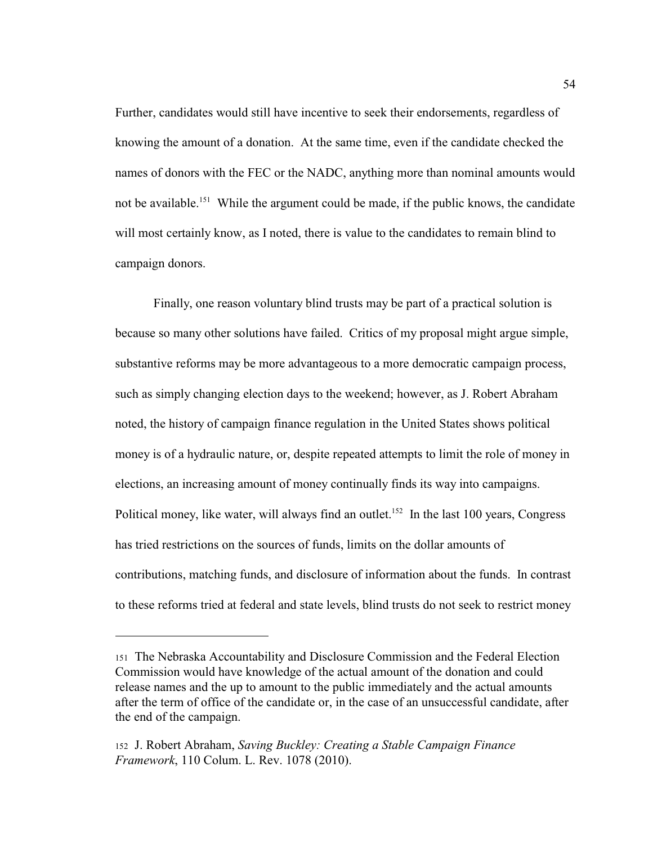Further, candidates would still have incentive to seek their endorsements, regardless of knowing the amount of a donation. At the same time, even if the candidate checked the names of donors with the FEC or the NADC, anything more than nominal amounts would not be available.<sup>151</sup> While the argument could be made, if the public knows, the candidate will most certainly know, as I noted, there is value to the candidates to remain blind to campaign donors.

Finally, one reason voluntary blind trusts may be part of a practical solution is because so many other solutions have failed. Critics of my proposal might argue simple, substantive reforms may be more advantageous to a more democratic campaign process, such as simply changing election days to the weekend; however, as J. Robert Abraham noted, the history of campaign finance regulation in the United States shows political money is of a hydraulic nature, or, despite repeated attempts to limit the role of money in elections, an increasing amount of money continually finds its way into campaigns. Political money, like water, will always find an outlet.<sup>152</sup> In the last 100 years, Congress has tried restrictions on the sources of funds, limits on the dollar amounts of contributions, matching funds, and disclosure of information about the funds. In contrast to these reforms tried at federal and state levels, blind trusts do not seek to restrict money

<sup>151</sup>The Nebraska Accountability and Disclosure Commission and the Federal Election Commission would have knowledge of the actual amount of the donation and could release names and the up to amount to the public immediately and the actual amounts after the term of office of the candidate or, in the case of an unsuccessful candidate, after the end of the campaign.

<sup>152</sup> J. Robert Abraham, *Saving Buckley: Creating a Stable Campaign Finance Framework*, 110 Colum. L. Rev. 1078 (2010).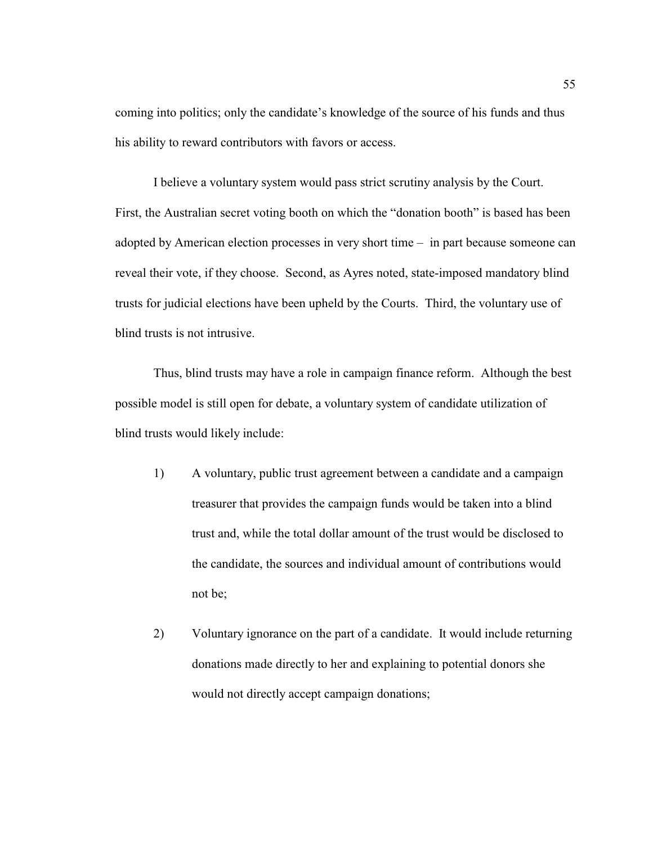coming into politics; only the candidate's knowledge of the source of his funds and thus his ability to reward contributors with favors or access.

I believe a voluntary system would pass strict scrutiny analysis by the Court. First, the Australian secret voting booth on which the "donation booth" is based has been adopted by American election processes in very short time – in part because someone can reveal their vote, if they choose. Second, as Ayres noted, state-imposed mandatory blind trusts for judicial elections have been upheld by the Courts. Third, the voluntary use of blind trusts is not intrusive.

Thus, blind trusts may have a role in campaign finance reform. Although the best possible model is still open for debate, a voluntary system of candidate utilization of blind trusts would likely include:

- 1) A voluntary, public trust agreement between a candidate and a campaign treasurer that provides the campaign funds would be taken into a blind trust and, while the total dollar amount of the trust would be disclosed to the candidate, the sources and individual amount of contributions would not be;
- 2) Voluntary ignorance on the part of a candidate. It would include returning donations made directly to her and explaining to potential donors she would not directly accept campaign donations;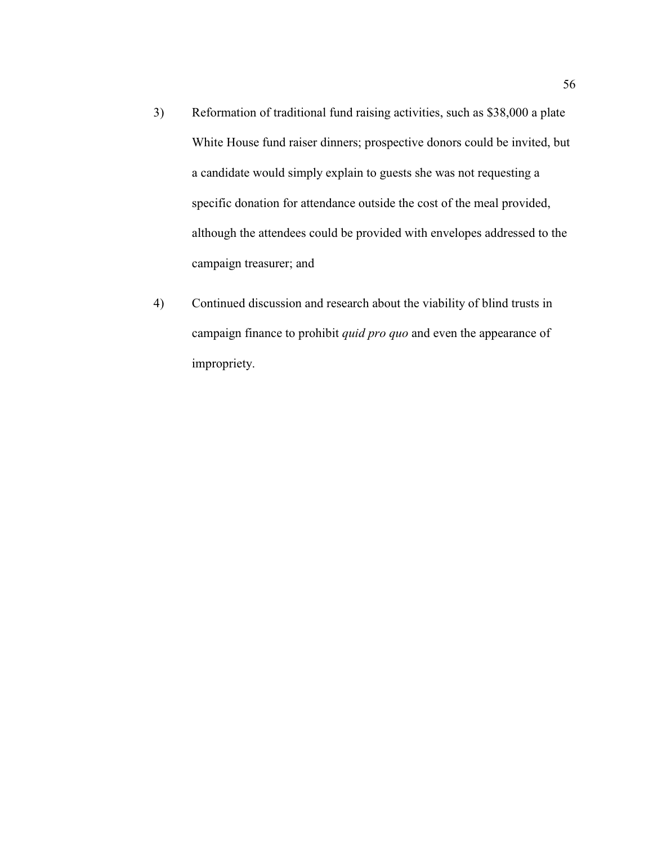- 3) Reformation of traditional fund raising activities, such as \$38,000 a plate White House fund raiser dinners; prospective donors could be invited, but a candidate would simply explain to guests she was not requesting a specific donation for attendance outside the cost of the meal provided, although the attendees could be provided with envelopes addressed to the campaign treasurer; and
- 4) Continued discussion and research about the viability of blind trusts in campaign finance to prohibit *quid pro quo* and even the appearance of impropriety.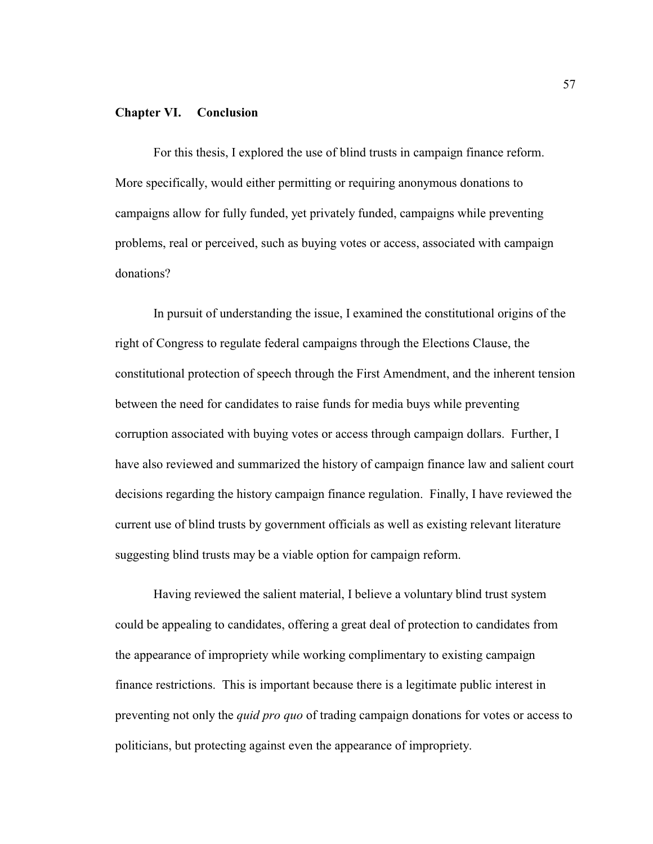#### **Chapter VI. Conclusion**

For this thesis, I explored the use of blind trusts in campaign finance reform. More specifically, would either permitting or requiring anonymous donations to campaigns allow for fully funded, yet privately funded, campaigns while preventing problems, real or perceived, such as buying votes or access, associated with campaign donations?

In pursuit of understanding the issue, I examined the constitutional origins of the right of Congress to regulate federal campaigns through the Elections Clause, the constitutional protection of speech through the First Amendment, and the inherent tension between the need for candidates to raise funds for media buys while preventing corruption associated with buying votes or access through campaign dollars. Further, I have also reviewed and summarized the history of campaign finance law and salient court decisions regarding the history campaign finance regulation. Finally, I have reviewed the current use of blind trusts by government officials as well as existing relevant literature suggesting blind trusts may be a viable option for campaign reform.

Having reviewed the salient material, I believe a voluntary blind trust system could be appealing to candidates, offering a great deal of protection to candidates from the appearance of impropriety while working complimentary to existing campaign finance restrictions. This is important because there is a legitimate public interest in preventing not only the *quid pro quo* of trading campaign donations for votes or access to politicians, but protecting against even the appearance of impropriety.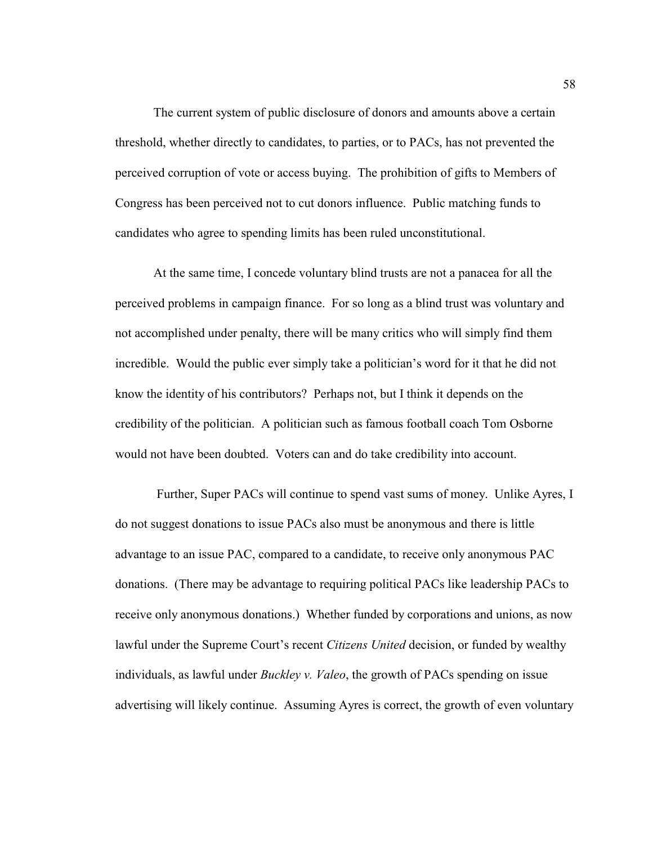The current system of public disclosure of donors and amounts above a certain threshold, whether directly to candidates, to parties, or to PACs, has not prevented the perceived corruption of vote or access buying. The prohibition of gifts to Members of Congress has been perceived not to cut donors influence. Public matching funds to candidates who agree to spending limits has been ruled unconstitutional.

At the same time, I concede voluntary blind trusts are not a panacea for all the perceived problems in campaign finance. For so long as a blind trust was voluntary and not accomplished under penalty, there will be many critics who will simply find them incredible. Would the public ever simply take a politician's word for it that he did not know the identity of his contributors? Perhaps not, but I think it depends on the credibility of the politician. A politician such as famous football coach Tom Osborne would not have been doubted. Voters can and do take credibility into account.

 Further, Super PACs will continue to spend vast sums of money. Unlike Ayres, I do not suggest donations to issue PACs also must be anonymous and there is little advantage to an issue PAC, compared to a candidate, to receive only anonymous PAC donations. (There may be advantage to requiring political PACs like leadership PACs to receive only anonymous donations.) Whether funded by corporations and unions, as now lawful under the Supreme Court's recent *Citizens United* decision, or funded by wealthy individuals, as lawful under *Buckley v. Valeo*, the growth of PACs spending on issue advertising will likely continue. Assuming Ayres is correct, the growth of even voluntary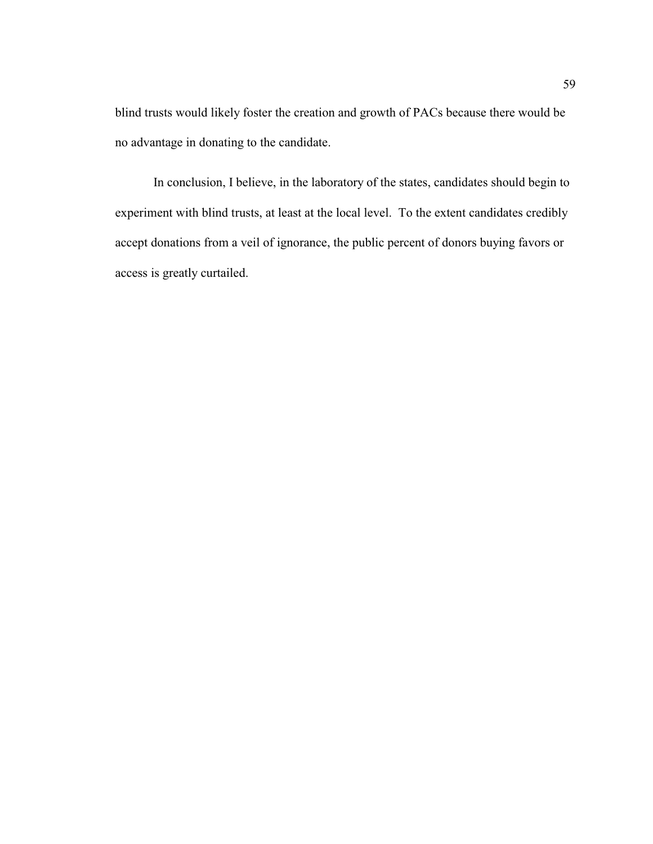blind trusts would likely foster the creation and growth of PACs because there would be no advantage in donating to the candidate.

In conclusion, I believe, in the laboratory of the states, candidates should begin to experiment with blind trusts, at least at the local level. To the extent candidates credibly accept donations from a veil of ignorance, the public percent of donors buying favors or access is greatly curtailed.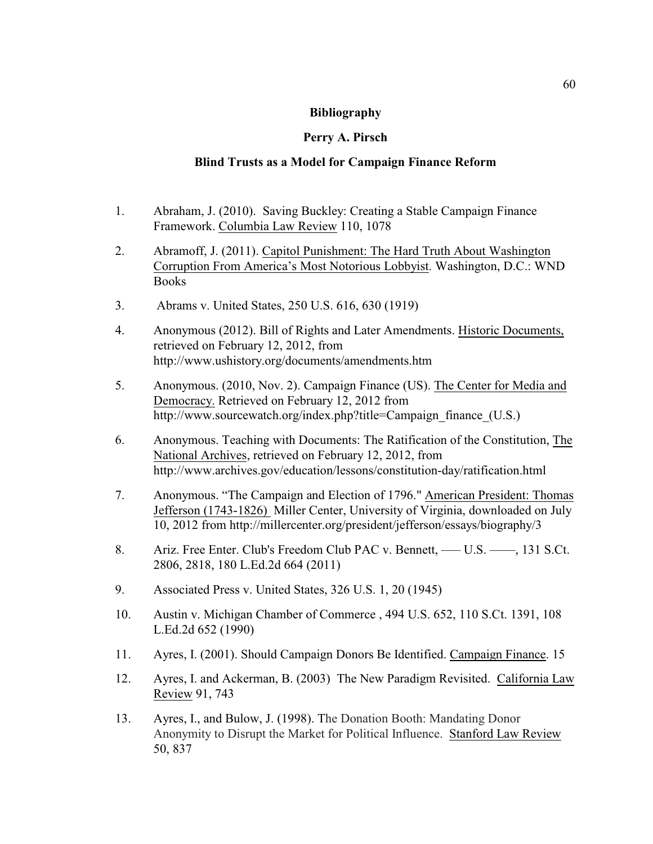### **Bibliography**

## **Perry A. Pirsch**

## **Blind Trusts as a Model for Campaign Finance Reform**

- 1. Abraham, J. (2010). Saving Buckley: Creating a Stable Campaign Finance Framework. Columbia Law Review 110, 1078
- 2. Abramoff, J. (2011). Capitol Punishment: The Hard Truth About Washington Corruption From America's Most Notorious Lobbyist. Washington, D.C.: WND Books
- 3. Abrams v. United States, 250 U.S. 616, 630 (1919)
- 4. Anonymous (2012). Bill of Rights and Later Amendments. Historic Documents, retrieved on February 12, 2012, from http://www.ushistory.org/documents/amendments.htm
- 5. Anonymous. (2010, Nov. 2). Campaign Finance (US). The Center for Media and Democracy. Retrieved on February 12, 2012 from http://www.sourcewatch.org/index.php?title=Campaign\_finance\_(U.S.)
- 6. Anonymous. Teaching with Documents: The Ratification of the Constitution, The National Archives, retrieved on February 12, 2012, from http://www.archives.gov/education/lessons/constitution-day/ratification.html
- 7. Anonymous. "The Campaign and Election of 1796." American President: Thomas Jefferson (1743-1826) Miller Center, University of Virginia, downloaded on July 10, 2012 from http://millercenter.org/president/jefferson/essays/biography/3
- 8. Ariz. Free Enter. Club's Freedom Club PAC v. Bennett, U.S. , 131 S.Ct. 2806, 2818, 180 L.Ed.2d 664 (2011)
- 9. Associated Press v. United States, 326 U.S. 1, 20 (1945)
- 10. Austin v. Michigan Chamber of Commerce , 494 U.S. 652, 110 S.Ct. 1391, 108 L.Ed.2d 652 (1990)
- 11. Ayres, I. (2001). Should Campaign Donors Be Identified. Campaign Finance. 15
- 12. Ayres, I. and Ackerman, B. (2003) The New Paradigm Revisited. California Law Review 91, 743
- 13. Ayres, I., and Bulow, J. (1998). The Donation Booth: Mandating Donor Anonymity to Disrupt the Market for Political Influence. Stanford Law Review 50, 837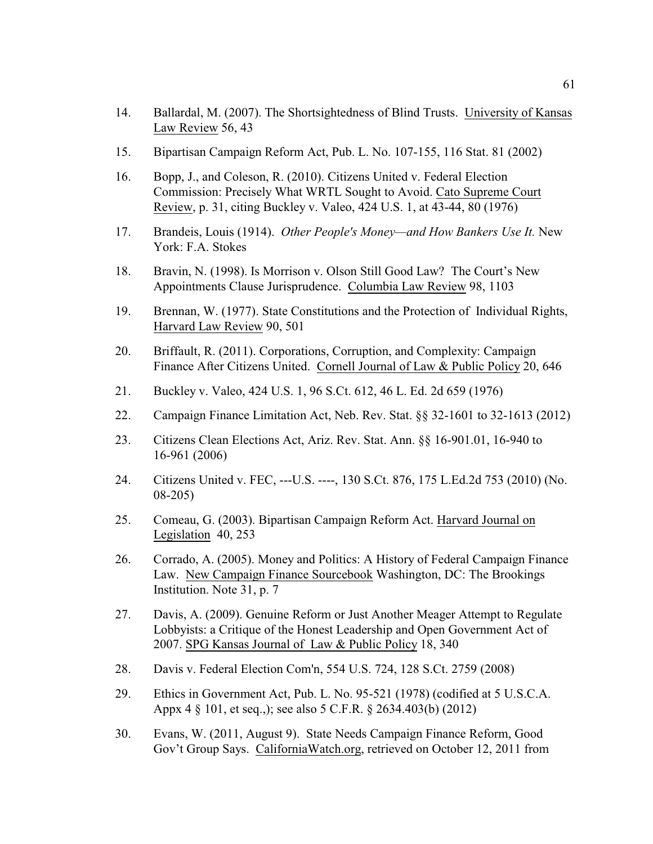- 14. Ballardal, M. (2007). The Shortsightedness of Blind Trusts. University of Kansas Law Review 56, 43
- 15. Bipartisan Campaign Reform Act, Pub. L. No. 107-155, 116 Stat. 81 (2002)
- 16. Bopp, J., and Coleson, R. (2010). Citizens United v. Federal Election Commission: Precisely What WRTL Sought to Avoid. Cato Supreme Court Review, p. 31, citing Buckley v. Valeo, 424 U.S. 1, at 43-44, 80 (1976)
- 17. Brandeis, Louis (1914). *Other People's Money—and How Bankers Use It.* New York: F.A. Stokes
- 18. Bravin, N. (1998). Is Morrison v. Olson Still Good Law? The Court's New Appointments Clause Jurisprudence. Columbia Law Review 98, 1103
- 19. Brennan, W. (1977). State Constitutions and the Protection of Individual Rights, Harvard Law Review 90, 501
- 20. Briffault, R. (2011). Corporations, Corruption, and Complexity: Campaign Finance After Citizens United. Cornell Journal of Law & Public Policy 20, 646
- 21. Buckley v. Valeo, 424 U.S. 1, 96 S.Ct. 612, 46 L. Ed. 2d 659 (1976)
- 22. Campaign Finance Limitation Act, Neb. Rev. Stat. §§ 32-1601 to 32-1613 (2012)
- 23. Citizens Clean Elections Act, Ariz. Rev. Stat. Ann. §§ 16-901.01, 16-940 to 16-961 (2006)
- 24. Citizens United v. FEC, ---U.S. ----, 130 S.Ct. 876, 175 L.Ed.2d 753 (2010) (No. 08-205)
- 25. Comeau, G. (2003). Bipartisan Campaign Reform Act. Harvard Journal on Legislation 40, 253
- 26. Corrado, A. (2005). Money and Politics: A History of Federal Campaign Finance Law. New Campaign Finance Sourcebook Washington, DC: The Brookings Institution. Note 31, p. 7
- 27. Davis, A. (2009). Genuine Reform or Just Another Meager Attempt to Regulate Lobbyists: a Critique of the Honest Leadership and Open Government Act of 2007. SPG Kansas Journal of Law & Public Policy 18, 340
- 28. Davis v. Federal Election Com'n, 554 U.S. 724, 128 S.Ct. 2759 (2008)
- 29. Ethics in Government Act, Pub. L. No. 95-521 (1978) (codified at 5 U.S.C.A. Appx 4 § 101, et seq.,); see also 5 C.F.R. § 2634.403(b) (2012)
- 30. Evans, W. (2011, August 9). State Needs Campaign Finance Reform, Good Gov't Group Says. CaliforniaWatch.org, retrieved on October 12, 2011 from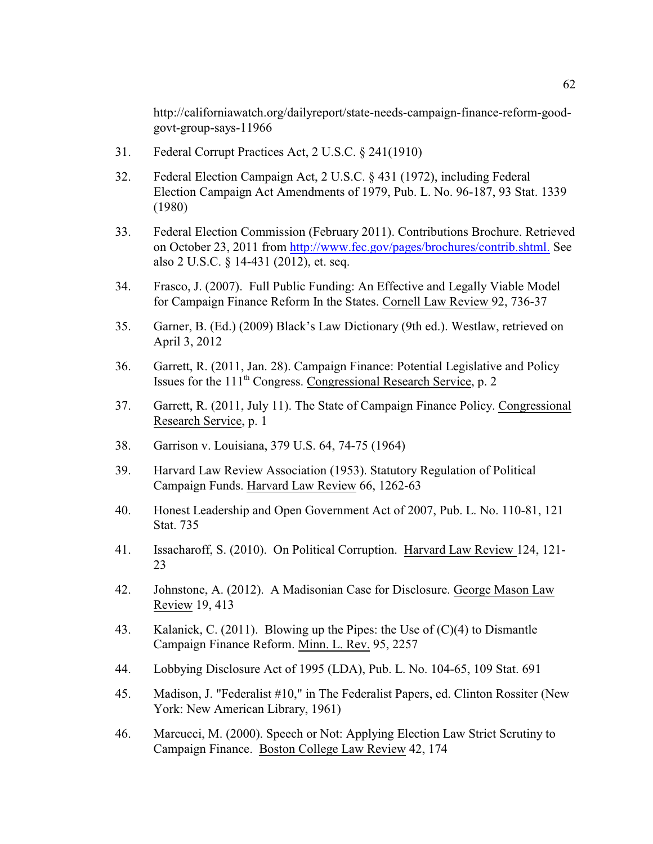http://californiawatch.org/dailyreport/state-needs-campaign-finance-reform-goodgovt-group-says-11966

- 31. Federal Corrupt Practices Act, 2 U.S.C. § 241(1910)
- 32. Federal Election Campaign Act, 2 U.S.C. § 431 (1972), including Federal Election Campaign Act Amendments of 1979, Pub. L. No. 96-187, 93 Stat. 1339 (1980)
- 33. Federal Election Commission (February 2011). Contributions Brochure. Retrieved on October 23, 2011 from<http://www.fec.gov/pages/brochures/contrib.shtml.> See also 2 U.S.C. § 14-431 (2012), et. seq.
- 34. Frasco, J. (2007). Full Public Funding: An Effective and Legally Viable Model for Campaign Finance Reform In the States. Cornell Law Review 92, 736-37
- 35. Garner, B. (Ed.) (2009) Black's Law Dictionary (9th ed.). Westlaw, retrieved on April 3, 2012
- 36. Garrett, R. (2011, Jan. 28). Campaign Finance: Potential Legislative and Policy Issues for the 111<sup>th</sup> Congress. Congressional Research Service, p. 2
- 37. Garrett, R. (2011, July 11). The State of Campaign Finance Policy. Congressional Research Service, p. 1
- 38. Garrison v. Louisiana, 379 U.S. 64, 74-75 (1964)
- 39. Harvard Law Review Association (1953). Statutory Regulation of Political Campaign Funds. Harvard Law Review 66, 1262-63
- 40. Honest Leadership and Open Government Act of 2007, Pub. L. No. 110-81, 121 Stat. 735
- 41. Issacharoff, S. (2010). On Political Corruption. Harvard Law Review 124, 121- 23
- 42. Johnstone, A. (2012). A Madisonian Case for Disclosure. George Mason Law Review 19, 413
- 43. Kalanick, C. (2011). Blowing up the Pipes: the Use of (C)(4) to Dismantle Campaign Finance Reform. Minn. L. Rev. 95, 2257
- 44. Lobbying Disclosure Act of 1995 (LDA), Pub. L. No. 104-65, 109 Stat. 691
- 45. Madison, J. "Federalist #10," in The Federalist Papers, ed. Clinton Rossiter (New York: New American Library, 1961)
- 46. Marcucci, M. (2000). Speech or Not: Applying Election Law Strict Scrutiny to Campaign Finance. Boston College Law Review 42, 174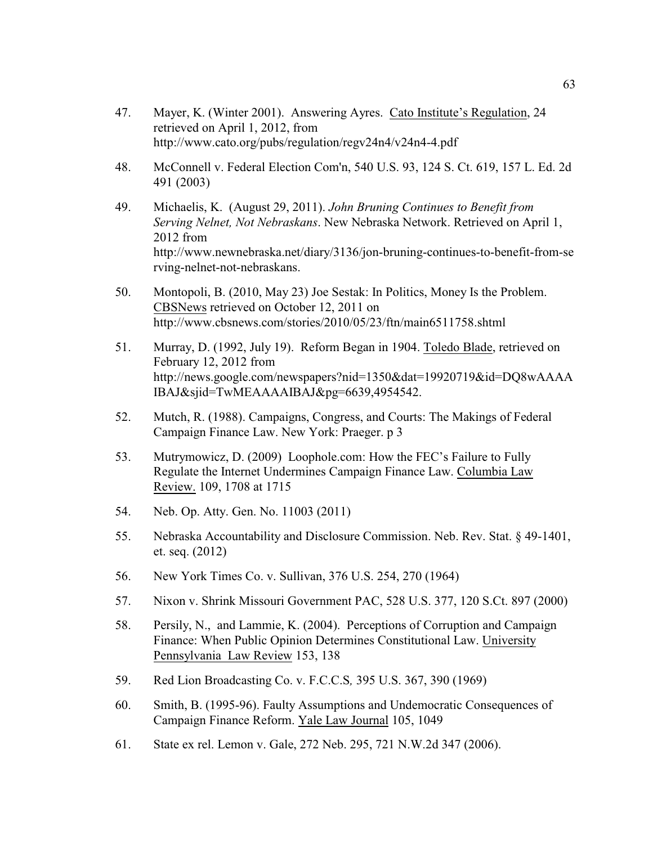- 47. Mayer, K. (Winter 2001). Answering Ayres. Cato Institute's Regulation, 24 retrieved on April 1, 2012, from http://www.cato.org/pubs/regulation/regv24n4/v24n4-4.pdf
- 48. McConnell v. Federal Election Com'n, 540 U.S. 93, 124 S. Ct. 619, 157 L. Ed. 2d 491 (2003)
- 49. Michaelis, K. (August 29, 2011). *John Bruning Continues to Benefit from Serving Nelnet, Not Nebraskans*. New Nebraska Network. Retrieved on April 1, 2012 from http://www.newnebraska.net/diary/3136/jon-bruning-continues-to-benefit-from-se rving-nelnet-not-nebraskans.
- 50. Montopoli, B. (2010, May 23) Joe Sestak: In Politics, Money Is the Problem. CBSNews retrieved on October 12, 2011 on http://www.cbsnews.com/stories/2010/05/23/ftn/main6511758.shtml
- 51. Murray, D. (1992, July 19). Reform Began in 1904. Toledo Blade, retrieved on February 12, 2012 from http://news.google.com/newspapers?nid=1350&dat=19920719&id=DQ8wAAAA IBAJ&sjid=TwMEAAAAIBAJ&pg=6639,4954542.
- 52. Mutch, R. (1988). Campaigns, Congress, and Courts: The Makings of Federal Campaign Finance Law. New York: Praeger. p 3
- 53. Mutrymowicz, D. (2009) Loophole.com: How the FEC's Failure to Fully Regulate the Internet Undermines Campaign Finance Law. Columbia Law Review. 109, 1708 at 1715
- 54. Neb. Op. Atty. Gen. No. 11003 (2011)
- 55. Nebraska Accountability and Disclosure Commission. Neb. Rev. Stat. § 49-1401, et. seq. (2012)
- 56. New York Times Co. v. Sullivan, 376 U.S. 254, 270 (1964)
- 57. Nixon v. Shrink Missouri Government PAC, 528 U.S. 377, 120 S.Ct. 897 (2000)
- 58. Persily, N., and Lammie, K. (2004). Perceptions of Corruption and Campaign Finance: When Public Opinion Determines Constitutional Law. University Pennsylvania Law Review 153, 138
- 59. Red Lion Broadcasting Co. v. F.C.C.S*,* 395 U.S. 367, 390 (1969)
- 60. Smith, B. (1995-96). Faulty Assumptions and Undemocratic Consequences of Campaign Finance Reform. Yale Law Journal 105, 1049
- 61. State ex rel. Lemon v. Gale, 272 Neb. 295, 721 N.W.2d 347 (2006).